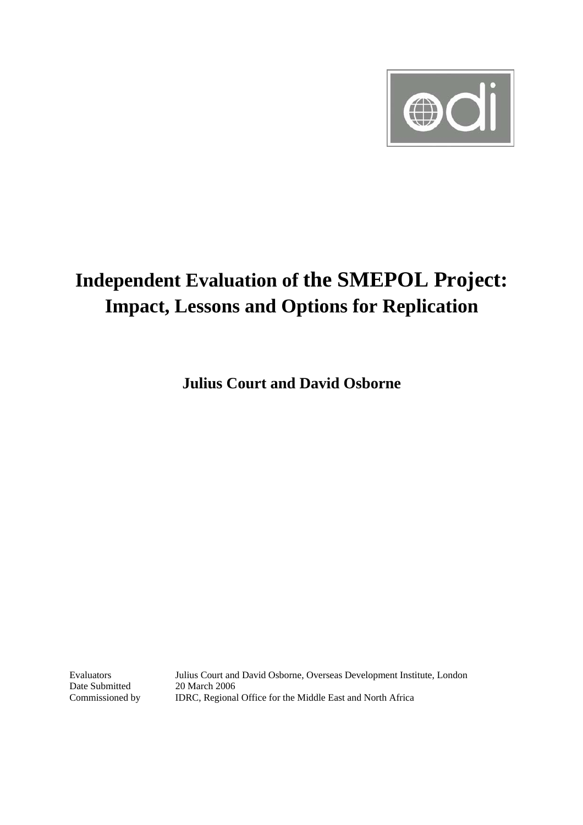

# **Independent Evaluation of the SMEPOL Project: Impact, Lessons and Options for Replication**

**Julius Court and David Osborne** 

Date Submitted 20 March 2006

Evaluators Julius Court and David Osborne, Overseas Development Institute, London Commissioned by IDRC, Regional Office for the Middle East and North Africa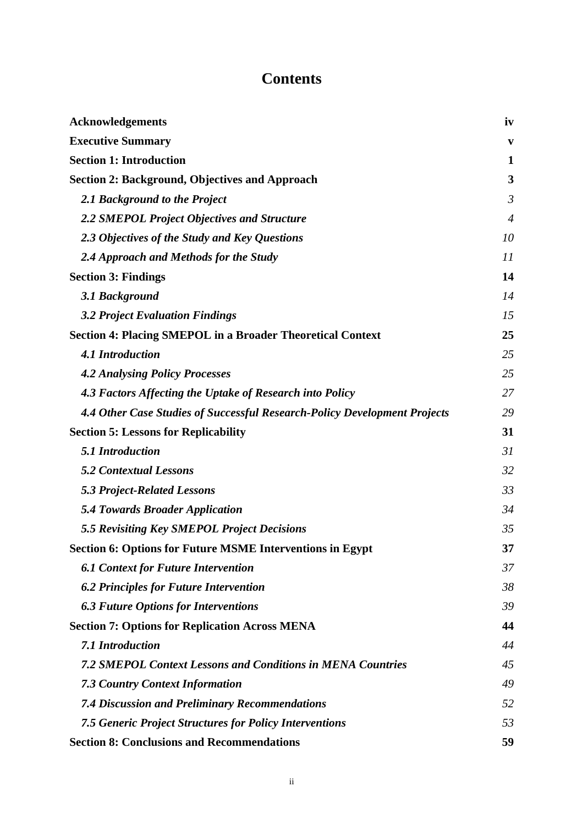# **Contents**

| <b>Acknowledgements</b>                                                   | iv             |
|---------------------------------------------------------------------------|----------------|
| <b>Executive Summary</b>                                                  | V              |
| <b>Section 1: Introduction</b>                                            | $\mathbf{1}$   |
| <b>Section 2: Background, Objectives and Approach</b>                     | 3              |
| 2.1 Background to the Project                                             | $\mathfrak{Z}$ |
| 2.2 SMEPOL Project Objectives and Structure                               | $\overline{4}$ |
| 2.3 Objectives of the Study and Key Questions                             | 10             |
| 2.4 Approach and Methods for the Study                                    | 11             |
| <b>Section 3: Findings</b>                                                | 14             |
| 3.1 Background                                                            | 14             |
| <b>3.2 Project Evaluation Findings</b>                                    | 15             |
| <b>Section 4: Placing SMEPOL in a Broader Theoretical Context</b>         | 25             |
| <b>4.1 Introduction</b>                                                   | 25             |
| <b>4.2 Analysing Policy Processes</b>                                     | 25             |
| 4.3 Factors Affecting the Uptake of Research into Policy                  | 27             |
| 4.4 Other Case Studies of Successful Research-Policy Development Projects | 29             |
| <b>Section 5: Lessons for Replicability</b>                               | 31             |
| 5.1 Introduction                                                          | 31             |
| <b>5.2 Contextual Lessons</b>                                             | 32             |
| <b>5.3 Project-Related Lessons</b>                                        | 33             |
| <b>5.4 Towards Broader Application</b>                                    | 34             |
| 5.5 Revisiting Key SMEPOL Project Decisions                               | 35             |
| <b>Section 6: Options for Future MSME Interventions in Egypt</b>          | 37             |
| <b>6.1 Context for Future Intervention</b>                                | 37             |
| <b>6.2 Principles for Future Intervention</b>                             | 38             |
| <b>6.3 Future Options for Interventions</b>                               | 39             |
| <b>Section 7: Options for Replication Across MENA</b>                     | 44             |
| 7.1 Introduction                                                          | 44             |
| <b>7.2 SMEPOL Context Lessons and Conditions in MENA Countries</b>        | 45             |
| <b>7.3 Country Context Information</b>                                    | 49             |
| <b>7.4 Discussion and Preliminary Recommendations</b>                     | 52             |
| <b>7.5 Generic Project Structures for Policy Interventions</b>            | 53             |
| <b>Section 8: Conclusions and Recommendations</b>                         | 59             |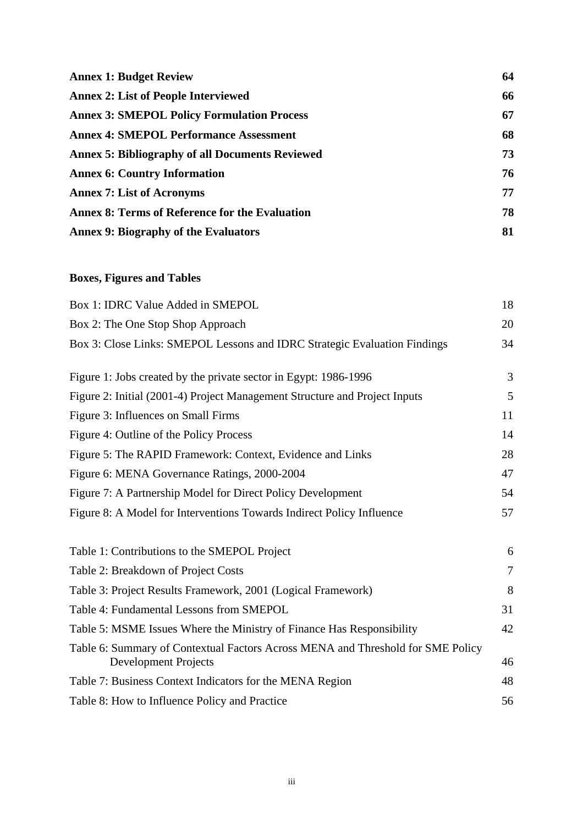| <b>Annex 1: Budget Review</b>                          | 64 |
|--------------------------------------------------------|----|
| <b>Annex 2: List of People Interviewed</b>             | 66 |
| <b>Annex 3: SMEPOL Policy Formulation Process</b>      | 67 |
| <b>Annex 4: SMEPOL Performance Assessment</b>          | 68 |
| <b>Annex 5: Bibliography of all Documents Reviewed</b> | 73 |
| <b>Annex 6: Country Information</b>                    | 76 |
| <b>Annex 7: List of Acronyms</b>                       | 77 |
| <b>Annex 8: Terms of Reference for the Evaluation</b>  | 78 |
| <b>Annex 9: Biography of the Evaluators</b>            | 81 |

# **Boxes, Figures and Tables**

| Box 1: IDRC Value Added in SMEPOL                                                                              | 18             |
|----------------------------------------------------------------------------------------------------------------|----------------|
| Box 2: The One Stop Shop Approach                                                                              | 20             |
| Box 3: Close Links: SMEPOL Lessons and IDRC Strategic Evaluation Findings                                      | 34             |
| Figure 1: Jobs created by the private sector in Egypt: 1986-1996                                               | 3              |
| Figure 2: Initial (2001-4) Project Management Structure and Project Inputs                                     | 5              |
| Figure 3: Influences on Small Firms                                                                            | 11             |
| Figure 4: Outline of the Policy Process                                                                        | 14             |
| Figure 5: The RAPID Framework: Context, Evidence and Links                                                     | 28             |
| Figure 6: MENA Governance Ratings, 2000-2004                                                                   | 47             |
| Figure 7: A Partnership Model for Direct Policy Development                                                    | 54             |
| Figure 8: A Model for Interventions Towards Indirect Policy Influence                                          | 57             |
| Table 1: Contributions to the SMEPOL Project                                                                   | 6              |
| Table 2: Breakdown of Project Costs                                                                            | $\overline{7}$ |
| Table 3: Project Results Framework, 2001 (Logical Framework)                                                   | 8              |
| Table 4: Fundamental Lessons from SMEPOL                                                                       | 31             |
| Table 5: MSME Issues Where the Ministry of Finance Has Responsibility                                          | 42             |
| Table 6: Summary of Contextual Factors Across MENA and Threshold for SME Policy<br><b>Development Projects</b> | 46             |
| Table 7: Business Context Indicators for the MENA Region                                                       | 48             |
| Table 8: How to Influence Policy and Practice                                                                  | 56             |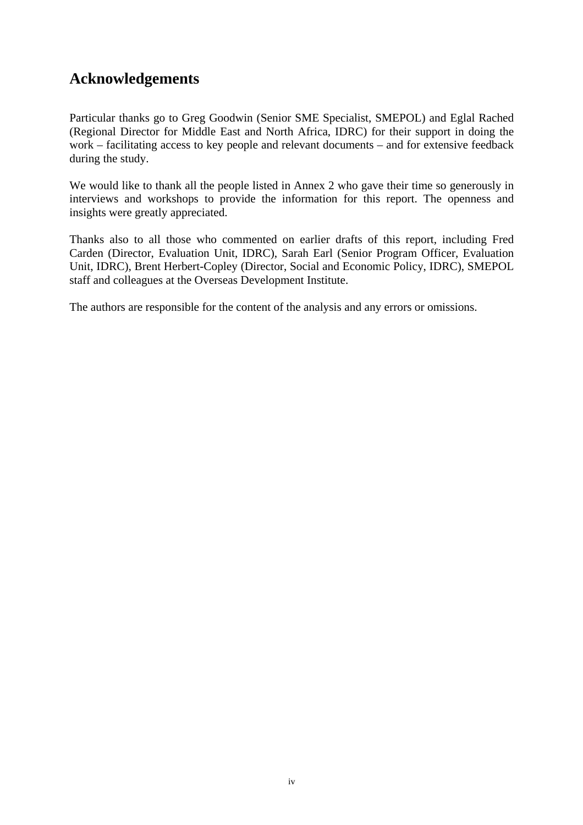# <span id="page-3-0"></span>**Acknowledgements**

Particular thanks go to Greg Goodwin (Senior SME Specialist, SMEPOL) and Eglal Rached (Regional Director for Middle East and North Africa, IDRC) for their support in doing the work – facilitating access to key people and relevant documents – and for extensive feedback during the study.

We would like to thank all the people listed in Annex 2 who gave their time so generously in interviews and workshops to provide the information for this report. The openness and insights were greatly appreciated.

Thanks also to all those who commented on earlier drafts of this report, including Fred Carden (Director, Evaluation Unit, IDRC), Sarah Earl (Senior Program Officer, Evaluation Unit, IDRC), Brent Herbert-Copley (Director, Social and Economic Policy, IDRC), SMEPOL staff and colleagues at the Overseas Development Institute.

The authors are responsible for the content of the analysis and any errors or omissions.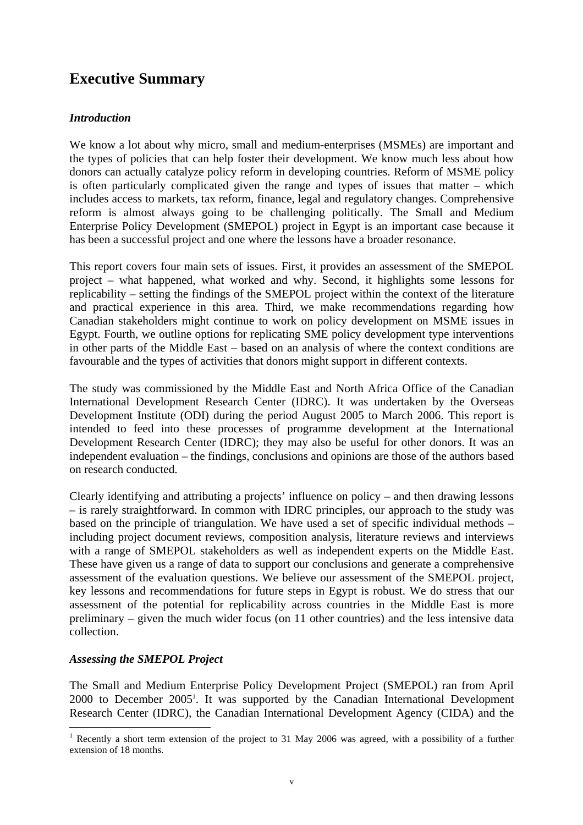# <span id="page-4-0"></span>**Executive Summary**

### *Introduction*

We know a lot about why micro, small and medium-enterprises (MSMEs) are important and the types of policies that can help foster their development. We know much less about how donors can actually catalyze policy reform in developing countries. Reform of MSME policy is often particularly complicated given the range and types of issues that matter – which includes access to markets, tax reform, finance, legal and regulatory changes. Comprehensive reform is almost always going to be challenging politically. The Small and Medium Enterprise Policy Development (SMEPOL) project in Egypt is an important case because it has been a successful project and one where the lessons have a broader resonance.

This report covers four main sets of issues. First, it provides an assessment of the SMEPOL project – what happened, what worked and why. Second, it highlights some lessons for replicability – setting the findings of the SMEPOL project within the context of the literature and practical experience in this area. Third, we make recommendations regarding how Canadian stakeholders might continue to work on policy development on MSME issues in Egypt. Fourth, we outline options for replicating SME policy development type interventions in other parts of the Middle East – based on an analysis of where the context conditions are favourable and the types of activities that donors might support in different contexts.

The study was commissioned by the Middle East and North Africa Office of the Canadian International Development Research Center (IDRC). It was undertaken by the Overseas Development Institute (ODI) during the period August 2005 to March 2006. This report is intended to feed into these processes of programme development at the International Development Research Center (IDRC); they may also be useful for other donors. It was an independent evaluation – the findings, conclusions and opinions are those of the authors based on research conducted.

Clearly identifying and attributing a projects' influence on policy – and then drawing lessons – is rarely straightforward. In common with IDRC principles, our approach to the study was based on the principle of triangulation. We have used a set of specific individual methods – including project document reviews, composition analysis, literature reviews and interviews with a range of SMEPOL stakeholders as well as independent experts on the Middle East. These have given us a range of data to support our conclusions and generate a comprehensive assessment of the evaluation questions. We believe our assessment of the SMEPOL project, key lessons and recommendations for future steps in Egypt is robust. We do stress that our assessment of the potential for replicability across countries in the Middle East is more preliminary – given the much wider focus (on 11 other countries) and the less intensive data collection.

#### *Assessing the SMEPOL Project*

 $\overline{a}$ 

The Small and Medium Enterprise Policy Development Project (SMEPOL) ran from April 2000 to December 2005<sup>[1](#page-4-1)</sup>. It was supported by the Canadian International Development Research Center (IDRC), the Canadian International Development Agency (CIDA) and the

<span id="page-4-1"></span><sup>&</sup>lt;sup>1</sup> Recently a short term extension of the project to 31 May 2006 was agreed, with a possibility of a further extension of 18 months.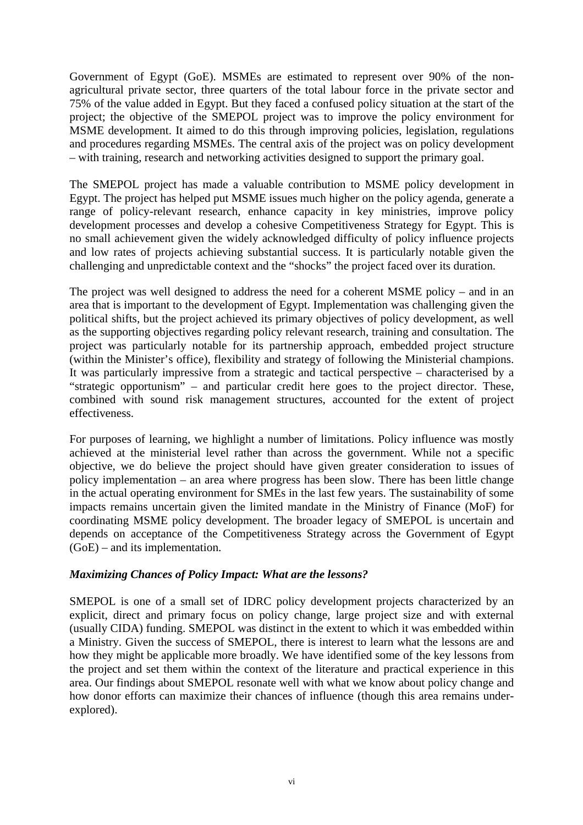Government of Egypt (GoE). MSMEs are estimated to represent over 90% of the nonagricultural private sector, three quarters of the total labour force in the private sector and 75% of the value added in Egypt. But they faced a confused policy situation at the start of the project; the objective of the SMEPOL project was to improve the policy environment for MSME development. It aimed to do this through improving policies, legislation, regulations and procedures regarding MSMEs. The central axis of the project was on policy development – with training, research and networking activities designed to support the primary goal.

The SMEPOL project has made a valuable contribution to MSME policy development in Egypt. The project has helped put MSME issues much higher on the policy agenda, generate a range of policy-relevant research, enhance capacity in key ministries, improve policy development processes and develop a cohesive Competitiveness Strategy for Egypt. This is no small achievement given the widely acknowledged difficulty of policy influence projects and low rates of projects achieving substantial success. It is particularly notable given the challenging and unpredictable context and the "shocks" the project faced over its duration.

The project was well designed to address the need for a coherent MSME policy – and in an area that is important to the development of Egypt. Implementation was challenging given the political shifts, but the project achieved its primary objectives of policy development, as well as the supporting objectives regarding policy relevant research, training and consultation. The project was particularly notable for its partnership approach, embedded project structure (within the Minister's office), flexibility and strategy of following the Ministerial champions. It was particularly impressive from a strategic and tactical perspective – characterised by a "strategic opportunism" – and particular credit here goes to the project director. These, combined with sound risk management structures, accounted for the extent of project effectiveness.

For purposes of learning, we highlight a number of limitations. Policy influence was mostly achieved at the ministerial level rather than across the government. While not a specific objective, we do believe the project should have given greater consideration to issues of policy implementation – an area where progress has been slow. There has been little change in the actual operating environment for SMEs in the last few years. The sustainability of some impacts remains uncertain given the limited mandate in the Ministry of Finance (MoF) for coordinating MSME policy development. The broader legacy of SMEPOL is uncertain and depends on acceptance of the Competitiveness Strategy across the Government of Egypt (GoE) – and its implementation.

#### *Maximizing Chances of Policy Impact: What are the lessons?*

SMEPOL is one of a small set of IDRC policy development projects characterized by an explicit, direct and primary focus on policy change, large project size and with external (usually CIDA) funding. SMEPOL was distinct in the extent to which it was embedded within a Ministry. Given the success of SMEPOL, there is interest to learn what the lessons are and how they might be applicable more broadly. We have identified some of the key lessons from the project and set them within the context of the literature and practical experience in this area. Our findings about SMEPOL resonate well with what we know about policy change and how donor efforts can maximize their chances of influence (though this area remains underexplored).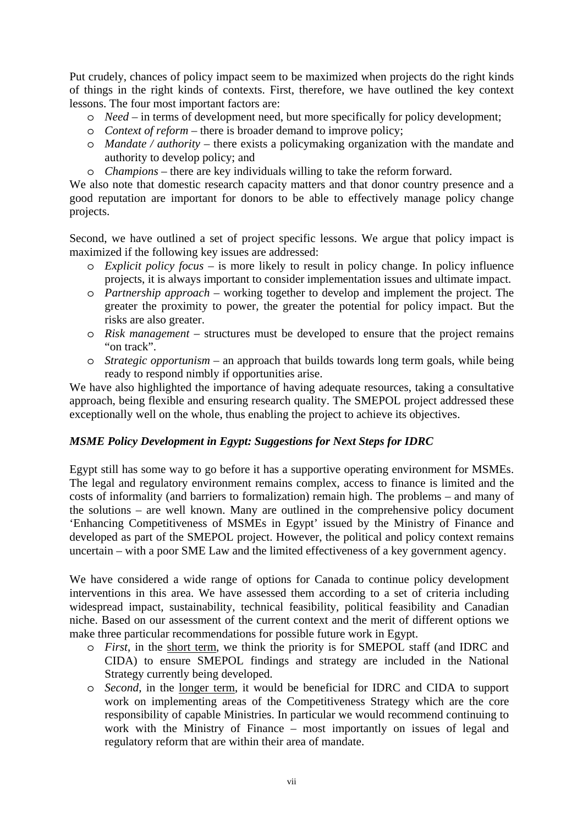Put crudely, chances of policy impact seem to be maximized when projects do the right kinds of things in the right kinds of contexts. First, therefore, we have outlined the key context lessons. The four most important factors are:

- o *Need* in terms of development need, but more specifically for policy development;
- o *Context of reform* there is broader demand to improve policy;
- o *Mandate / authority* there exists a policymaking organization with the mandate and authority to develop policy; and
- o *Champions* there are key individuals willing to take the reform forward.

We also note that domestic research capacity matters and that donor country presence and a good reputation are important for donors to be able to effectively manage policy change projects.

Second, we have outlined a set of project specific lessons. We argue that policy impact is maximized if the following key issues are addressed:

- o *Explicit policy focus* is more likely to result in policy change. In policy influence projects, it is always important to consider implementation issues and ultimate impact.
- o *Partnership approach* working together to develop and implement the project. The greater the proximity to power, the greater the potential for policy impact. But the risks are also greater.
- o *Risk management* structures must be developed to ensure that the project remains "on track".
- o *Strategic opportunism* an approach that builds towards long term goals, while being ready to respond nimbly if opportunities arise.

We have also highlighted the importance of having adequate resources, taking a consultative approach, being flexible and ensuring research quality. The SMEPOL project addressed these exceptionally well on the whole, thus enabling the project to achieve its objectives.

### *MSME Policy Development in Egypt: Suggestions for Next Steps for IDRC*

Egypt still has some way to go before it has a supportive operating environment for MSMEs. The legal and regulatory environment remains complex, access to finance is limited and the costs of informality (and barriers to formalization) remain high. The problems – and many of the solutions – are well known. Many are outlined in the comprehensive policy document 'Enhancing Competitiveness of MSMEs in Egypt' issued by the Ministry of Finance and developed as part of the SMEPOL project. However, the political and policy context remains uncertain – with a poor SME Law and the limited effectiveness of a key government agency.

We have considered a wide range of options for Canada to continue policy development interventions in this area. We have assessed them according to a set of criteria including widespread impact, sustainability, technical feasibility, political feasibility and Canadian niche. Based on our assessment of the current context and the merit of different options we make three particular recommendations for possible future work in Egypt.

- o *First*, in the short term, we think the priority is for SMEPOL staff (and IDRC and CIDA) to ensure SMEPOL findings and strategy are included in the National Strategy currently being developed.
- o *Second*, in the longer term, it would be beneficial for IDRC and CIDA to support work on implementing areas of the Competitiveness Strategy which are the core responsibility of capable Ministries. In particular we would recommend continuing to work with the Ministry of Finance – most importantly on issues of legal and regulatory reform that are within their area of mandate.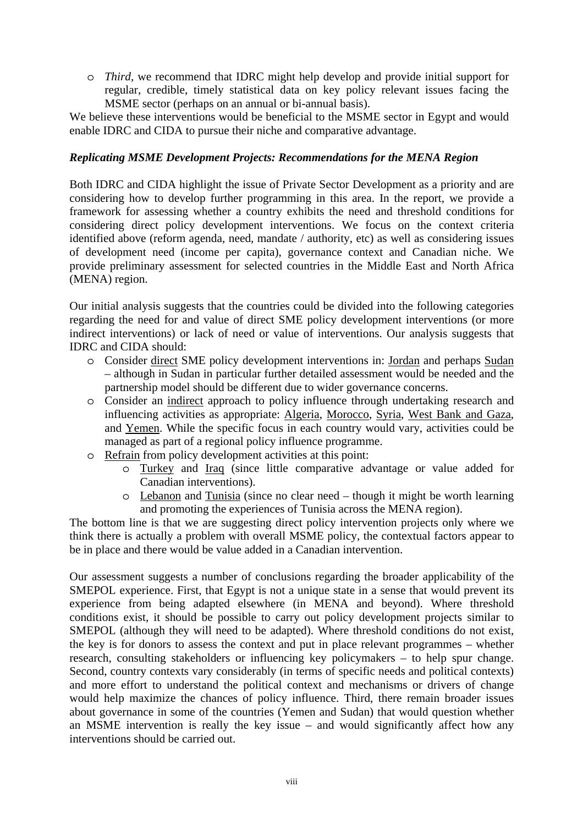o *Third*, we recommend that IDRC might help develop and provide initial support for regular, credible, timely statistical data on key policy relevant issues facing the MSME sector (perhaps on an annual or bi-annual basis).

We believe these interventions would be beneficial to the MSME sector in Egypt and would enable IDRC and CIDA to pursue their niche and comparative advantage.

#### *Replicating MSME Development Projects: Recommendations for the MENA Region*

Both IDRC and CIDA highlight the issue of Private Sector Development as a priority and are considering how to develop further programming in this area. In the report, we provide a framework for assessing whether a country exhibits the need and threshold conditions for considering direct policy development interventions. We focus on the context criteria identified above (reform agenda, need, mandate / authority, etc) as well as considering issues of development need (income per capita), governance context and Canadian niche. We provide preliminary assessment for selected countries in the Middle East and North Africa (MENA) region.

Our initial analysis suggests that the countries could be divided into the following categories regarding the need for and value of direct SME policy development interventions (or more indirect interventions) or lack of need or value of interventions. Our analysis suggests that IDRC and CIDA should:

- o Consider direct SME policy development interventions in: Jordan and perhaps Sudan – although in Sudan in particular further detailed assessment would be needed and the partnership model should be different due to wider governance concerns.
- o Consider an indirect approach to policy influence through undertaking research and influencing activities as appropriate: Algeria, Morocco, Syria, West Bank and Gaza, and Yemen. While the specific focus in each country would vary, activities could be managed as part of a regional policy influence programme.
- o Refrain from policy development activities at this point:
	- o Turkey and Iraq (since little comparative advantage or value added for Canadian interventions).
	- o Lebanon and Tunisia (since no clear need though it might be worth learning and promoting the experiences of Tunisia across the MENA region).

The bottom line is that we are suggesting direct policy intervention projects only where we think there is actually a problem with overall MSME policy, the contextual factors appear to be in place and there would be value added in a Canadian intervention.

Our assessment suggests a number of conclusions regarding the broader applicability of the SMEPOL experience. First, that Egypt is not a unique state in a sense that would prevent its experience from being adapted elsewhere (in MENA and beyond). Where threshold conditions exist, it should be possible to carry out policy development projects similar to SMEPOL (although they will need to be adapted). Where threshold conditions do not exist, the key is for donors to assess the context and put in place relevant programmes – whether research, consulting stakeholders or influencing key policymakers – to help spur change. Second, country contexts vary considerably (in terms of specific needs and political contexts) and more effort to understand the political context and mechanisms or drivers of change would help maximize the chances of policy influence. Third, there remain broader issues about governance in some of the countries (Yemen and Sudan) that would question whether an MSME intervention is really the key issue – and would significantly affect how any interventions should be carried out.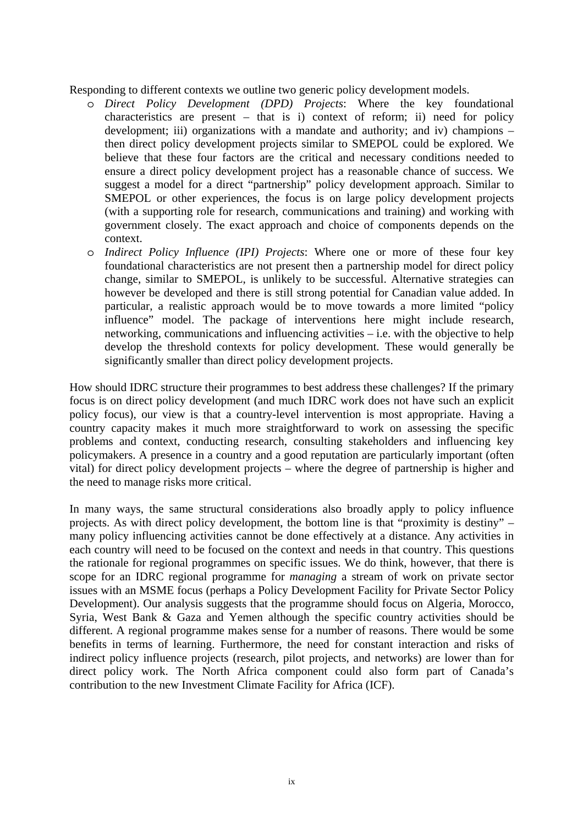Responding to different contexts we outline two generic policy development models.

- o *Direct Policy Development (DPD) Projects*: Where the key foundational characteristics are present – that is i) context of reform; ii) need for policy development; iii) organizations with a mandate and authority; and iv) champions – then direct policy development projects similar to SMEPOL could be explored. We believe that these four factors are the critical and necessary conditions needed to ensure a direct policy development project has a reasonable chance of success. We suggest a model for a direct "partnership" policy development approach. Similar to SMEPOL or other experiences, the focus is on large policy development projects (with a supporting role for research, communications and training) and working with government closely. The exact approach and choice of components depends on the context.
- o *Indirect Policy Influence (IPI) Projects*: Where one or more of these four key foundational characteristics are not present then a partnership model for direct policy change, similar to SMEPOL, is unlikely to be successful. Alternative strategies can however be developed and there is still strong potential for Canadian value added. In particular, a realistic approach would be to move towards a more limited "policy influence" model. The package of interventions here might include research, networking, communications and influencing activities – i.e. with the objective to help develop the threshold contexts for policy development. These would generally be significantly smaller than direct policy development projects.

How should IDRC structure their programmes to best address these challenges? If the primary focus is on direct policy development (and much IDRC work does not have such an explicit policy focus), our view is that a country-level intervention is most appropriate. Having a country capacity makes it much more straightforward to work on assessing the specific problems and context, conducting research, consulting stakeholders and influencing key policymakers. A presence in a country and a good reputation are particularly important (often vital) for direct policy development projects – where the degree of partnership is higher and the need to manage risks more critical.

In many ways, the same structural considerations also broadly apply to policy influence projects. As with direct policy development, the bottom line is that "proximity is destiny" – many policy influencing activities cannot be done effectively at a distance. Any activities in each country will need to be focused on the context and needs in that country. This questions the rationale for regional programmes on specific issues. We do think, however, that there is scope for an IDRC regional programme for *managing* a stream of work on private sector issues with an MSME focus (perhaps a Policy Development Facility for Private Sector Policy Development). Our analysis suggests that the programme should focus on Algeria, Morocco, Syria, West Bank & Gaza and Yemen although the specific country activities should be different. A regional programme makes sense for a number of reasons. There would be some benefits in terms of learning. Furthermore, the need for constant interaction and risks of indirect policy influence projects (research, pilot projects, and networks) are lower than for direct policy work. The North Africa component could also form part of Canada's contribution to the new Investment Climate Facility for Africa (ICF).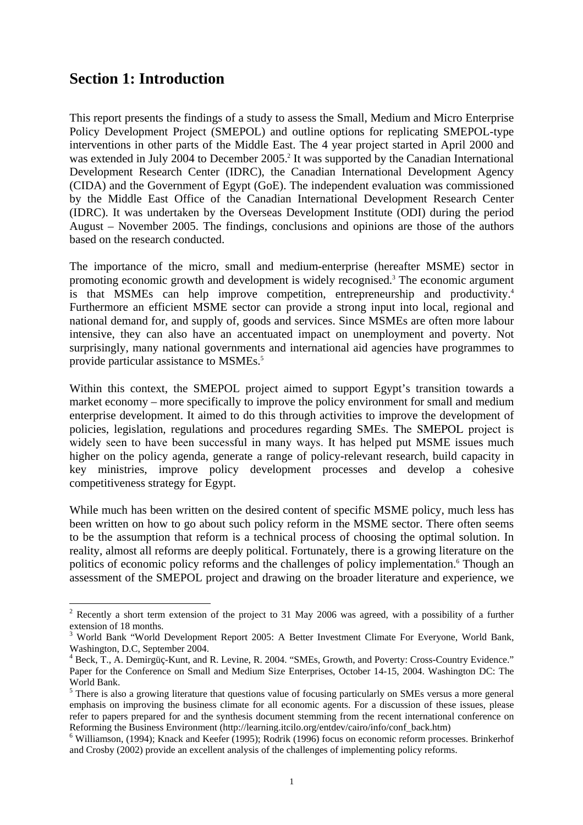# <span id="page-9-0"></span>**Section 1: Introduction**

 $\overline{a}$ 

This report presents the findings of a study to assess the Small, Medium and Micro Enterprise Policy Development Project (SMEPOL) and outline options for replicating SMEPOL-type interventions in other parts of the Middle East. The 4 year project started in April 2000 and was extended in July [2](#page-9-1)004 to December 2005.<sup>2</sup> It was supported by the Canadian International Development Research Center (IDRC), the Canadian International Development Agency (CIDA) and the Government of Egypt (GoE). The independent evaluation was commissioned by the Middle East Office of the Canadian International Development Research Center (IDRC). It was undertaken by the Overseas Development Institute (ODI) during the period August – November 2005. The findings, conclusions and opinions are those of the authors based on the research conducted.

The importance of the micro, small and medium-enterprise (hereafter MSME) sector in promoting economic growth and development is widely recognised.<sup>[3](#page-9-2)</sup> The economic argument is that MSMEs can help improve competition, entrepreneurship and productivity.<sup>4</sup> Furthermore an efficient MSME sector can provide a strong input into local, regional and national demand for, and supply of, goods and services. Since MSMEs are often more labour intensive, they can also have an accentuated impact on unemployment and poverty. Not surprisingly, many national governments and international aid agencies have programmes to provide particular assistance to MSMEs.<sup>[5](#page-9-4)</sup>

Within this context, the SMEPOL project aimed to support Egypt's transition towards a market economy – more specifically to improve the policy environment for small and medium enterprise development. It aimed to do this through activities to improve the development of policies, legislation, regulations and procedures regarding SMEs. The SMEPOL project is widely seen to have been successful in many ways. It has helped put MSME issues much higher on the policy agenda, generate a range of policy-relevant research, build capacity in key ministries, improve policy development processes and develop a cohesive competitiveness strategy for Egypt.

While much has been written on the desired content of specific MSME policy, much less has been written on how to go about such policy reform in the MSME sector. There often seems to be the assumption that reform is a technical process of choosing the optimal solution. In reality, almost all reforms are deeply political. Fortunately, there is a growing literature on the politics of economic policy reforms and the challenges of policy implementation.<sup>[6](#page-9-5)</sup> Though an assessment of the SMEPOL project and drawing on the broader literature and experience, we

<span id="page-9-1"></span><sup>&</sup>lt;sup>2</sup> Recently a short term extension of the project to 31 May 2006 was agreed, with a possibility of a further extension of 18 months.

<span id="page-9-2"></span><sup>&</sup>lt;sup>3</sup> World Bank "World Development Report 2005: A Better Investment Climate For Everyone, World Bank, Washington, D.C, September 2004.

<span id="page-9-3"></span><sup>&</sup>lt;sup>4</sup> Beck, T., A. Demirgüç-Kunt, and R. Levine, R. 2004. "SMEs, Growth, and Poverty: Cross-Country Evidence." Paper for the Conference on Small and Medium Size Enterprises, October 14-15, 2004. Washington DC: The World Bank.

<span id="page-9-4"></span><sup>&</sup>lt;sup>5</sup> There is also a growing literature that questions value of focusing particularly on SMEs versus a more general emphasis on improving the business climate for all economic agents. For a discussion of these issues, please refer to papers prepared for and the synthesis document stemming from the recent international conference on Reforming the Business Environment (http://learning.itcilo.org/entdev/cairo/info/conf\_back.htm) 6

<span id="page-9-5"></span><sup>&</sup>lt;sup>6</sup> Williamson, (1994); Knack and Keefer (1995); Rodrik (1996) focus on economic reform processes. Brinkerhof and Crosby (2002) provide an excellent analysis of the challenges of implementing policy reforms.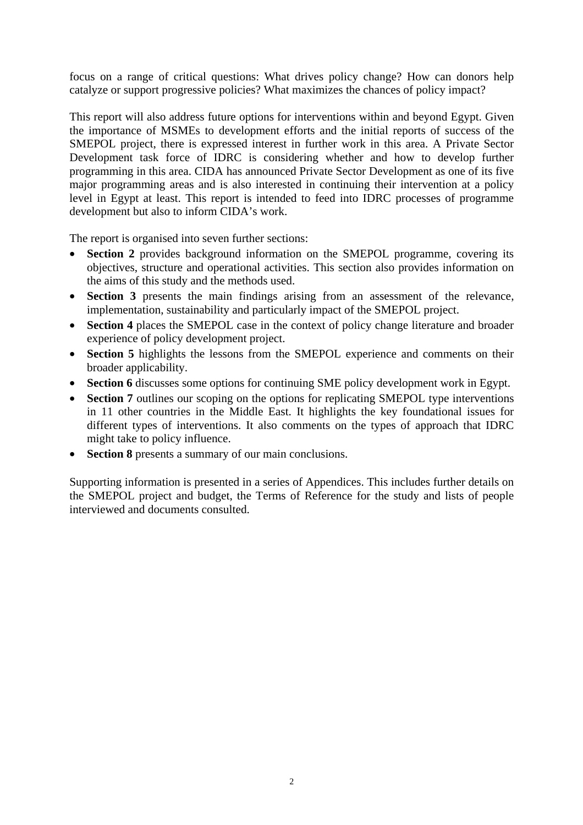focus on a range of critical questions: What drives policy change? How can donors help catalyze or support progressive policies? What maximizes the chances of policy impact?

This report will also address future options for interventions within and beyond Egypt. Given the importance of MSMEs to development efforts and the initial reports of success of the SMEPOL project, there is expressed interest in further work in this area. A Private Sector Development task force of IDRC is considering whether and how to develop further programming in this area. CIDA has announced Private Sector Development as one of its five major programming areas and is also interested in continuing their intervention at a policy level in Egypt at least. This report is intended to feed into IDRC processes of programme development but also to inform CIDA's work.

The report is organised into seven further sections:

- **Section 2** provides background information on the SMEPOL programme, covering its objectives, structure and operational activities. This section also provides information on the aims of this study and the methods used.
- **Section 3** presents the main findings arising from an assessment of the relevance, implementation, sustainability and particularly impact of the SMEPOL project.
- **Section 4** places the SMEPOL case in the context of policy change literature and broader experience of policy development project.
- **Section 5** highlights the lessons from the SMEPOL experience and comments on their broader applicability.
- **Section 6** discusses some options for continuing SME policy development work in Egypt.
- **Section 7** outlines our scoping on the options for replicating SMEPOL type interventions in 11 other countries in the Middle East. It highlights the key foundational issues for different types of interventions. It also comments on the types of approach that IDRC might take to policy influence.
- **Section 8** presents a summary of our main conclusions.

Supporting information is presented in a series of Appendices. This includes further details on the SMEPOL project and budget, the Terms of Reference for the study and lists of people interviewed and documents consulted.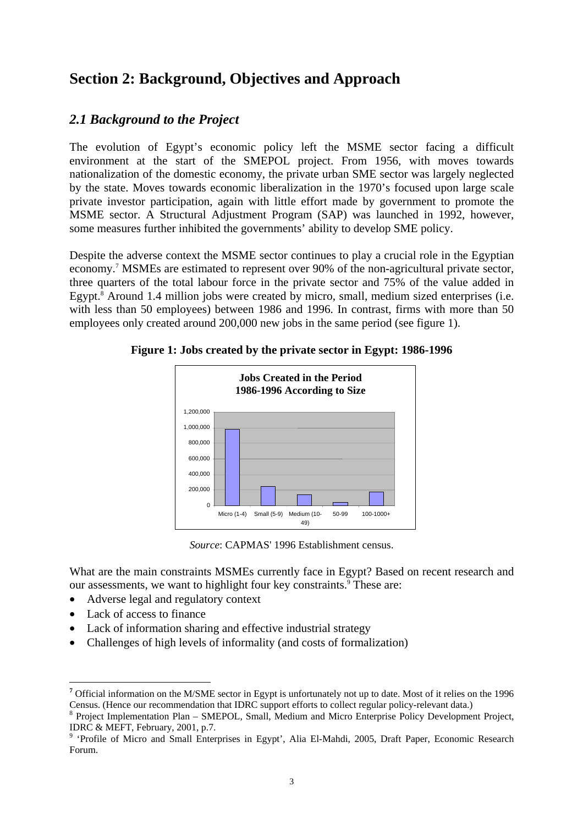# <span id="page-11-0"></span>**Section 2: Background, Objectives and Approach**

# *2.1 Background to the Project*

The evolution of Egypt's economic policy left the MSME sector facing a difficult environment at the start of the SMEPOL project. From 1956, with moves towards nationalization of the domestic economy, the private urban SME sector was largely neglected by the state. Moves towards economic liberalization in the 1970's focused upon large scale private investor participation, again with little effort made by government to promote the MSME sector. A Structural Adjustment Program (SAP) was launched in 1992, however, some measures further inhibited the governments' ability to develop SME policy.

Despite the adverse context the MSME sector continues to play a crucial role in the Egyptian economy.<sup>[7](#page-11-1)</sup> MSMEs are estimated to represent over 90% of the non-agricultural private sector, three quarters of the total labour force in the private sector and 75% of the value added in Egypt.<sup>8</sup> Around 1.4 million jobs were created by micro, small, medium sized enterprises (i.e. with less than 50 employees) between 1986 and 1996. In contrast, firms with more than 50 employees only created around 200,000 new jobs in the same period (see figure 1).



**Figure 1: Jobs created by the private sector in Egypt: 1986-1996** 

*Source*: CAPMAS' 1996 Establishment census.

What are the main constraints MSMEs currently face in Egypt? Based on recent research and our assessments, we want to highlight four key constraints.<sup>9</sup> These are:

- Adverse legal and regulatory context
- Lack of access to finance

 $\overline{a}$ 

- Lack of information sharing and effective industrial strategy
- Challenges of high levels of informality (and costs of formalization)

<span id="page-11-1"></span>**<sup>7</sup>** Official information on the M/SME sector in Egypt is unfortunately not up to date. Most of it relies on the 1996 Census. (Hence our recommendation that IDRC support efforts to collect regular policy-relevant data.) 8

<span id="page-11-2"></span>Project Implementation Plan – SMEPOL, Small, Medium and Micro Enterprise Policy Development Project, IDRC  $&$  MEFT, February, 2001, p.7.

<span id="page-11-3"></span><sup>&</sup>lt;sup>9</sup> 'Profile of Micro and Small Enterprises in Egypt', Alia El-Mahdi, 2005, Draft Paper, Economic Research Forum.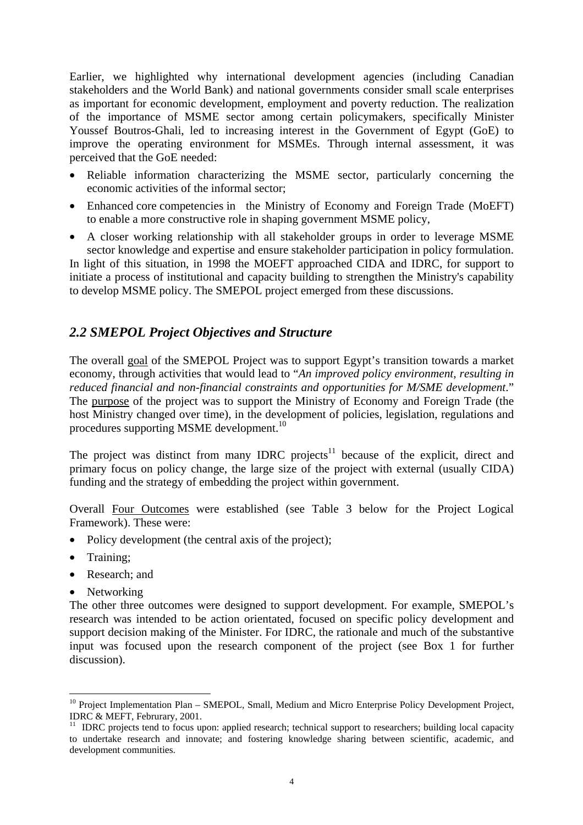<span id="page-12-0"></span>Earlier, we highlighted why international development agencies (including Canadian stakeholders and the World Bank) and national governments consider small scale enterprises as important for economic development, employment and poverty reduction. The realization of the importance of MSME sector among certain policymakers, specifically Minister Youssef Boutros-Ghali, led to increasing interest in the Government of Egypt (GoE) to improve the operating environment for MSMEs. Through internal assessment, it was perceived that the GoE needed:

- Reliable information characterizing the MSME sector, particularly concerning the economic activities of the informal sector;
- Enhanced core competencies in the Ministry of Economy and Foreign Trade (MoEFT) to enable a more constructive role in shaping government MSME policy,
- A closer working relationship with all stakeholder groups in order to leverage MSME sector knowledge and expertise and ensure stakeholder participation in policy formulation.

In light of this situation, in 1998 the MOEFT approached CIDA and IDRC, for support to initiate a process of institutional and capacity building to strengthen the Ministry's capability to develop MSME policy. The SMEPOL project emerged from these discussions.

# *2.2 SMEPOL Project Objectives and Structure*

The overall goal of the SMEPOL Project was to support Egypt's transition towards a market economy, through activities that would lead to "*An improved policy environment, resulting in reduced financial and non-financial constraints and opportunities for M/SME development*." The purpose of the project was to support the Ministry of Economy and Foreign Trade (the host Ministry changed over time), in the development of policies, legislation, regulations and procedures supporting MSME development.<sup>[10](#page-12-1)</sup>

The project was distinct from many IDRC projects<sup>11</sup> because of the explicit, direct and primary focus on policy change, the large size of the project with external (usually CIDA) funding and the strategy of embedding the project within government.

Overall Four Outcomes were established (see Table 3 below for the Project Logical Framework). These were:

- Policy development (the central axis of the project);
- Training:
- Research: and
- Networking

The other three outcomes were designed to support development. For example, SMEPOL's research was intended to be action orientated, focused on specific policy development and support decision making of the Minister. For IDRC, the rationale and much of the substantive input was focused upon the research component of the project (see Box 1 for further discussion).

<span id="page-12-1"></span> $\overline{a}$ <sup>10</sup> Project Implementation Plan – SMEPOL, Small, Medium and Micro Enterprise Policy Development Project, IDRC & MEFT, Februrary, 2001.

<span id="page-12-2"></span><sup>&</sup>lt;sup>11</sup> IDRC projects tend to focus upon: applied research; technical support to researchers; building local capacity to undertake research and innovate; and fostering knowledge sharing between scientific, academic, and development communities.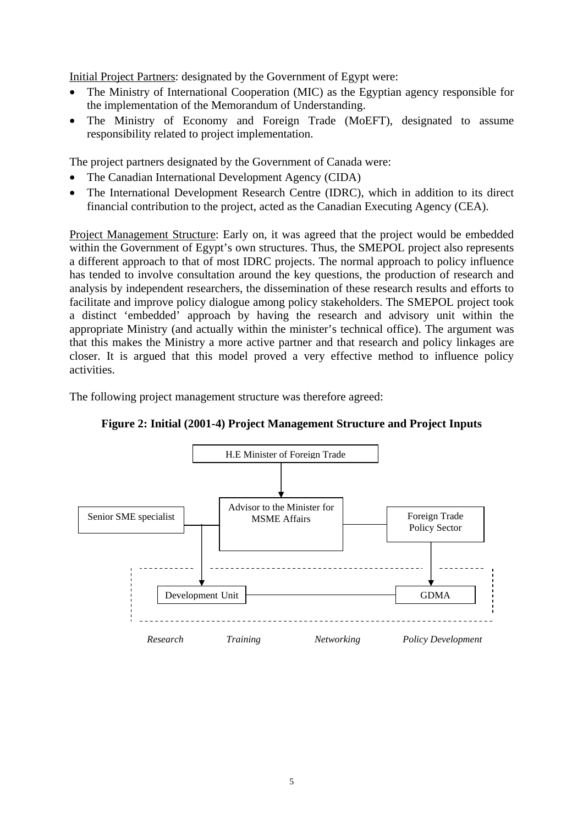<span id="page-13-0"></span>Initial Project Partners: designated by the Government of Egypt were:

- The Ministry of International Cooperation (MIC) as the Egyptian agency responsible for the implementation of the Memorandum of Understanding.
- The Ministry of Economy and Foreign Trade (MoEFT), designated to assume responsibility related to project implementation.

The project partners designated by the Government of Canada were:

- The Canadian International Development Agency (CIDA)
- The International Development Research Centre (IDRC), which in addition to its direct financial contribution to the project, acted as the Canadian Executing Agency (CEA).

Project Management Structure: Early on, it was agreed that the project would be embedded within the Government of Egypt's own structures. Thus, the SMEPOL project also represents a different approach to that of most IDRC projects. The normal approach to policy influence has tended to involve consultation around the key questions, the production of research and analysis by independent researchers, the dissemination of these research results and efforts to facilitate and improve policy dialogue among policy stakeholders. The SMEPOL project took a distinct 'embedded' approach by having the research and advisory unit within the appropriate Ministry (and actually within the minister's technical office). The argument was that this makes the Ministry a more active partner and that research and policy linkages are closer. It is argued that this model proved a very effective method to influence policy activities.

The following project management structure was therefore agreed:



**Figure 2: Initial (2001-4) Project Management Structure and Project Inputs**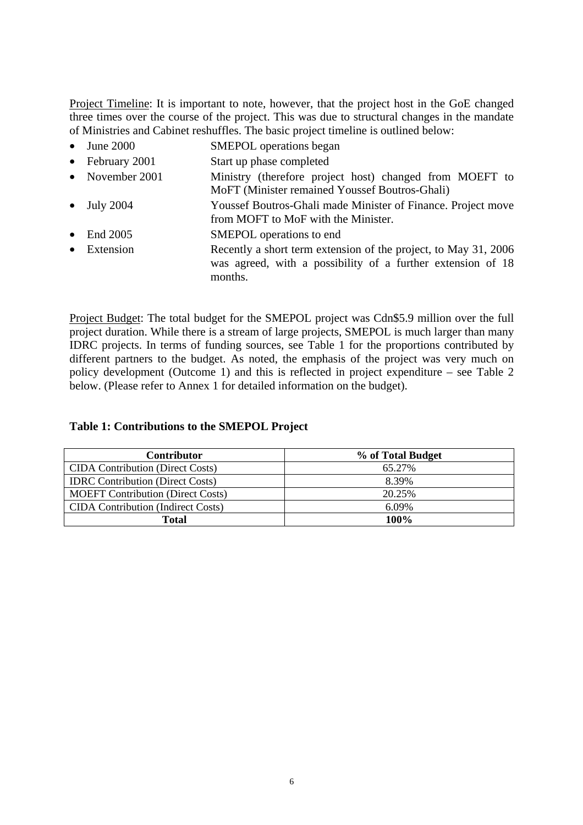<span id="page-14-0"></span>Project Timeline: It is important to note, however, that the project host in the GoE changed three times over the course of the project. This was due to structural changes in the mandate of Ministries and Cabinet reshuffles. The basic project timeline is outlined below:

- June 2000 SMEPOL operations began
- February 2001 Start up phase completed
- November 2001 Ministry (therefore project host) changed from MOEFT to MoFT (Minister remained Youssef Boutros-Ghali)
- July 2004 Youssef Boutros-Ghali made Minister of Finance. Project move from MOFT to MoF with the Minister.
- End 2005 SMEPOL operations to end
- Extension Recently a short term extension of the project, to May 31, 2006 was agreed, with a possibility of a further extension of 18 months.

Project Budget: The total budget for the SMEPOL project was Cdn\$5.9 million over the full project duration. While there is a stream of large projects, SMEPOL is much larger than many IDRC projects. In terms of funding sources, see Table 1 for the proportions contributed by different partners to the budget. As noted, the emphasis of the project was very much on policy development (Outcome 1) and this is reflected in project expenditure – see Table 2 below. (Please refer to Annex 1 for detailed information on the budget).

### **Table 1: Contributions to the SMEPOL Project**

| <b>Contributor</b>                        | % of Total Budget |
|-------------------------------------------|-------------------|
| <b>CIDA</b> Contribution (Direct Costs)   | 65.27%            |
| <b>IDRC</b> Contribution (Direct Costs)   | 8.39%             |
| <b>MOEFT Contribution (Direct Costs)</b>  | 20.25%            |
| <b>CIDA</b> Contribution (Indirect Costs) | 6.09%             |
| Total                                     | 100%              |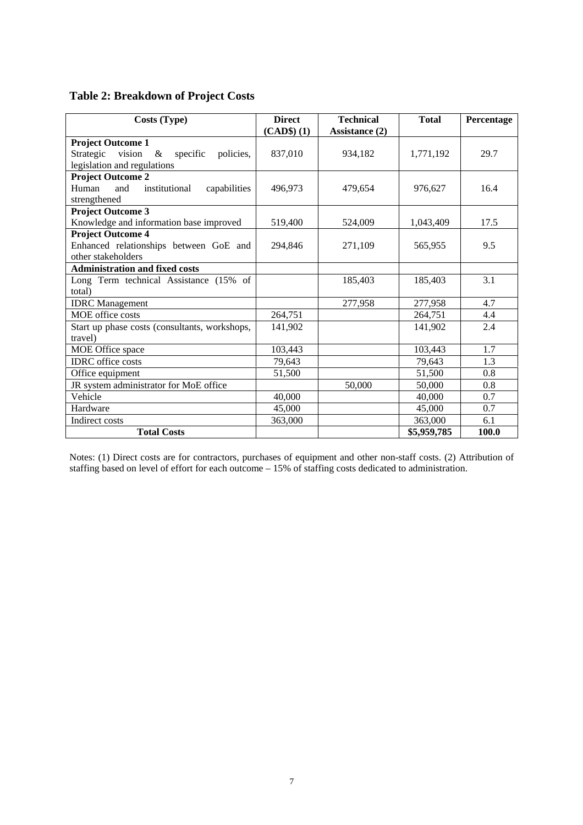<span id="page-15-0"></span>

| Costs (Type)                                         | <b>Direct</b><br>$(CAD$)$ $(1)$ | <b>Technical</b><br>Assistance (2) | <b>Total</b> | Percentage |
|------------------------------------------------------|---------------------------------|------------------------------------|--------------|------------|
| <b>Project Outcome 1</b>                             |                                 |                                    |              |            |
| vision<br>specific<br>Strategic<br>$\&$<br>policies, | 837,010                         | 934,182                            | 1,771,192    | 29.7       |
| legislation and regulations                          |                                 |                                    |              |            |
| <b>Project Outcome 2</b>                             |                                 |                                    |              |            |
| Human<br>and<br>institutional<br>capabilities        | 496,973                         | 479,654                            | 976,627      | 16.4       |
| strengthened                                         |                                 |                                    |              |            |
| <b>Project Outcome 3</b>                             |                                 |                                    |              |            |
| Knowledge and information base improved              | 519,400                         | 524,009                            | 1,043,409    | 17.5       |
| <b>Project Outcome 4</b>                             |                                 |                                    |              |            |
| Enhanced relationships between GoE and               | 294,846                         | 271,109                            | 565,955      | 9.5        |
| other stakeholders                                   |                                 |                                    |              |            |
| <b>Administration and fixed costs</b>                |                                 |                                    |              |            |
| Long Term technical Assistance (15% of               |                                 | 185,403                            | 185,403      | 3.1        |
| total)                                               |                                 |                                    |              |            |
| <b>IDRC</b> Management                               |                                 | 277,958                            | 277,958      | 4.7        |
| MOE office costs                                     | 264,751                         |                                    | 264,751      | 4.4        |
| Start up phase costs (consultants, workshops,        | 141,902                         |                                    | 141.902      | 2.4        |
| travel)                                              |                                 |                                    |              |            |
| MOE Office space                                     | 103,443                         |                                    | 103,443      | 1.7        |
| <b>IDRC</b> office costs                             | 79,643                          |                                    | 79,643       | 1.3        |
| Office equipment                                     | 51,500                          |                                    | 51,500       | 0.8        |
| JR system administrator for MoE office               |                                 | 50,000                             | 50,000       | 0.8        |
| Vehicle                                              | 40,000                          |                                    | 40,000       | 0.7        |
| Hardware                                             | 45,000                          |                                    | 45,000       | 0.7        |
| Indirect costs                                       | 363,000                         |                                    | 363,000      | 6.1        |
| <b>Total Costs</b>                                   |                                 |                                    | \$5,959,785  | 100.0      |

Notes: (1) Direct costs are for contractors, purchases of equipment and other non-staff costs. (2) Attribution of staffing based on level of effort for each outcome – 15% of staffing costs dedicated to administration.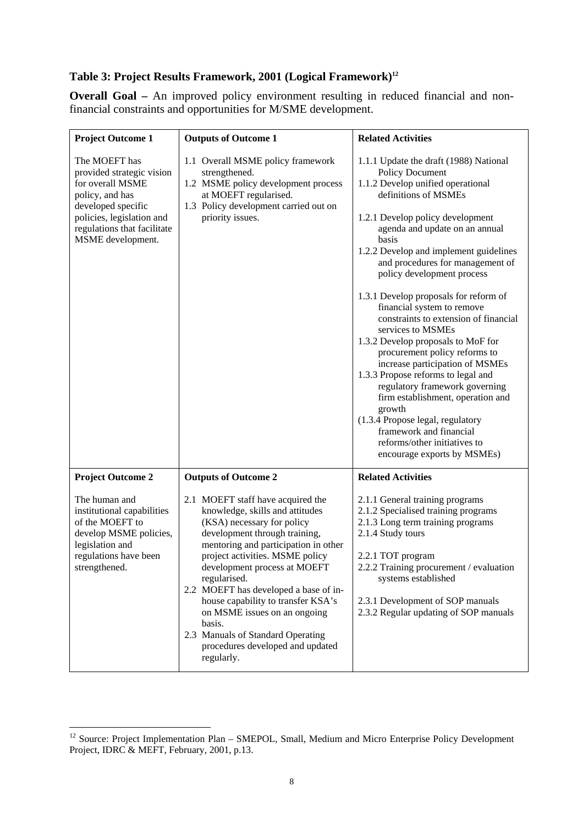# <span id="page-16-0"></span>**Table 3: Project Results Framework, 2001 (Logical Framework)[12](#page-16-1)**

**Overall Goal –** An improved policy environment resulting in reduced financial and nonfinancial constraints and opportunities for M/SME development.

| <b>Project Outcome 1</b>                                                                                                                                                                 | <b>Outputs of Outcome 1</b>                                                                                                                                                                                                                                                                                                                                                                                                                                                    | <b>Related Activities</b>                                                                                                                                                                                                                                                                                                                                                                                                                                                                                                                                                                                                                                                                                                                                                                                                    |
|------------------------------------------------------------------------------------------------------------------------------------------------------------------------------------------|--------------------------------------------------------------------------------------------------------------------------------------------------------------------------------------------------------------------------------------------------------------------------------------------------------------------------------------------------------------------------------------------------------------------------------------------------------------------------------|------------------------------------------------------------------------------------------------------------------------------------------------------------------------------------------------------------------------------------------------------------------------------------------------------------------------------------------------------------------------------------------------------------------------------------------------------------------------------------------------------------------------------------------------------------------------------------------------------------------------------------------------------------------------------------------------------------------------------------------------------------------------------------------------------------------------------|
| The MOEFT has<br>provided strategic vision<br>for overall MSME<br>policy, and has<br>developed specific<br>policies, legislation and<br>regulations that facilitate<br>MSME development. | 1.1 Overall MSME policy framework<br>strengthened.<br>1.2 MSME policy development process<br>at MOEFT regularised.<br>1.3 Policy development carried out on<br>priority issues.                                                                                                                                                                                                                                                                                                | 1.1.1 Update the draft (1988) National<br><b>Policy Document</b><br>1.1.2 Develop unified operational<br>definitions of MSMEs<br>1.2.1 Develop policy development<br>agenda and update on an annual<br>basis<br>1.2.2 Develop and implement guidelines<br>and procedures for management of<br>policy development process<br>1.3.1 Develop proposals for reform of<br>financial system to remove<br>constraints to extension of financial<br>services to MSMEs<br>1.3.2 Develop proposals to MoF for<br>procurement policy reforms to<br>increase participation of MSMEs<br>1.3.3 Propose reforms to legal and<br>regulatory framework governing<br>firm establishment, operation and<br>growth<br>(1.3.4 Propose legal, regulatory<br>framework and financial<br>reforms/other initiatives to<br>encourage exports by MSMEs) |
| <b>Project Outcome 2</b>                                                                                                                                                                 | <b>Outputs of Outcome 2</b>                                                                                                                                                                                                                                                                                                                                                                                                                                                    | <b>Related Activities</b>                                                                                                                                                                                                                                                                                                                                                                                                                                                                                                                                                                                                                                                                                                                                                                                                    |
| The human and<br>institutional capabilities<br>of the MOEFT to<br>develop MSME policies,<br>legislation and<br>regulations have been<br>strengthened.                                    | 2.1 MOEFT staff have acquired the<br>knowledge, skills and attitudes<br>(KSA) necessary for policy<br>development through training,<br>mentoring and participation in other<br>project activities. MSME policy<br>development process at MOEFT<br>regularised.<br>2.2 MOEFT has developed a base of in-<br>house capability to transfer KSA's<br>on MSME issues on an ongoing<br>basis.<br>2.3 Manuals of Standard Operating<br>procedures developed and updated<br>regularly. | 2.1.1 General training programs<br>2.1.2 Specialised training programs<br>2.1.3 Long term training programs<br>2.1.4 Study tours<br>2.2.1 TOT program<br>2.2.2 Training procurement / evaluation<br>systems established<br>2.3.1 Development of SOP manuals<br>2.3.2 Regular updating of SOP manuals                                                                                                                                                                                                                                                                                                                                                                                                                                                                                                                         |

 $\overline{a}$ 

<span id="page-16-1"></span><sup>&</sup>lt;sup>12</sup> Source: Project Implementation Plan – SMEPOL, Small, Medium and Micro Enterprise Policy Development Project, IDRC & MEFT, February, 2001, p.13.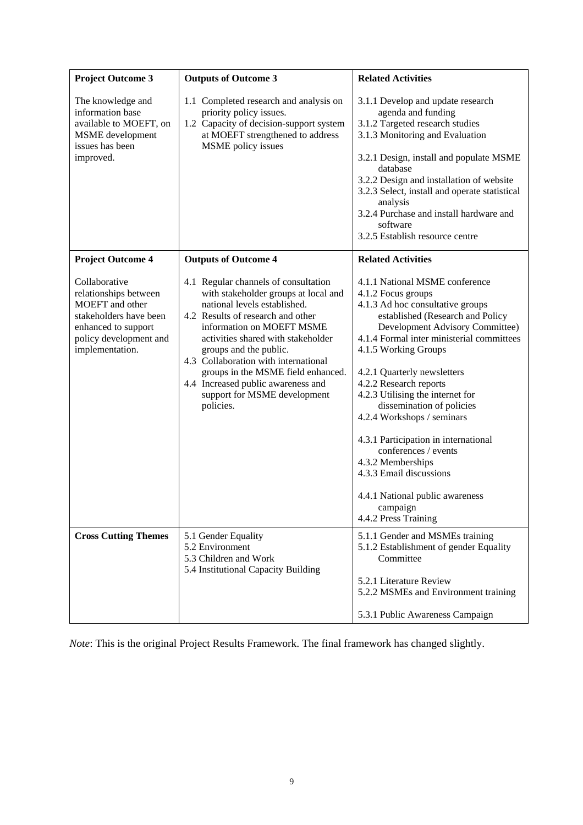| <b>Project Outcome 3</b>                                                                                                                                       | <b>Outputs of Outcome 3</b>                                                                                                                                                                                                                                                                                                                                                                                     | <b>Related Activities</b>                                                                                                                                                                                                                                                                                                                                                                                                                                                                                                                                                           |
|----------------------------------------------------------------------------------------------------------------------------------------------------------------|-----------------------------------------------------------------------------------------------------------------------------------------------------------------------------------------------------------------------------------------------------------------------------------------------------------------------------------------------------------------------------------------------------------------|-------------------------------------------------------------------------------------------------------------------------------------------------------------------------------------------------------------------------------------------------------------------------------------------------------------------------------------------------------------------------------------------------------------------------------------------------------------------------------------------------------------------------------------------------------------------------------------|
| The knowledge and<br>information base<br>available to MOEFT, on<br><b>MSME</b> development<br>issues has been<br>improved.                                     | 1.1 Completed research and analysis on<br>priority policy issues.<br>1.2 Capacity of decision-support system<br>at MOEFT strengthened to address<br>MSME policy issues                                                                                                                                                                                                                                          | 3.1.1 Develop and update research<br>agenda and funding<br>3.1.2 Targeted research studies<br>3.1.3 Monitoring and Evaluation<br>3.2.1 Design, install and populate MSME<br>database<br>3.2.2 Design and installation of website<br>3.2.3 Select, install and operate statistical<br>analysis<br>3.2.4 Purchase and install hardware and<br>software<br>3.2.5 Establish resource centre                                                                                                                                                                                             |
| <b>Project Outcome 4</b>                                                                                                                                       | <b>Outputs of Outcome 4</b>                                                                                                                                                                                                                                                                                                                                                                                     | <b>Related Activities</b>                                                                                                                                                                                                                                                                                                                                                                                                                                                                                                                                                           |
| Collaborative<br>relationships between<br><b>MOEFT</b> and other<br>stakeholders have been<br>enhanced to support<br>policy development and<br>implementation. | 4.1 Regular channels of consultation<br>with stakeholder groups at local and<br>national levels established.<br>4.2 Results of research and other<br>information on MOEFT MSME<br>activities shared with stakeholder<br>groups and the public.<br>4.3 Collaboration with international<br>groups in the MSME field enhanced.<br>4.4 Increased public awareness and<br>support for MSME development<br>policies. | 4.1.1 National MSME conference<br>4.1.2 Focus groups<br>4.1.3 Ad hoc consultative groups<br>established (Research and Policy<br>Development Advisory Committee)<br>4.1.4 Formal inter ministerial committees<br>4.1.5 Working Groups<br>4.2.1 Quarterly newsletters<br>4.2.2 Research reports<br>4.2.3 Utilising the internet for<br>dissemination of policies<br>4.2.4 Workshops / seminars<br>4.3.1 Participation in international<br>conferences / events<br>4.3.2 Memberships<br>4.3.3 Email discussions<br>4.4.1 National public awareness<br>campaign<br>4.4.2 Press Training |
| <b>Cross Cutting Themes</b>                                                                                                                                    | 5.1 Gender Equality<br>5.2 Environment<br>5.3 Children and Work<br>5.4 Institutional Capacity Building                                                                                                                                                                                                                                                                                                          | 5.1.1 Gender and MSMEs training<br>5.1.2 Establishment of gender Equality<br>Committee<br>5.2.1 Literature Review<br>5.2.2 MSMEs and Environment training<br>5.3.1 Public Awareness Campaign                                                                                                                                                                                                                                                                                                                                                                                        |

*Note*: This is the original Project Results Framework. The final framework has changed slightly.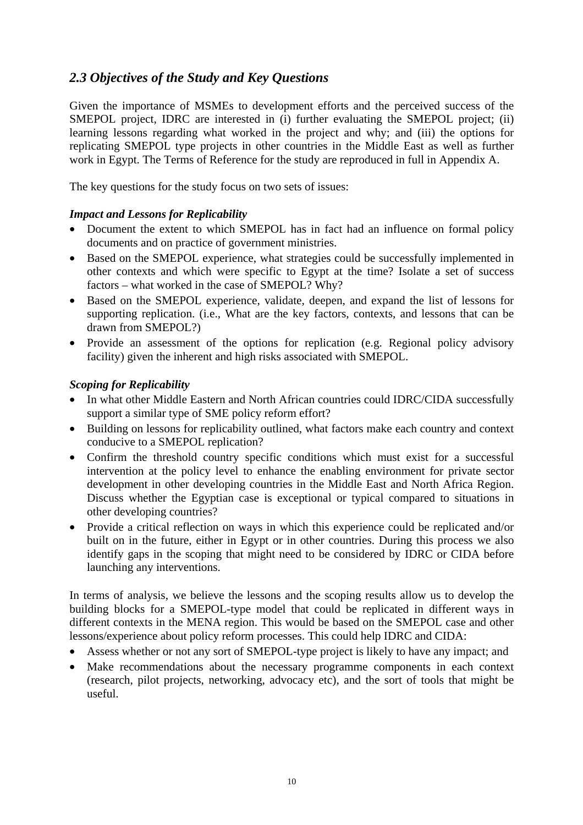# <span id="page-18-0"></span>*2.3 Objectives of the Study and Key Questions*

Given the importance of MSMEs to development efforts and the perceived success of the SMEPOL project, IDRC are interested in (i) further evaluating the SMEPOL project; (ii) learning lessons regarding what worked in the project and why; and (iii) the options for replicating SMEPOL type projects in other countries in the Middle East as well as further work in Egypt. The Terms of Reference for the study are reproduced in full in Appendix A.

The key questions for the study focus on two sets of issues:

### *Impact and Lessons for Replicability*

- Document the extent to which SMEPOL has in fact had an influence on formal policy documents and on practice of government ministries.
- Based on the SMEPOL experience, what strategies could be successfully implemented in other contexts and which were specific to Egypt at the time? Isolate a set of success factors – what worked in the case of SMEPOL? Why?
- Based on the SMEPOL experience, validate, deepen, and expand the list of lessons for supporting replication. (i.e., What are the key factors, contexts, and lessons that can be drawn from SMEPOL?)
- Provide an assessment of the options for replication (e.g. Regional policy advisory facility) given the inherent and high risks associated with SMEPOL.

### *Scoping for Replicability*

- In what other Middle Eastern and North African countries could IDRC/CIDA successfully support a similar type of SME policy reform effort?
- Building on lessons for replicability outlined, what factors make each country and context conducive to a SMEPOL replication?
- Confirm the threshold country specific conditions which must exist for a successful intervention at the policy level to enhance the enabling environment for private sector development in other developing countries in the Middle East and North Africa Region. Discuss whether the Egyptian case is exceptional or typical compared to situations in other developing countries?
- Provide a critical reflection on ways in which this experience could be replicated and/or built on in the future, either in Egypt or in other countries. During this process we also identify gaps in the scoping that might need to be considered by IDRC or CIDA before launching any interventions.

In terms of analysis, we believe the lessons and the scoping results allow us to develop the building blocks for a SMEPOL-type model that could be replicated in different ways in different contexts in the MENA region. This would be based on the SMEPOL case and other lessons/experience about policy reform processes. This could help IDRC and CIDA:

- Assess whether or not any sort of SMEPOL-type project is likely to have any impact; and
- Make recommendations about the necessary programme components in each context (research, pilot projects, networking, advocacy etc), and the sort of tools that might be useful.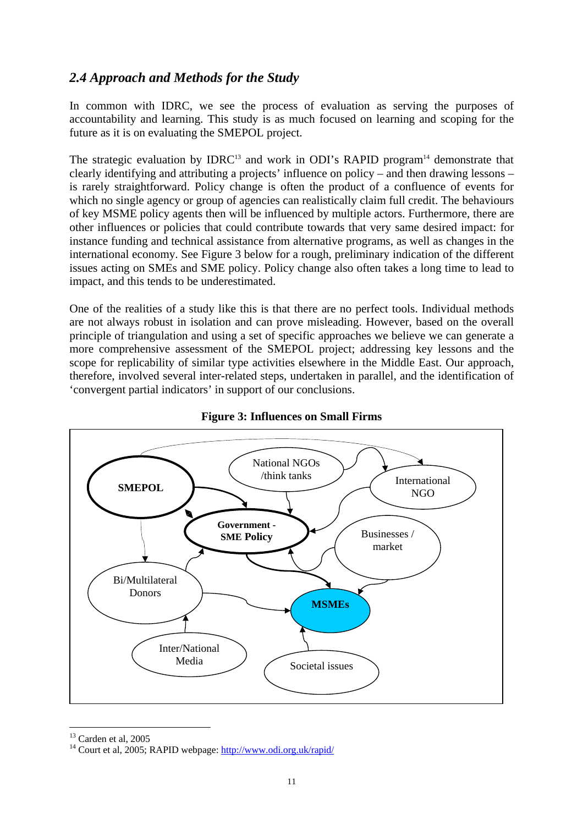# <span id="page-19-0"></span>*2.4 Approach and Methods for the Study*

In common with IDRC, we see the process of evaluation as serving the purposes of accountability and learning. This study is as much focused on learning and scoping for the future as it is on evaluating the SMEPOL project.

The strategic evaluation by IDRC<sup>13</sup> and work in ODI's RAPID program<sup>14</sup> demonstrate that clearly identifying and attributing a projects' influence on policy – and then drawing lessons – is rarely straightforward. Policy change is often the product of a confluence of events for which no single agency or group of agencies can realistically claim full credit. The behaviours of key MSME policy agents then will be influenced by multiple actors. Furthermore, there are other influences or policies that could contribute towards that very same desired impact: for instance funding and technical assistance from alternative programs, as well as changes in the international economy. See Figure 3 below for a rough, preliminary indication of the different issues acting on SMEs and SME policy. Policy change also often takes a long time to lead to impact, and this tends to be underestimated.

One of the realities of a study like this is that there are no perfect tools. Individual methods are not always robust in isolation and can prove misleading. However, based on the overall principle of triangulation and using a set of specific approaches we believe we can generate a more comprehensive assessment of the SMEPOL project; addressing key lessons and the scope for replicability of similar type activities elsewhere in the Middle East. Our approach, therefore, involved several inter-related steps, undertaken in parallel, and the identification of 'convergent partial indicators' in support of our conclusions.





<span id="page-19-2"></span><span id="page-19-1"></span>

 $\overline{a}$ 

<sup>&</sup>lt;sup>13</sup> Carden et al, 2005<br><sup>14</sup> Court et al, 2005; RAPID webpage: http://www.odi.org.uk/rapid/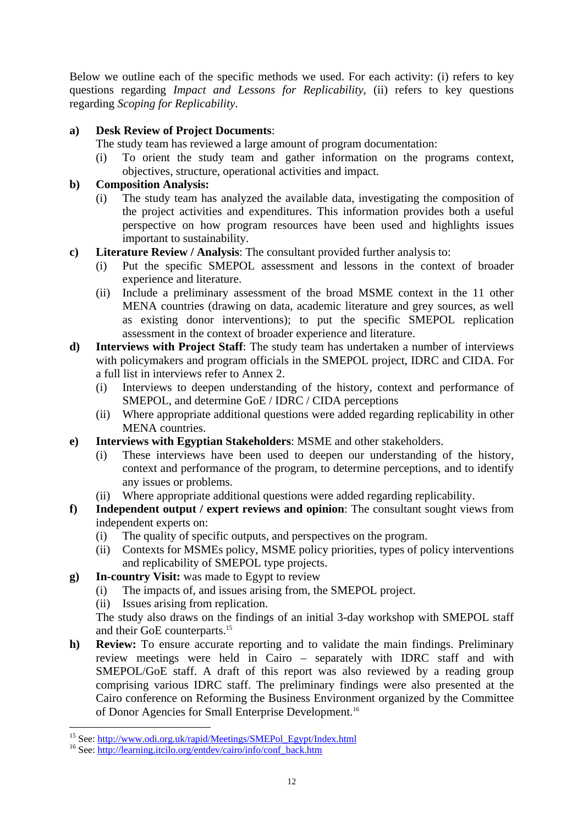Below we outline each of the specific methods we used. For each activity: (i) refers to key questions regarding *Impact and Lessons for Replicability*, (ii) refers to key questions regarding *Scoping for Replicability*.

## **a) Desk Review of Project Documents**:

The study team has reviewed a large amount of program documentation:

(i) To orient the study team and gather information on the programs context, objectives, structure, operational activities and impact.

### **b) Composition Analysis:**

- (i) The study team has analyzed the available data, investigating the composition of the project activities and expenditures. This information provides both a useful perspective on how program resources have been used and highlights issues important to sustainability.
- **c) Literature Review / Analysis**: The consultant provided further analysis to:
	- (i) Put the specific SMEPOL assessment and lessons in the context of broader experience and literature.
	- (ii) Include a preliminary assessment of the broad MSME context in the 11 other MENA countries (drawing on data, academic literature and grey sources, as well as existing donor interventions); to put the specific SMEPOL replication assessment in the context of broader experience and literature.
- **d) Interviews with Project Staff**: The study team has undertaken a number of interviews with policymakers and program officials in the SMEPOL project, IDRC and CIDA. For a full list in interviews refer to Annex 2.
	- (i) Interviews to deepen understanding of the history, context and performance of SMEPOL, and determine GoE / IDRC / CIDA perceptions
	- (ii) Where appropriate additional questions were added regarding replicability in other MENA countries.
- **e) Interviews with Egyptian Stakeholders**: MSME and other stakeholders.
	- (i) These interviews have been used to deepen our understanding of the history, context and performance of the program, to determine perceptions, and to identify any issues or problems.
	- (ii) Where appropriate additional questions were added regarding replicability.
- **f) Independent output / expert reviews and opinion**: The consultant sought views from independent experts on:
	- (i) The quality of specific outputs, and perspectives on the program.
	- (ii) Contexts for MSMEs policy, MSME policy priorities, types of policy interventions and replicability of SMEPOL type projects.
- **g) In-country Visit:** was made to Egypt to review
	- (i) The impacts of, and issues arising from, the SMEPOL project.
	- (ii) Issues arising from replication.

The study also draws on the findings of an initial 3-day workshop with SMEPOL staff and their GoE counterparts.<sup>[15](#page-20-0)</sup>

**h) Review:** To ensure accurate reporting and to validate the main findings. Preliminary review meetings were held in Cairo – separately with IDRC staff and with SMEPOL/GoE staff. A draft of this report was also reviewed by a reading group comprising various IDRC staff. The preliminary findings were also presented at the Cairo conference on Reforming the Business Environment organized by the Committee of Donor Agencies for Small Enterprise Development.<sup>16</sup>

 $\overline{a}$ 

<span id="page-20-0"></span><sup>&</sup>lt;sup>15</sup> See: [http://www.odi.org.uk/rapid/Meetings/SMEPol\\_Egypt/Index.html](http://www.odi.org.uk/rapid/Meetings/SMEPol_Egypt/Index.html) <sup>16</sup> See: http://learning.itcilo.org/entdev/cairo/info/conf\_back.htm

<span id="page-20-1"></span>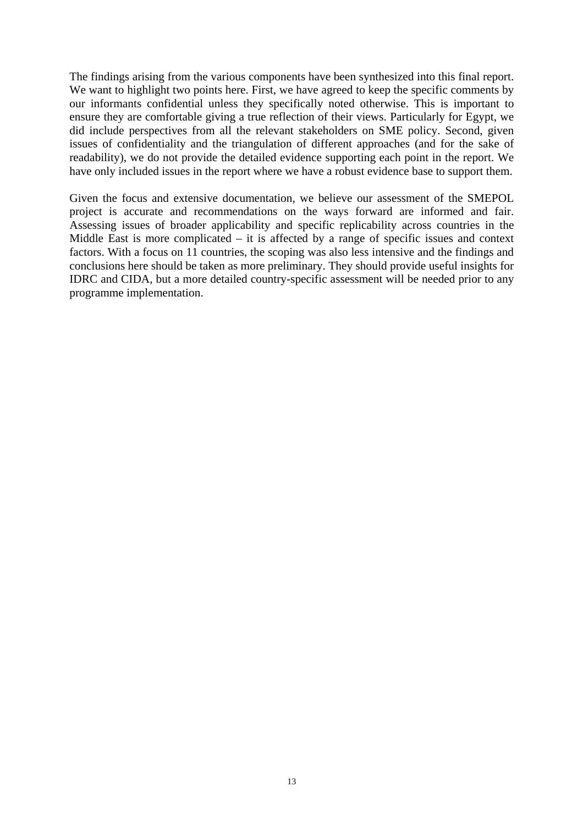The findings arising from the various components have been synthesized into this final report. We want to highlight two points here. First, we have agreed to keep the specific comments by our informants confidential unless they specifically noted otherwise. This is important to ensure they are comfortable giving a true reflection of their views. Particularly for Egypt, we did include perspectives from all the relevant stakeholders on SME policy. Second, given issues of confidentiality and the triangulation of different approaches (and for the sake of readability), we do not provide the detailed evidence supporting each point in the report. We have only included issues in the report where we have a robust evidence base to support them.

Given the focus and extensive documentation, we believe our assessment of the SMEPOL project is accurate and recommendations on the ways forward are informed and fair. Assessing issues of broader applicability and specific replicability across countries in the Middle East is more complicated – it is affected by a range of specific issues and context factors. With a focus on 11 countries, the scoping was also less intensive and the findings and conclusions here should be taken as more preliminary. They should provide useful insights for IDRC and CIDA, but a more detailed country-specific assessment will be needed prior to any programme implementation.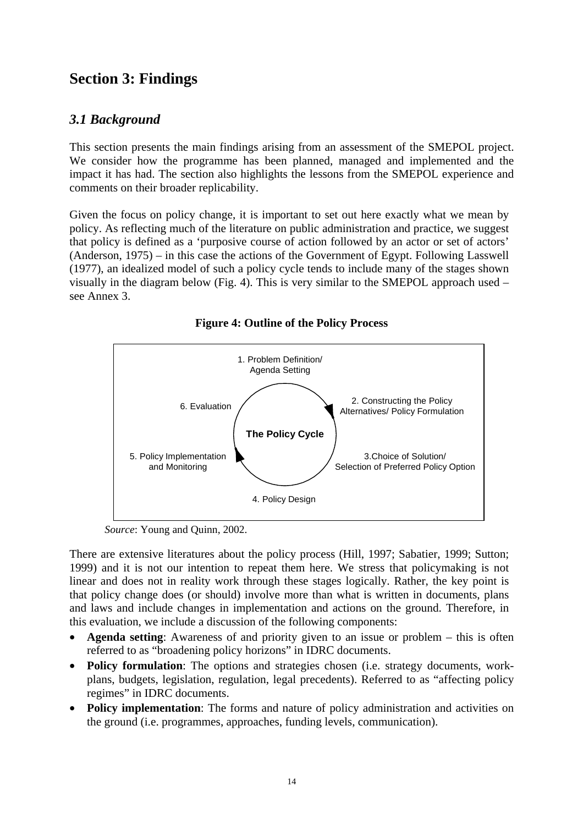# <span id="page-22-0"></span>**Section 3: Findings**

# *3.1 Background*

This section presents the main findings arising from an assessment of the SMEPOL project. We consider how the programme has been planned, managed and implemented and the impact it has had. The section also highlights the lessons from the SMEPOL experience and comments on their broader replicability.

Given the focus on policy change, it is important to set out here exactly what we mean by policy. As reflecting much of the literature on public administration and practice, we suggest that policy is defined as a 'purposive course of action followed by an actor or set of actors' (Anderson, 1975) – in this case the actions of the Government of Egypt. Following Lasswell (1977), an idealized model of such a policy cycle tends to include many of the stages shown visually in the diagram below (Fig. 4). This is very similar to the SMEPOL approach used – see Annex 3.



**Figure 4: Outline of the Policy Process** 

*Source*: Young and Quinn, 2002.

There are extensive literatures about the policy process (Hill, 1997; Sabatier, 1999; Sutton; 1999) and it is not our intention to repeat them here. We stress that policymaking is not linear and does not in reality work through these stages logically. Rather, the key point is that policy change does (or should) involve more than what is written in documents, plans and laws and include changes in implementation and actions on the ground. Therefore, in this evaluation, we include a discussion of the following components:

- **Agenda setting**: Awareness of and priority given to an issue or problem this is often referred to as "broadening policy horizons" in IDRC documents.
- **Policy formulation**: The options and strategies chosen (i.e. strategy documents, workplans, budgets, legislation, regulation, legal precedents). Referred to as "affecting policy regimes" in IDRC documents.
- **Policy implementation**: The forms and nature of policy administration and activities on the ground (i.e. programmes, approaches, funding levels, communication).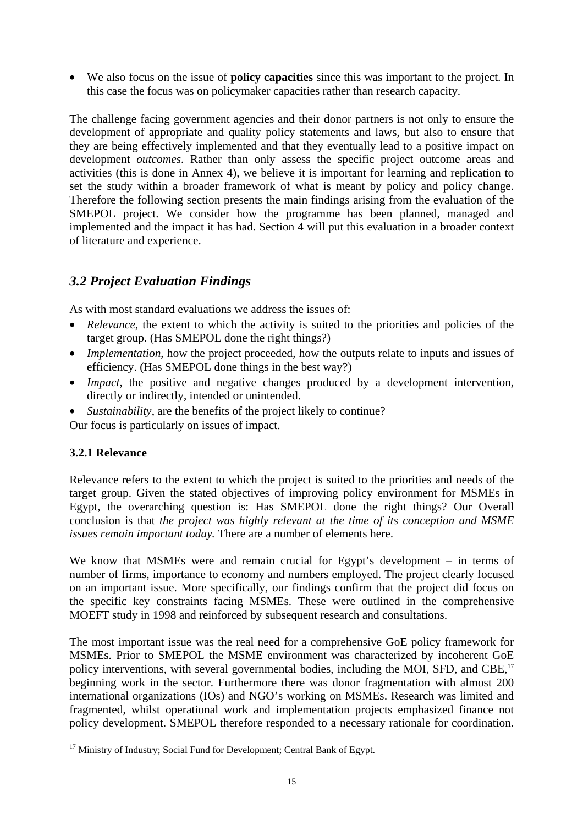<span id="page-23-0"></span>• We also focus on the issue of **policy capacities** since this was important to the project. In this case the focus was on policymaker capacities rather than research capacity.

The challenge facing government agencies and their donor partners is not only to ensure the development of appropriate and quality policy statements and laws, but also to ensure that they are being effectively implemented and that they eventually lead to a positive impact on development *outcomes*. Rather than only assess the specific project outcome areas and activities (this is done in Annex 4), we believe it is important for learning and replication to set the study within a broader framework of what is meant by policy and policy change. Therefore the following section presents the main findings arising from the evaluation of the SMEPOL project. We consider how the programme has been planned, managed and implemented and the impact it has had. Section 4 will put this evaluation in a broader context of literature and experience.

# *3.2 Project Evaluation Findings*

As with most standard evaluations we address the issues of:

- *Relevance*, the extent to which the activity is suited to the priorities and policies of the target group. (Has SMEPOL done the right things?)
- *Implementation*, how the project proceeded, how the outputs relate to inputs and issues of efficiency. (Has SMEPOL done things in the best way?)
- *Impact*, the positive and negative changes produced by a development intervention, directly or indirectly, intended or unintended.
- *Sustainability*, are the benefits of the project likely to continue?

Our focus is particularly on issues of impact.

### **3.2.1 Relevance**

 $\overline{a}$ 

Relevance refers to the extent to which the project is suited to the priorities and needs of the target group. Given the stated objectives of improving policy environment for MSMEs in Egypt, the overarching question is: Has SMEPOL done the right things? Our Overall conclusion is that *the project was highly relevant at the time of its conception and MSME issues remain important today.* There are a number of elements here.

We know that MSMEs were and remain crucial for Egypt's development – in terms of number of firms, importance to economy and numbers employed. The project clearly focused on an important issue. More specifically, our findings confirm that the project did focus on the specific key constraints facing MSMEs. These were outlined in the comprehensive MOEFT study in 1998 and reinforced by subsequent research and consultations.

The most important issue was the real need for a comprehensive GoE policy framework for MSMEs. Prior to SMEPOL the MSME environment was characterized by incoherent GoE policy interventions, with several governmental bodies, including the MOI, SFD, and CBE,<sup>[17](#page-23-1)</sup> beginning work in the sector. Furthermore there was donor fragmentation with almost 200 international organizations (IOs) and NGO's working on MSMEs. Research was limited and fragmented, whilst operational work and implementation projects emphasized finance not policy development. SMEPOL therefore responded to a necessary rationale for coordination.

<span id="page-23-1"></span><sup>&</sup>lt;sup>17</sup> Ministry of Industry: Social Fund for Development: Central Bank of Egypt.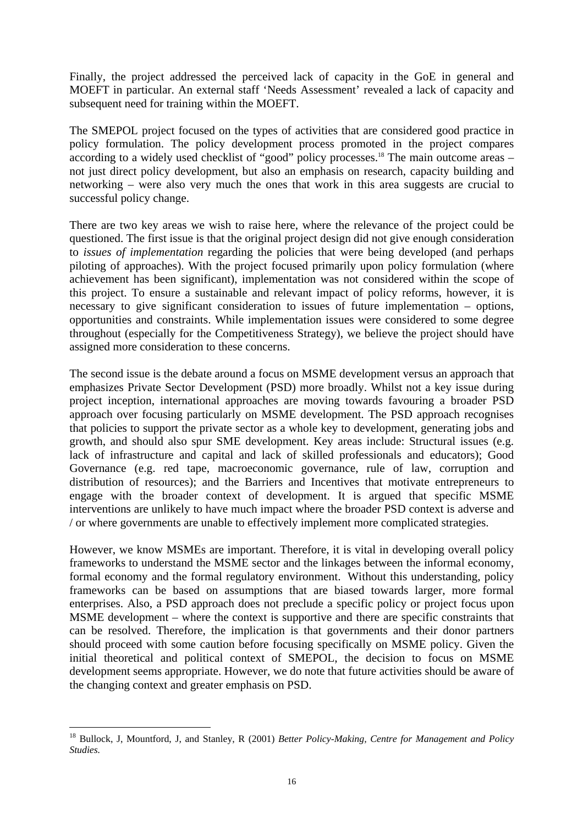Finally, the project addressed the perceived lack of capacity in the GoE in general and MOEFT in particular. An external staff 'Needs Assessment' revealed a lack of capacity and subsequent need for training within the MOEFT.

The SMEPOL project focused on the types of activities that are considered good practice in policy formulation. The policy development process promoted in the project compares according to a widely used checklist of "good" policy processes.<sup>18</sup> The main outcome areas – not just direct policy development, but also an emphasis on research, capacity building and networking – were also very much the ones that work in this area suggests are crucial to successful policy change.

There are two key areas we wish to raise here, where the relevance of the project could be questioned. The first issue is that the original project design did not give enough consideration to *issues of implementation* regarding the policies that were being developed (and perhaps piloting of approaches). With the project focused primarily upon policy formulation (where achievement has been significant), implementation was not considered within the scope of this project. To ensure a sustainable and relevant impact of policy reforms, however, it is necessary to give significant consideration to issues of future implementation – options, opportunities and constraints. While implementation issues were considered to some degree throughout (especially for the Competitiveness Strategy), we believe the project should have assigned more consideration to these concerns.

The second issue is the debate around a focus on MSME development versus an approach that emphasizes Private Sector Development (PSD) more broadly. Whilst not a key issue during project inception, international approaches are moving towards favouring a broader PSD approach over focusing particularly on MSME development. The PSD approach recognises that policies to support the private sector as a whole key to development, generating jobs and growth, and should also spur SME development. Key areas include: Structural issues (e.g. lack of infrastructure and capital and lack of skilled professionals and educators); Good Governance (e.g. red tape, macroeconomic governance, rule of law, corruption and distribution of resources); and the Barriers and Incentives that motivate entrepreneurs to engage with the broader context of development. It is argued that specific MSME interventions are unlikely to have much impact where the broader PSD context is adverse and / or where governments are unable to effectively implement more complicated strategies.

However, we know MSMEs are important. Therefore, it is vital in developing overall policy frameworks to understand the MSME sector and the linkages between the informal economy, formal economy and the formal regulatory environment. Without this understanding, policy frameworks can be based on assumptions that are biased towards larger, more formal enterprises. Also, a PSD approach does not preclude a specific policy or project focus upon MSME development – where the context is supportive and there are specific constraints that can be resolved. Therefore, the implication is that governments and their donor partners should proceed with some caution before focusing specifically on MSME policy. Given the initial theoretical and political context of SMEPOL, the decision to focus on MSME development seems appropriate. However, we do note that future activities should be aware of the changing context and greater emphasis on PSD.

 $\overline{a}$ 

<span id="page-24-0"></span><sup>18</sup> Bullock, J, Mountford, J, and Stanley, R (2001) *Better Policy-Making, Centre for Management and Policy Studies.*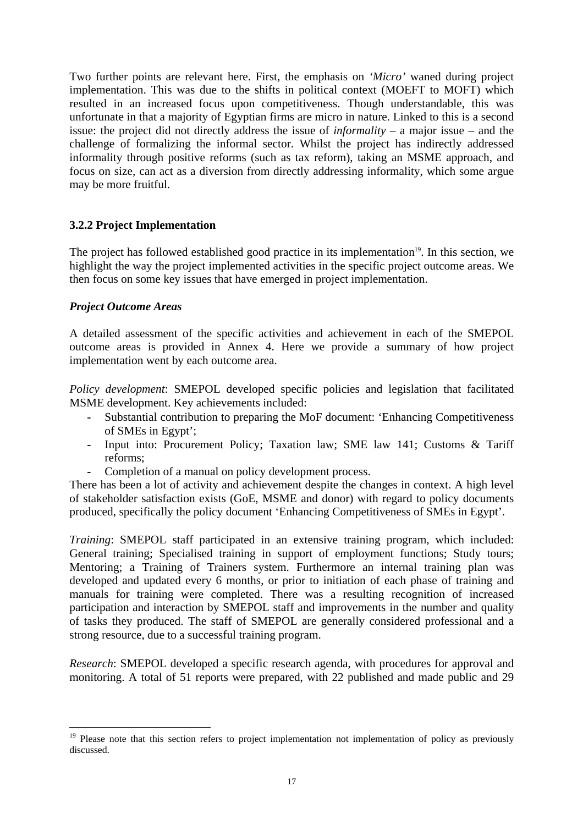Two further points are relevant here. First, the emphasis on *'Micro'* waned during project implementation. This was due to the shifts in political context (MOEFT to MOFT) which resulted in an increased focus upon competitiveness. Though understandable, this was unfortunate in that a majority of Egyptian firms are micro in nature. Linked to this is a second issue: the project did not directly address the issue of *informality* – a major issue – and the challenge of formalizing the informal sector. Whilst the project has indirectly addressed informality through positive reforms (such as tax reform), taking an MSME approach, and focus on size, can act as a diversion from directly addressing informality, which some argue may be more fruitful.

### **3.2.2 Project Implementation**

The project has followed established good practice in its implementation<sup>19</sup>. In this section, we highlight the way the project implemented activities in the specific project outcome areas. We then focus on some key issues that have emerged in project implementation.

#### *Project Outcome Areas*

 $\overline{a}$ 

A detailed assessment of the specific activities and achievement in each of the SMEPOL outcome areas is provided in Annex 4. Here we provide a summary of how project implementation went by each outcome area.

*Policy development*: SMEPOL developed specific policies and legislation that facilitated MSME development. Key achievements included:

- **-** Substantial contribution to preparing the MoF document: 'Enhancing Competitiveness of SMEs in Egypt';
- **-** Input into: Procurement Policy; Taxation law; SME law 141; Customs & Tariff reforms;
- **-** Completion of a manual on policy development process.

There has been a lot of activity and achievement despite the changes in context. A high level of stakeholder satisfaction exists (GoE, MSME and donor) with regard to policy documents produced, specifically the policy document 'Enhancing Competitiveness of SMEs in Egypt'.

*Training*: SMEPOL staff participated in an extensive training program, which included: General training; Specialised training in support of employment functions; Study tours; Mentoring; a Training of Trainers system. Furthermore an internal training plan was developed and updated every 6 months, or prior to initiation of each phase of training and manuals for training were completed. There was a resulting recognition of increased participation and interaction by SMEPOL staff and improvements in the number and quality of tasks they produced. The staff of SMEPOL are generally considered professional and a strong resource, due to a successful training program.

*Research*: SMEPOL developed a specific research agenda, with procedures for approval and monitoring. A total of 51 reports were prepared, with 22 published and made public and 29

<span id="page-25-0"></span><sup>&</sup>lt;sup>19</sup> Please note that this section refers to project implementation not implementation of policy as previously discussed.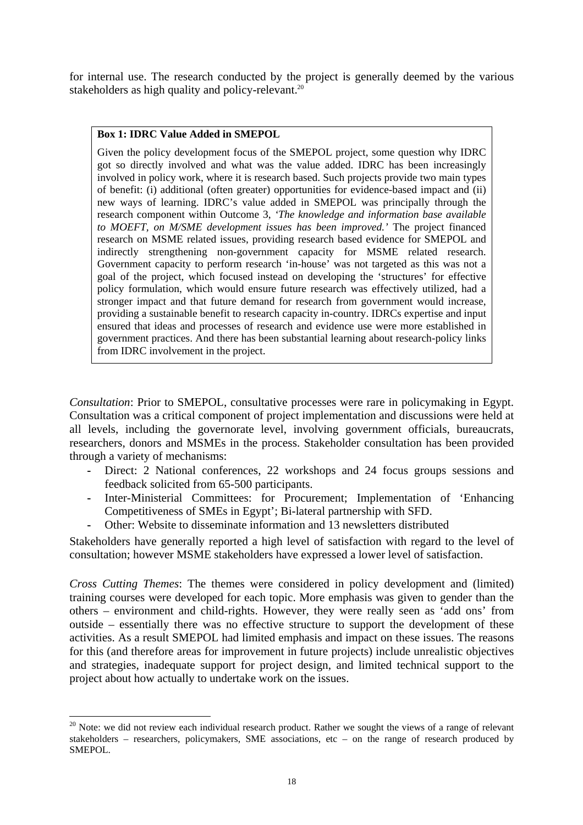<span id="page-26-0"></span>for internal use. The research conducted by the project is generally deemed by the various stakeholders as high quality and policy-relevant.<sup>20</sup>

#### **Box 1: IDRC Value Added in SMEPOL**

Given the policy development focus of the SMEPOL project, some question why IDRC got so directly involved and what was the value added. IDRC has been increasingly involved in policy work, where it is research based. Such projects provide two main types of benefit: (i) additional (often greater) opportunities for evidence-based impact and (ii) new ways of learning. IDRC's value added in SMEPOL was principally through the research component within Outcome 3, *'The knowledge and information base available to MOEFT, on M/SME development issues has been improved.'* The project financed research on MSME related issues, providing research based evidence for SMEPOL and indirectly strengthening non-government capacity for MSME related research. Government capacity to perform research 'in-house' was not targeted as this was not a goal of the project, which focused instead on developing the 'structures' for effective policy formulation, which would ensure future research was effectively utilized, had a stronger impact and that future demand for research from government would increase, providing a sustainable benefit to research capacity in-country. IDRCs expertise and input ensured that ideas and processes of research and evidence use were more established in government practices. And there has been substantial learning about research-policy links from IDRC involvement in the project.

*Consultation*: Prior to SMEPOL, consultative processes were rare in policymaking in Egypt. Consultation was a critical component of project implementation and discussions were held at all levels, including the governorate level, involving government officials, bureaucrats, researchers, donors and MSMEs in the process. Stakeholder consultation has been provided through a variety of mechanisms:

- Direct: 2 National conferences, 22 workshops and 24 focus groups sessions and feedback solicited from 65-500 participants.
- **-** Inter-Ministerial Committees: for Procurement; Implementation of 'Enhancing Competitiveness of SMEs in Egypt'; Bi-lateral partnership with SFD.
- **-** Other: Website to disseminate information and 13 newsletters distributed

Stakeholders have generally reported a high level of satisfaction with regard to the level of consultation; however MSME stakeholders have expressed a lower level of satisfaction.

*Cross Cutting Themes*: The themes were considered in policy development and (limited) training courses were developed for each topic. More emphasis was given to gender than the others – environment and child-rights. However, they were really seen as 'add ons' from outside – essentially there was no effective structure to support the development of these activities. As a result SMEPOL had limited emphasis and impact on these issues. The reasons for this (and therefore areas for improvement in future projects) include unrealistic objectives and strategies, inadequate support for project design, and limited technical support to the project about how actually to undertake work on the issues.

 $\overline{a}$ 

<span id="page-26-1"></span><sup>&</sup>lt;sup>20</sup> Note: we did not review each individual research product. Rather we sought the views of a range of relevant stakeholders – researchers, policymakers, SME associations, etc – on the range of research produced by SMEPOL.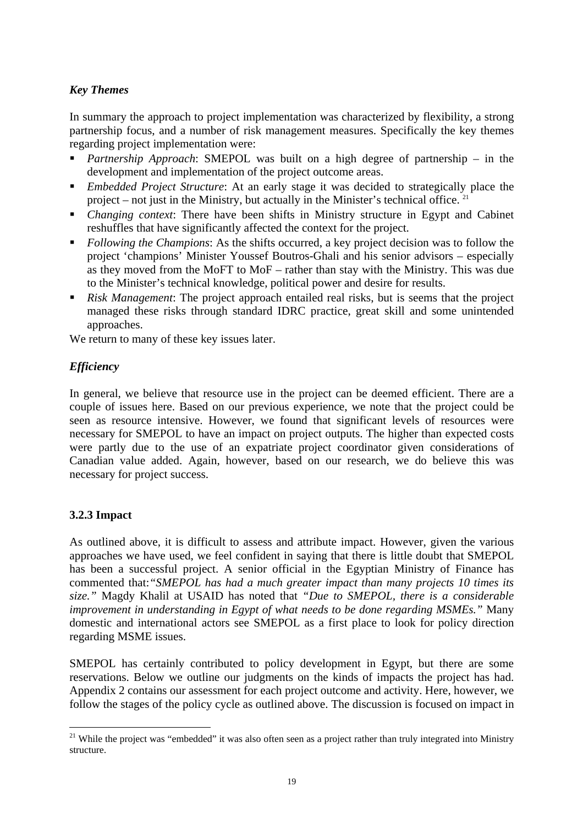# *Key Themes*

In summary the approach to project implementation was characterized by flexibility, a strong partnership focus, and a number of risk management measures. Specifically the key themes regarding project implementation were:

- *Partnership Approach*: SMEPOL was built on a high degree of partnership in the development and implementation of the project outcome areas.
- *Embedded Project Structure*: At an early stage it was decided to strategically place the project – not just in the Ministry, but actually in the Minister's technical office. [21](#page-27-0)
- *Changing context*: There have been shifts in Ministry structure in Egypt and Cabinet reshuffles that have significantly affected the context for the project.
- *Following the Champions*: As the shifts occurred, a key project decision was to follow the project 'champions' Minister Youssef Boutros-Ghali and his senior advisors – especially as they moved from the MoFT to MoF – rather than stay with the Ministry. This was due to the Minister's technical knowledge, political power and desire for results.
- *Risk Management*: The project approach entailed real risks, but is seems that the project managed these risks through standard IDRC practice, great skill and some unintended approaches.

We return to many of these key issues later.

# *Efficiency*

In general, we believe that resource use in the project can be deemed efficient. There are a couple of issues here. Based on our previous experience, we note that the project could be seen as resource intensive. However, we found that significant levels of resources were necessary for SMEPOL to have an impact on project outputs. The higher than expected costs were partly due to the use of an expatriate project coordinator given considerations of Canadian value added. Again, however, based on our research, we do believe this was necessary for project success.

### **3.2.3 Impact**

As outlined above, it is difficult to assess and attribute impact. However, given the various approaches we have used, we feel confident in saying that there is little doubt that SMEPOL has been a successful project. A senior official in the Egyptian Ministry of Finance has commented that:*"SMEPOL has had a much greater impact than many projects 10 times its size."* Magdy Khalil at USAID has noted that *"Due to SMEPOL, there is a considerable improvement in understanding in Egypt of what needs to be done regarding MSMEs.*" Many domestic and international actors see SMEPOL as a first place to look for policy direction regarding MSME issues.

SMEPOL has certainly contributed to policy development in Egypt, but there are some reservations. Below we outline our judgments on the kinds of impacts the project has had. Appendix 2 contains our assessment for each project outcome and activity. Here, however, we follow the stages of the policy cycle as outlined above. The discussion is focused on impact in

<span id="page-27-0"></span> $\overline{a}$ <sup>21</sup> While the project was "embedded" it was also often seen as a project rather than truly integrated into Ministry structure.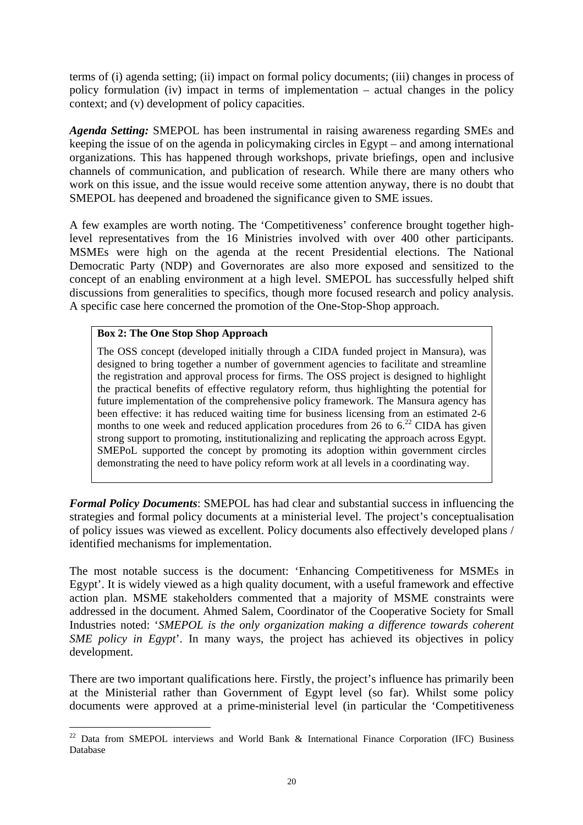<span id="page-28-0"></span>terms of (i) agenda setting; (ii) impact on formal policy documents; (iii) changes in process of policy formulation (iv) impact in terms of implementation – actual changes in the policy context; and (v) development of policy capacities.

*Agenda Setting:* SMEPOL has been instrumental in raising awareness regarding SMEs and keeping the issue of on the agenda in policymaking circles in Egypt – and among international organizations. This has happened through workshops, private briefings, open and inclusive channels of communication, and publication of research. While there are many others who work on this issue, and the issue would receive some attention anyway, there is no doubt that SMEPOL has deepened and broadened the significance given to SME issues.

A few examples are worth noting. The 'Competitiveness' conference brought together highlevel representatives from the 16 Ministries involved with over 400 other participants. MSMEs were high on the agenda at the recent Presidential elections. The National Democratic Party (NDP) and Governorates are also more exposed and sensitized to the concept of an enabling environment at a high level. SMEPOL has successfully helped shift discussions from generalities to specifics, though more focused research and policy analysis. A specific case here concerned the promotion of the One-Stop-Shop approach.

#### **Box 2: The One Stop Shop Approach**

The OSS concept (developed initially through a CIDA funded project in Mansura), was designed to bring together a number of government agencies to facilitate and streamline the registration and approval process for firms. The OSS project is designed to highlight the practical benefits of effective regulatory reform, thus highlighting the potential for future implementation of the comprehensive policy framework. The Mansura agency has been effective: it has reduced waiting time for business licensing from an estimated 2-6 months to one week and reduced application procedures from  $26$  to  $6<sup>22</sup>$  CIDA has given strong support to promoting, institutionalizing and replicating the approach across Egypt. SMEPoL supported the concept by promoting its adoption within government circles demonstrating the need to have policy reform work at all levels in a coordinating way.

*Formal Policy Documents*: SMEPOL has had clear and substantial success in influencing the strategies and formal policy documents at a ministerial level. The project's conceptualisation of policy issues was viewed as excellent. Policy documents also effectively developed plans / identified mechanisms for implementation.

The most notable success is the document: 'Enhancing Competitiveness for MSMEs in Egypt'. It is widely viewed as a high quality document, with a useful framework and effective action plan. MSME stakeholders commented that a majority of MSME constraints were addressed in the document. Ahmed Salem, Coordinator of the Cooperative Society for Small Industries noted: '*SMEPOL is the only organization making a difference towards coherent SME policy in Egypt*'. In many ways, the project has achieved its objectives in policy development.

There are two important qualifications here. Firstly, the project's influence has primarily been at the Ministerial rather than Government of Egypt level (so far). Whilst some policy documents were approved at a prime-ministerial level (in particular the 'Competitiveness

<span id="page-28-1"></span> $\overline{a}$  $22$  Data from SMEPOL interviews and World Bank & International Finance Corporation (IFC) Business Database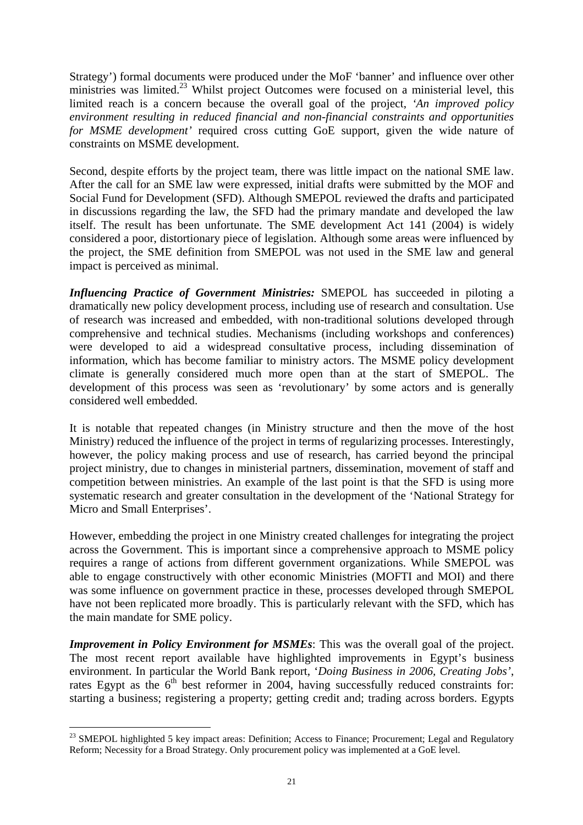Strategy') formal documents were produced under the MoF 'banner' and influence over other ministries was limited.<sup>23</sup> Whilst project Outcomes were focused on a ministerial level, this limited reach is a concern because the overall goal of the project, *'An improved policy environment resulting in reduced financial and non-financial constraints and opportunities for MSME development'* required cross cutting GoE support, given the wide nature of constraints on MSME development.

Second, despite efforts by the project team, there was little impact on the national SME law. After the call for an SME law were expressed, initial drafts were submitted by the MOF and Social Fund for Development (SFD). Although SMEPOL reviewed the drafts and participated in discussions regarding the law, the SFD had the primary mandate and developed the law itself. The result has been unfortunate. The SME development Act 141 (2004) is widely considered a poor, distortionary piece of legislation. Although some areas were influenced by the project, the SME definition from SMEPOL was not used in the SME law and general impact is perceived as minimal.

*Influencing Practice of Government Ministries:* SMEPOL has succeeded in piloting a dramatically new policy development process, including use of research and consultation. Use of research was increased and embedded, with non-traditional solutions developed through comprehensive and technical studies. Mechanisms (including workshops and conferences) were developed to aid a widespread consultative process, including dissemination of information, which has become familiar to ministry actors. The MSME policy development climate is generally considered much more open than at the start of SMEPOL. The development of this process was seen as 'revolutionary' by some actors and is generally considered well embedded.

It is notable that repeated changes (in Ministry structure and then the move of the host Ministry) reduced the influence of the project in terms of regularizing processes. Interestingly, however, the policy making process and use of research, has carried beyond the principal project ministry, due to changes in ministerial partners, dissemination, movement of staff and competition between ministries. An example of the last point is that the SFD is using more systematic research and greater consultation in the development of the 'National Strategy for Micro and Small Enterprises'.

However, embedding the project in one Ministry created challenges for integrating the project across the Government. This is important since a comprehensive approach to MSME policy requires a range of actions from different government organizations. While SMEPOL was able to engage constructively with other economic Ministries (MOFTI and MOI) and there was some influence on government practice in these, processes developed through SMEPOL have not been replicated more broadly. This is particularly relevant with the SFD, which has the main mandate for SME policy.

*Improvement in Policy Environment for MSMEs*: This was the overall goal of the project. The most recent report available have highlighted improvements in Egypt's business environment. In particular the World Bank report, '*Doing Business in 2006, Creating Jobs'*, rates Egypt as the  $6<sup>th</sup>$  best reformer in 2004, having successfully reduced constraints for: starting a business; registering a property; getting credit and; trading across borders. Egypts

<span id="page-29-0"></span> $\overline{a}$ <sup>23</sup> SMEPOL highlighted 5 key impact areas: Definition; Access to Finance; Procurement; Legal and Regulatory Reform; Necessity for a Broad Strategy. Only procurement policy was implemented at a GoE level.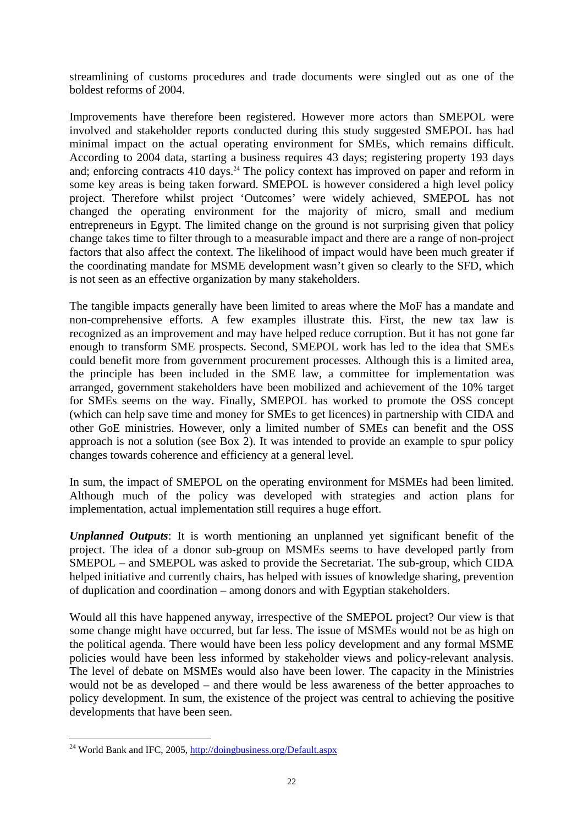streamlining of customs procedures and trade documents were singled out as one of the boldest reforms of 2004.

Improvements have therefore been registered. However more actors than SMEPOL were involved and stakeholder reports conducted during this study suggested SMEPOL has had minimal impact on the actual operating environment for SMEs, which remains difficult. According to 2004 data, starting a business requires 43 days; registering property 193 days and; enforcing contracts  $410 \text{ days}$ <sup>24</sup>. The policy context has improved on paper and reform in some key areas is being taken forward. SMEPOL is however considered a high level policy project. Therefore whilst project 'Outcomes' were widely achieved, SMEPOL has not changed the operating environment for the majority of micro, small and medium entrepreneurs in Egypt. The limited change on the ground is not surprising given that policy change takes time to filter through to a measurable impact and there are a range of non-project factors that also affect the context. The likelihood of impact would have been much greater if the coordinating mandate for MSME development wasn't given so clearly to the SFD, which is not seen as an effective organization by many stakeholders.

The tangible impacts generally have been limited to areas where the MoF has a mandate and non-comprehensive efforts. A few examples illustrate this. First, the new tax law is recognized as an improvement and may have helped reduce corruption. But it has not gone far enough to transform SME prospects. Second, SMEPOL work has led to the idea that SMEs could benefit more from government procurement processes. Although this is a limited area, the principle has been included in the SME law, a committee for implementation was arranged, government stakeholders have been mobilized and achievement of the 10% target for SMEs seems on the way. Finally, SMEPOL has worked to promote the OSS concept (which can help save time and money for SMEs to get licences) in partnership with CIDA and other GoE ministries. However, only a limited number of SMEs can benefit and the OSS approach is not a solution (see Box 2). It was intended to provide an example to spur policy changes towards coherence and efficiency at a general level.

In sum, the impact of SMEPOL on the operating environment for MSMEs had been limited. Although much of the policy was developed with strategies and action plans for implementation, actual implementation still requires a huge effort.

*Unplanned Outputs*: It is worth mentioning an unplanned yet significant benefit of the project. The idea of a donor sub-group on MSMEs seems to have developed partly from SMEPOL – and SMEPOL was asked to provide the Secretariat. The sub-group, which CIDA helped initiative and currently chairs, has helped with issues of knowledge sharing, prevention of duplication and coordination – among donors and with Egyptian stakeholders.

Would all this have happened anyway, irrespective of the SMEPOL project? Our view is that some change might have occurred, but far less. The issue of MSMEs would not be as high on the political agenda. There would have been less policy development and any formal MSME policies would have been less informed by stakeholder views and policy-relevant analysis. The level of debate on MSMEs would also have been lower. The capacity in the Ministries would not be as developed – and there would be less awareness of the better approaches to policy development. In sum, the existence of the project was central to achieving the positive developments that have been seen.

 $\overline{a}$ 

<span id="page-30-0"></span><sup>&</sup>lt;sup>24</sup> World Bank and IFC, 2005,<http://doingbusiness.org/Default.aspx>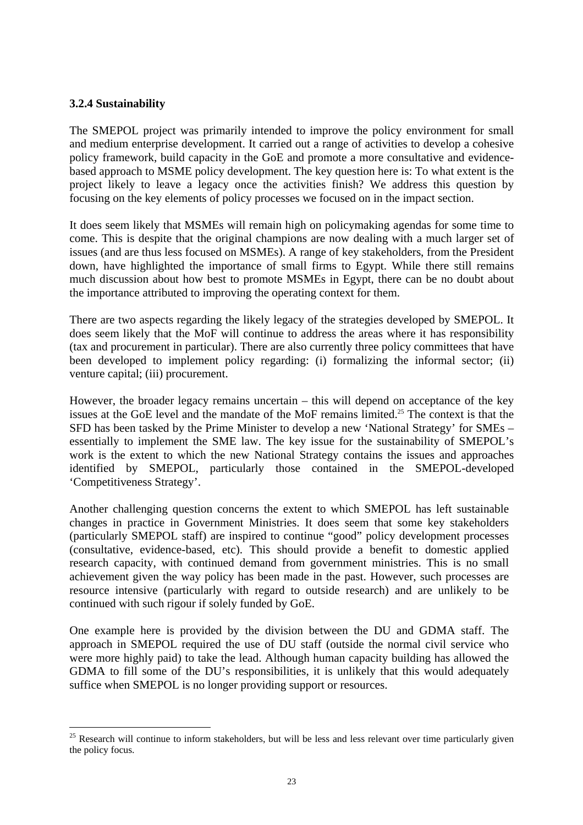#### **3.2.4 Sustainability**

 $\overline{a}$ 

The SMEPOL project was primarily intended to improve the policy environment for small and medium enterprise development. It carried out a range of activities to develop a cohesive policy framework, build capacity in the GoE and promote a more consultative and evidencebased approach to MSME policy development. The key question here is: To what extent is the project likely to leave a legacy once the activities finish? We address this question by focusing on the key elements of policy processes we focused on in the impact section.

It does seem likely that MSMEs will remain high on policymaking agendas for some time to come. This is despite that the original champions are now dealing with a much larger set of issues (and are thus less focused on MSMEs). A range of key stakeholders, from the President down, have highlighted the importance of small firms to Egypt. While there still remains much discussion about how best to promote MSMEs in Egypt, there can be no doubt about the importance attributed to improving the operating context for them.

There are two aspects regarding the likely legacy of the strategies developed by SMEPOL. It does seem likely that the MoF will continue to address the areas where it has responsibility (tax and procurement in particular). There are also currently three policy committees that have been developed to implement policy regarding: (i) formalizing the informal sector; (ii) venture capital; (iii) procurement.

However, the broader legacy remains uncertain – this will depend on acceptance of the key issues at the GoE level and the mandate of the MoF remains limited.<sup>25</sup> The context is that the SFD has been tasked by the Prime Minister to develop a new 'National Strategy' for SMEs – essentially to implement the SME law. The key issue for the sustainability of SMEPOL's work is the extent to which the new National Strategy contains the issues and approaches identified by SMEPOL, particularly those contained in the SMEPOL-developed 'Competitiveness Strategy'.

Another challenging question concerns the extent to which SMEPOL has left sustainable changes in practice in Government Ministries. It does seem that some key stakeholders (particularly SMEPOL staff) are inspired to continue "good" policy development processes (consultative, evidence-based, etc). This should provide a benefit to domestic applied research capacity, with continued demand from government ministries. This is no small achievement given the way policy has been made in the past. However, such processes are resource intensive (particularly with regard to outside research) and are unlikely to be continued with such rigour if solely funded by GoE.

One example here is provided by the division between the DU and GDMA staff. The approach in SMEPOL required the use of DU staff (outside the normal civil service who were more highly paid) to take the lead. Although human capacity building has allowed the GDMA to fill some of the DU's responsibilities, it is unlikely that this would adequately suffice when SMEPOL is no longer providing support or resources.

<span id="page-31-0"></span><sup>&</sup>lt;sup>25</sup> Research will continue to inform stakeholders, but will be less and less relevant over time particularly given the policy focus.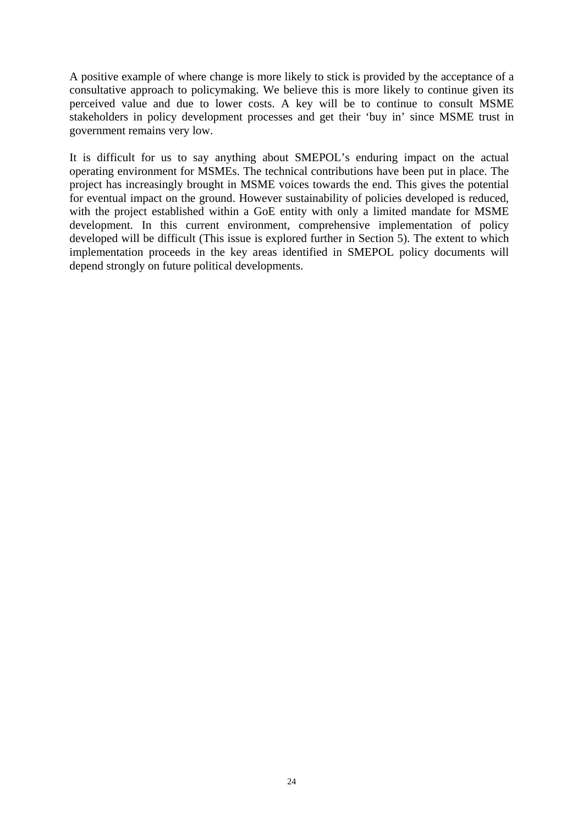A positive example of where change is more likely to stick is provided by the acceptance of a consultative approach to policymaking. We believe this is more likely to continue given its perceived value and due to lower costs. A key will be to continue to consult MSME stakeholders in policy development processes and get their 'buy in' since MSME trust in government remains very low.

It is difficult for us to say anything about SMEPOL's enduring impact on the actual operating environment for MSMEs. The technical contributions have been put in place. The project has increasingly brought in MSME voices towards the end. This gives the potential for eventual impact on the ground. However sustainability of policies developed is reduced, with the project established within a GoE entity with only a limited mandate for MSME development. In this current environment, comprehensive implementation of policy developed will be difficult (This issue is explored further in Section 5). The extent to which implementation proceeds in the key areas identified in SMEPOL policy documents will depend strongly on future political developments.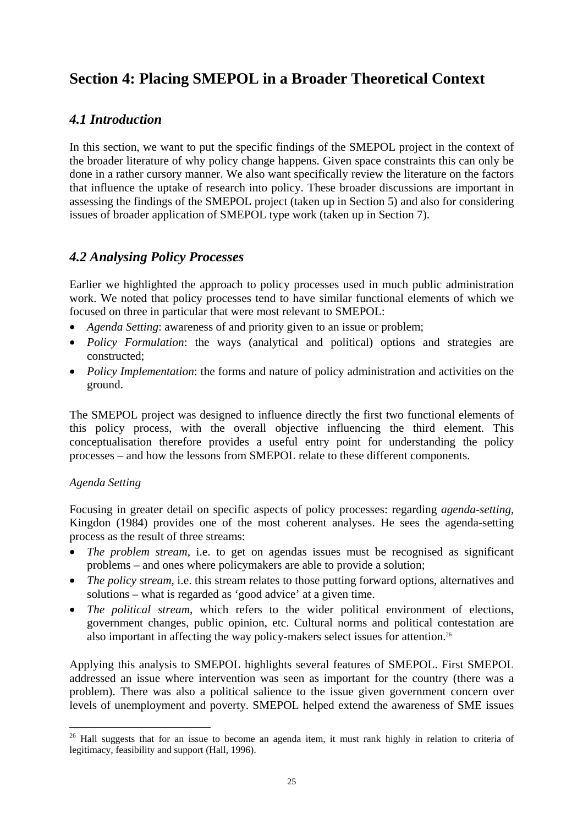# <span id="page-33-0"></span>**Section 4: Placing SMEPOL in a Broader Theoretical Context**

# *4.1 Introduction*

In this section, we want to put the specific findings of the SMEPOL project in the context of the broader literature of why policy change happens. Given space constraints this can only be done in a rather cursory manner. We also want specifically review the literature on the factors that influence the uptake of research into policy. These broader discussions are important in assessing the findings of the SMEPOL project (taken up in Section 5) and also for considering issues of broader application of SMEPOL type work (taken up in Section 7).

# *4.2 Analysing Policy Processes*

Earlier we highlighted the approach to policy processes used in much public administration work. We noted that policy processes tend to have similar functional elements of which we focused on three in particular that were most relevant to SMEPOL:

- *Agenda Setting*: awareness of and priority given to an issue or problem;
- *Policy Formulation*: the ways (analytical and political) options and strategies are constructed;
- *Policy Implementation*: the forms and nature of policy administration and activities on the ground.

The SMEPOL project was designed to influence directly the first two functional elements of this policy process, with the overall objective influencing the third element. This conceptualisation therefore provides a useful entry point for understanding the policy processes – and how the lessons from SMEPOL relate to these different components.

### *Agenda Setting*

 $\overline{a}$ 

Focusing in greater detail on specific aspects of policy processes: regarding *agenda-setting*, Kingdon (1984) provides one of the most coherent analyses. He sees the agenda-setting process as the result of three streams:

- *The problem stream*, i.e. to get on agendas issues must be recognised as significant problems – and ones where policymakers are able to provide a solution;
- *The policy stream*, i.e. this stream relates to those putting forward options, alternatives and solutions – what is regarded as 'good advice' at a given time.
- *The political stream*, which refers to the wider political environment of elections, government changes, public opinion, etc. Cultural norms and political contestation are also important in affecting the way policy-makers select issues for attention[.26](#page-33-1)

Applying this analysis to SMEPOL highlights several features of SMEPOL. First SMEPOL addressed an issue where intervention was seen as important for the country (there was a problem). There was also a political salience to the issue given government concern over levels of unemployment and poverty. SMEPOL helped extend the awareness of SME issues

<span id="page-33-1"></span><sup>&</sup>lt;sup>26</sup> Hall suggests that for an issue to become an agenda item, it must rank highly in relation to criteria of legitimacy, feasibility and support (Hall, 1996).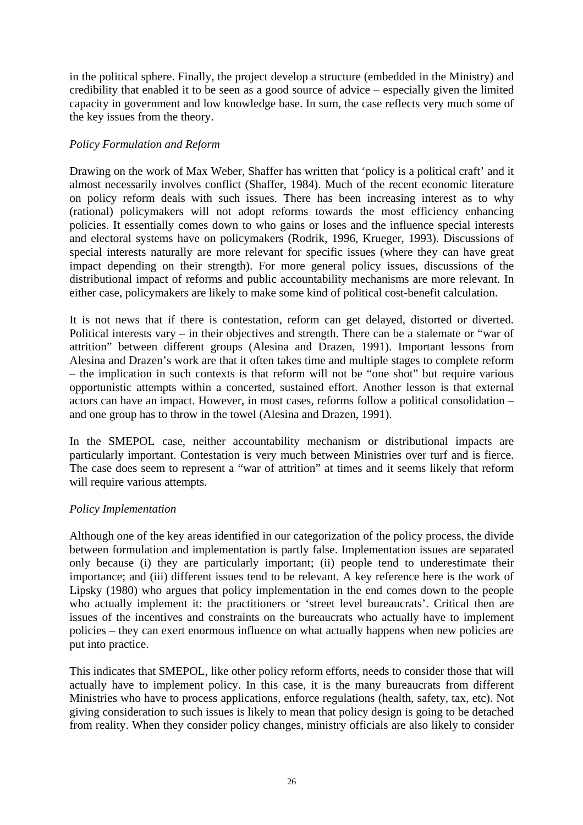in the political sphere. Finally, the project develop a structure (embedded in the Ministry) and credibility that enabled it to be seen as a good source of advice – especially given the limited capacity in government and low knowledge base. In sum, the case reflects very much some of the key issues from the theory.

### *Policy Formulation and Reform*

Drawing on the work of Max Weber, Shaffer has written that 'policy is a political craft' and it almost necessarily involves conflict (Shaffer, 1984). Much of the recent economic literature on policy reform deals with such issues. There has been increasing interest as to why (rational) policymakers will not adopt reforms towards the most efficiency enhancing policies. It essentially comes down to who gains or loses and the influence special interests and electoral systems have on policymakers (Rodrik, 1996, Krueger, 1993). Discussions of special interests naturally are more relevant for specific issues (where they can have great impact depending on their strength). For more general policy issues, discussions of the distributional impact of reforms and public accountability mechanisms are more relevant. In either case, policymakers are likely to make some kind of political cost-benefit calculation.

It is not news that if there is contestation, reform can get delayed, distorted or diverted. Political interests vary – in their objectives and strength. There can be a stalemate or "war of attrition" between different groups (Alesina and Drazen, 1991). Important lessons from Alesina and Drazen's work are that it often takes time and multiple stages to complete reform – the implication in such contexts is that reform will not be "one shot" but require various opportunistic attempts within a concerted, sustained effort. Another lesson is that external actors can have an impact. However, in most cases, reforms follow a political consolidation – and one group has to throw in the towel (Alesina and Drazen, 1991).

In the SMEPOL case, neither accountability mechanism or distributional impacts are particularly important. Contestation is very much between Ministries over turf and is fierce. The case does seem to represent a "war of attrition" at times and it seems likely that reform will require various attempts.

### *Policy Implementation*

Although one of the key areas identified in our categorization of the policy process, the divide between formulation and implementation is partly false. Implementation issues are separated only because (i) they are particularly important; (ii) people tend to underestimate their importance; and (iii) different issues tend to be relevant. A key reference here is the work of Lipsky (1980) who argues that policy implementation in the end comes down to the people who actually implement it: the practitioners or 'street level bureaucrats'. Critical then are issues of the incentives and constraints on the bureaucrats who actually have to implement policies – they can exert enormous influence on what actually happens when new policies are put into practice.

This indicates that SMEPOL, like other policy reform efforts, needs to consider those that will actually have to implement policy. In this case, it is the many bureaucrats from different Ministries who have to process applications, enforce regulations (health, safety, tax, etc). Not giving consideration to such issues is likely to mean that policy design is going to be detached from reality. When they consider policy changes, ministry officials are also likely to consider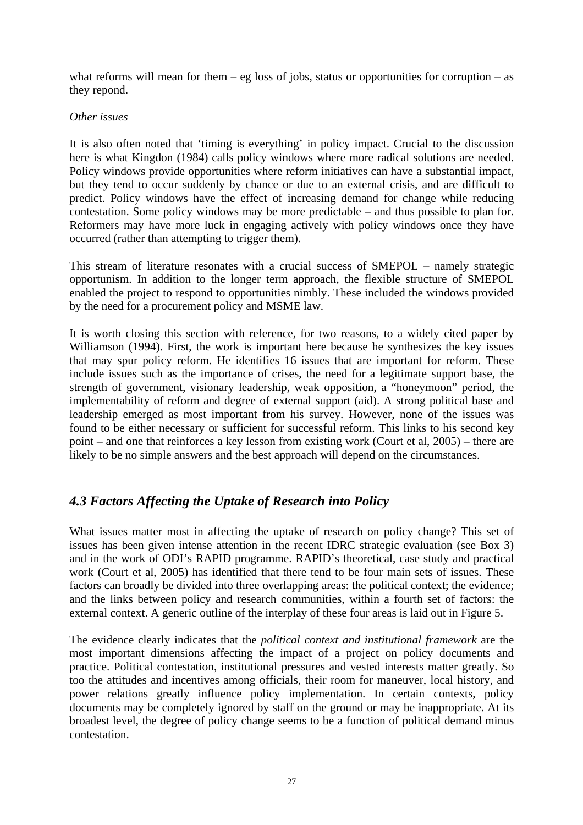<span id="page-35-0"></span>what reforms will mean for them – eg loss of jobs, status or opportunities for corruption – as they repond.

#### *Other issues*

It is also often noted that 'timing is everything' in policy impact. Crucial to the discussion here is what Kingdon (1984) calls policy windows where more radical solutions are needed. Policy windows provide opportunities where reform initiatives can have a substantial impact, but they tend to occur suddenly by chance or due to an external crisis, and are difficult to predict. Policy windows have the effect of increasing demand for change while reducing contestation. Some policy windows may be more predictable – and thus possible to plan for. Reformers may have more luck in engaging actively with policy windows once they have occurred (rather than attempting to trigger them).

This stream of literature resonates with a crucial success of SMEPOL – namely strategic opportunism. In addition to the longer term approach, the flexible structure of SMEPOL enabled the project to respond to opportunities nimbly. These included the windows provided by the need for a procurement policy and MSME law.

It is worth closing this section with reference, for two reasons, to a widely cited paper by Williamson (1994). First, the work is important here because he synthesizes the key issues that may spur policy reform. He identifies 16 issues that are important for reform. These include issues such as the importance of crises, the need for a legitimate support base, the strength of government, visionary leadership, weak opposition, a "honeymoon" period, the implementability of reform and degree of external support (aid). A strong political base and leadership emerged as most important from his survey. However, none of the issues was found to be either necessary or sufficient for successful reform. This links to his second key point – and one that reinforces a key lesson from existing work (Court et al, 2005) – there are likely to be no simple answers and the best approach will depend on the circumstances.

# *4.3 Factors Affecting the Uptake of Research into Policy*

What issues matter most in affecting the uptake of research on policy change? This set of issues has been given intense attention in the recent IDRC strategic evaluation (see Box 3) and in the work of ODI's RAPID programme. RAPID's theoretical, case study and practical work (Court et al, 2005) has identified that there tend to be four main sets of issues. These factors can broadly be divided into three overlapping areas: the political context; the evidence; and the links between policy and research communities, within a fourth set of factors: the external context. A generic outline of the interplay of these four areas is laid out in Figure 5.

The evidence clearly indicates that the *political context and institutional framework* are the most important dimensions affecting the impact of a project on policy documents and practice. Political contestation, institutional pressures and vested interests matter greatly. So too the attitudes and incentives among officials, their room for maneuver, local history, and power relations greatly influence policy implementation. In certain contexts, policy documents may be completely ignored by staff on the ground or may be inappropriate. At its broadest level, the degree of policy change seems to be a function of political demand minus contestation.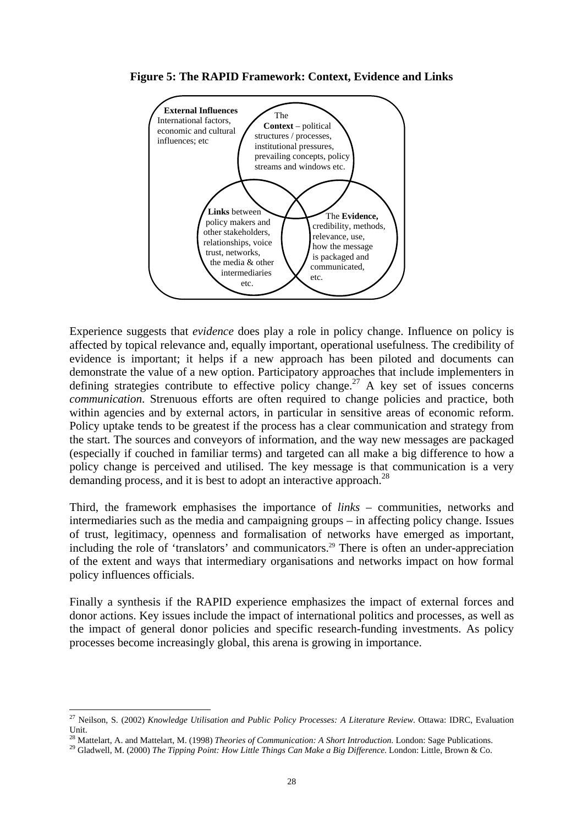



Experience suggests that *evidence* does play a role in policy change. Influence on policy is affected by topical relevance and, equally important, operational usefulness. The credibility of evidence is important; it helps if a new approach has been piloted and documents can demonstrate the value of a new option. Participatory approaches that include implementers in defining strategies contribute to effective policy change.<sup>27</sup> A key set of issues concerns *communication*. Strenuous efforts are often required to change policies and practice, both within agencies and by external actors, in particular in sensitive areas of economic reform. Policy uptake tends to be greatest if the process has a clear communication and strategy from the start. The sources and conveyors of information, and the way new messages are packaged (especially if couched in familiar terms) and targeted can all make a big difference to how a policy change is perceived and utilised. The key message is that communication is a very demanding process, and it is best to adopt an interactive approach.<sup>28</sup>

Third, the framework emphasises the importance of *links* – communities, networks and intermediaries such as the media and campaigning groups – in affecting policy change. Issues of trust, legitimacy, openness and formalisation of networks have emerged as important, including the role of 'translators' and communicators.<sup>29</sup> There is often an under-appreciation of the extent and ways that intermediary organisations and networks impact on how formal policy influences officials.

Finally a synthesis if the RAPID experience emphasizes the impact of external forces and donor actions. Key issues include the impact of international politics and processes, as well as the impact of general donor policies and specific research-funding investments. As policy processes become increasingly global, this arena is growing in importance.

 $\overline{a}$ 

<span id="page-36-0"></span><sup>27</sup> Neilson, S. (2002) *Knowledge Utilisation and Public Policy Processes: A Literature Review*. Ottawa: IDRC, Evaluation Unit.<br><sup>28</sup> Mattelart, A. and Mattelart, M. (1998) Theories of Communication: A Short Introduction. London: Sage Publications.

<span id="page-36-1"></span>

<span id="page-36-2"></span><sup>&</sup>lt;sup>29</sup> Gladwell, M. (2000) The Tipping Point: How Little Things Can Make a Big Difference. London: Little, Brown & Co.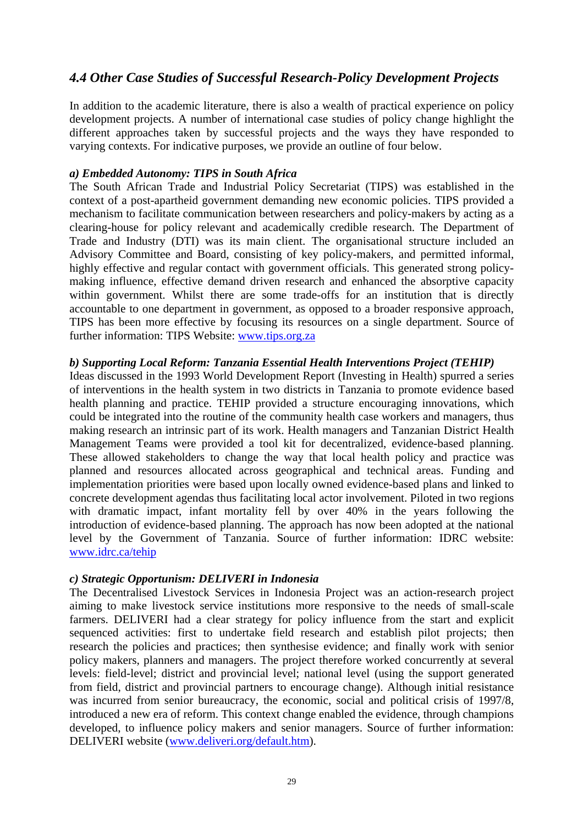# *4.4 Other Case Studies of Successful Research-Policy Development Projects*

In addition to the academic literature, there is also a wealth of practical experience on policy development projects. A number of international case studies of policy change highlight the different approaches taken by successful projects and the ways they have responded to varying contexts. For indicative purposes, we provide an outline of four below.

### *a) Embedded Autonomy: TIPS in South Africa*

The South African Trade and Industrial Policy Secretariat (TIPS) was established in the context of a post-apartheid government demanding new economic policies. TIPS provided a mechanism to facilitate communication between researchers and policy-makers by acting as a clearing-house for policy relevant and academically credible research. The Department of Trade and Industry (DTI) was its main client. The organisational structure included an Advisory Committee and Board, consisting of key policy-makers, and permitted informal, highly effective and regular contact with government officials. This generated strong policymaking influence, effective demand driven research and enhanced the absorptive capacity within government. Whilst there are some trade-offs for an institution that is directly accountable to one department in government, as opposed to a broader responsive approach, TIPS has been more effective by focusing its resources on a single department. Source of further information: TIPS Website: [www.tips.org.za](http://www.tips.org.za/) 

### *b) Supporting Local Reform: Tanzania Essential Health Interventions Project (TEHIP)*

Ideas discussed in the 1993 World Development Report (Investing in Health) spurred a series of interventions in the health system in two districts in Tanzania to promote evidence based health planning and practice. TEHIP provided a structure encouraging innovations, which could be integrated into the routine of the community health case workers and managers, thus making research an intrinsic part of its work. Health managers and Tanzanian District Health Management Teams were provided a tool kit for decentralized, evidence-based planning. These allowed stakeholders to change the way that local health policy and practice was planned and resources allocated across geographical and technical areas. Funding and implementation priorities were based upon locally owned evidence-based plans and linked to concrete development agendas thus facilitating local actor involvement. Piloted in two regions with dramatic impact, infant mortality fell by over 40% in the years following the introduction of evidence-based planning. The approach has now been adopted at the national level by the Government of Tanzania. Source of further information: IDRC website: [www.idrc.ca/tehip](http://www.idrc.ca/tehip)

### *c) Strategic Opportunism: DELIVERI in Indonesia*

The Decentralised Livestock Services in Indonesia Project was an action-research project aiming to make livestock service institutions more responsive to the needs of small-scale farmers. DELIVERI had a clear strategy for policy influence from the start and explicit sequenced activities: first to undertake field research and establish pilot projects; then research the policies and practices; then synthesise evidence; and finally work with senior policy makers, planners and managers. The project therefore worked concurrently at several levels: field-level; district and provincial level; national level (using the support generated from field, district and provincial partners to encourage change). Although initial resistance was incurred from senior bureaucracy, the economic, social and political crisis of 1997/8, introduced a new era of reform. This context change enabled the evidence, through champions developed, to influence policy makers and senior managers. Source of further information: DELIVERI website ([www.deliveri.org/default.htm\)](http://www.deliveri.org/default.htm).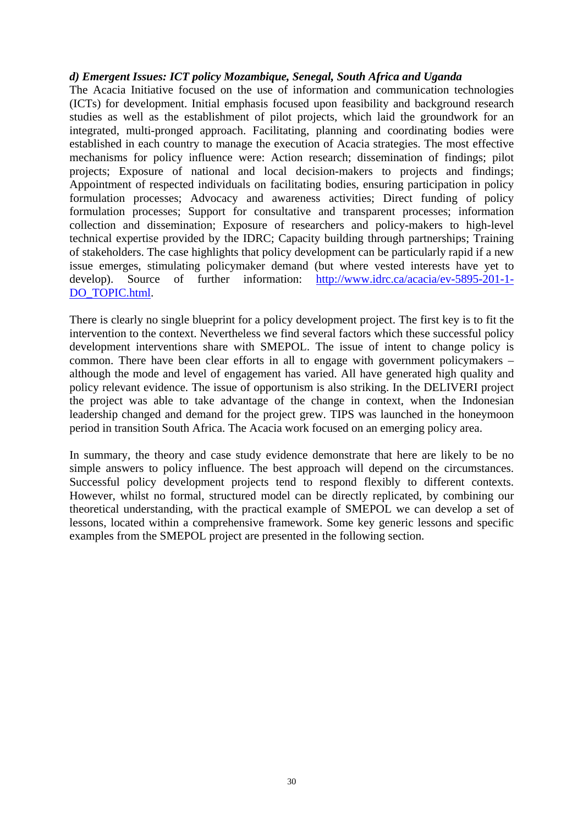### *d) Emergent Issues: ICT policy Mozambique, Senegal, South Africa and Uganda*

The Acacia Initiative focused on the use of information and communication technologies (ICTs) for development. Initial emphasis focused upon feasibility and background research studies as well as the establishment of pilot projects, which laid the groundwork for an integrated, multi-pronged approach. Facilitating, planning and coordinating bodies were established in each country to manage the execution of Acacia strategies. The most effective mechanisms for policy influence were: Action research; dissemination of findings; pilot projects; Exposure of national and local decision-makers to projects and findings; Appointment of respected individuals on facilitating bodies, ensuring participation in policy formulation processes; Advocacy and awareness activities; Direct funding of policy formulation processes; Support for consultative and transparent processes; information collection and dissemination; Exposure of researchers and policy-makers to high-level technical expertise provided by the IDRC; Capacity building through partnerships; Training of stakeholders. The case highlights that policy development can be particularly rapid if a new issue emerges, stimulating policymaker demand (but where vested interests have yet to develop). Source of further information: [http://www.idrc.ca/acacia/ev-5895-201-1-](http://www.idrc.ca/acacia/ev-5895-201-1-DO_TOPIC.html) [DO\\_TOPIC.html.](http://www.idrc.ca/acacia/ev-5895-201-1-DO_TOPIC.html)

There is clearly no single blueprint for a policy development project. The first key is to fit the intervention to the context. Nevertheless we find several factors which these successful policy development interventions share with SMEPOL. The issue of intent to change policy is common. There have been clear efforts in all to engage with government policymakers – although the mode and level of engagement has varied. All have generated high quality and policy relevant evidence. The issue of opportunism is also striking. In the DELIVERI project the project was able to take advantage of the change in context, when the Indonesian leadership changed and demand for the project grew. TIPS was launched in the honeymoon period in transition South Africa. The Acacia work focused on an emerging policy area.

In summary, the theory and case study evidence demonstrate that here are likely to be no simple answers to policy influence. The best approach will depend on the circumstances. Successful policy development projects tend to respond flexibly to different contexts. However, whilst no formal, structured model can be directly replicated, by combining our theoretical understanding, with the practical example of SMEPOL we can develop a set of lessons, located within a comprehensive framework. Some key generic lessons and specific examples from the SMEPOL project are presented in the following section.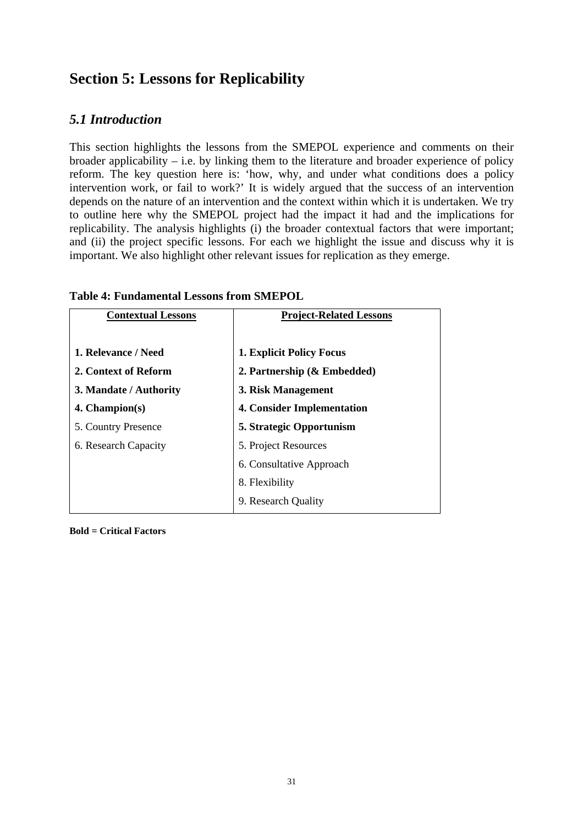# **Section 5: Lessons for Replicability**

# *5.1 Introduction*

This section highlights the lessons from the SMEPOL experience and comments on their broader applicability – i.e. by linking them to the literature and broader experience of policy reform. The key question here is: 'how, why, and under what conditions does a policy intervention work, or fail to work?' It is widely argued that the success of an intervention depends on the nature of an intervention and the context within which it is undertaken. We try to outline here why the SMEPOL project had the impact it had and the implications for replicability. The analysis highlights (i) the broader contextual factors that were important; and (ii) the project specific lessons. For each we highlight the issue and discuss why it is important. We also highlight other relevant issues for replication as they emerge.

| <b>Contextual Lessons</b> | <b>Project-Related Lessons</b>    |
|---------------------------|-----------------------------------|
|                           |                                   |
| 1. Relevance / Need       | <b>1. Explicit Policy Focus</b>   |
| 2. Context of Reform      | 2. Partnership $(\&$ Embedded)    |
| 3. Mandate / Authority    | 3. Risk Management                |
| $4.$ Champion $(s)$       | <b>4. Consider Implementation</b> |
| 5. Country Presence       | 5. Strategic Opportunism          |
| 6. Research Capacity      | 5. Project Resources              |
|                           | 6. Consultative Approach          |
|                           | 8. Flexibility                    |
|                           | 9. Research Quality               |

## **Table 4: Fundamental Lessons from SMEPOL**

**Bold = Critical Factors**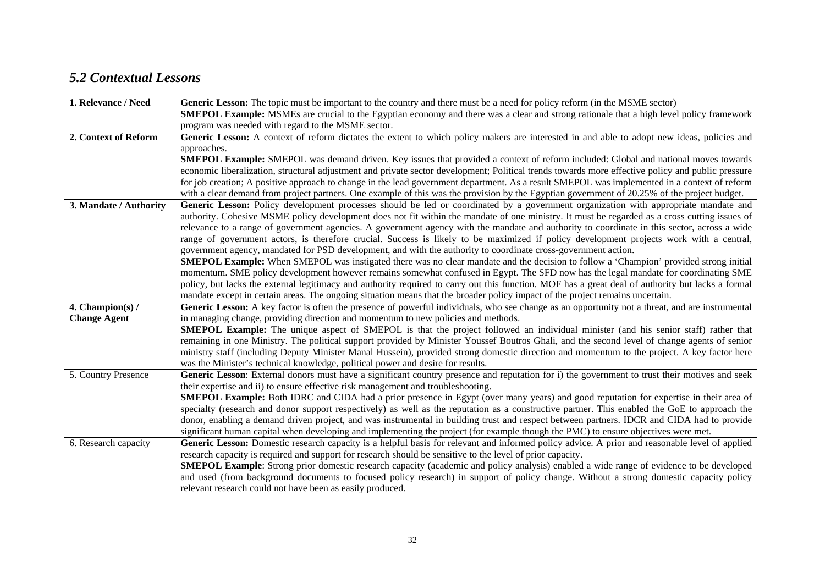# *5.2 Contextual Lessons*

| 1. Relevance / Need    | Generic Lesson: The topic must be important to the country and there must be a need for policy reform (in the MSME sector)                        |
|------------------------|---------------------------------------------------------------------------------------------------------------------------------------------------|
|                        | <b>SMEPOL Example:</b> MSMEs are crucial to the Egyptian economy and there was a clear and strong rationale that a high level policy framework    |
|                        | program was needed with regard to the MSME sector.                                                                                                |
| 2. Context of Reform   | Generic Lesson: A context of reform dictates the extent to which policy makers are interested in and able to adopt new ideas, policies and        |
|                        | approaches.                                                                                                                                       |
|                        | <b>SMEPOL Example:</b> SMEPOL was demand driven. Key issues that provided a context of reform included: Global and national moves towards         |
|                        | economic liberalization, structural adjustment and private sector development; Political trends towards more effective policy and public pressure |
|                        | for job creation; A positive approach to change in the lead government department. As a result SMEPOL was implemented in a context of reform      |
|                        | with a clear demand from project partners. One example of this was the provision by the Egyptian government of 20.25% of the project budget.      |
| 3. Mandate / Authority | Generic Lesson: Policy development processes should be led or coordinated by a government organization with appropriate mandate and               |
|                        | authority. Cohesive MSME policy development does not fit within the mandate of one ministry. It must be regarded as a cross cutting issues of     |
|                        | relevance to a range of government agencies. A government agency with the mandate and authority to coordinate in this sector, across a wide       |
|                        | range of government actors, is therefore crucial. Success is likely to be maximized if policy development projects work with a central,           |
|                        | government agency, mandated for PSD development, and with the authority to coordinate cross-government action.                                    |
|                        | <b>SMEPOL Example:</b> When SMEPOL was instigated there was no clear mandate and the decision to follow a 'Champion' provided strong initial      |
|                        | momentum. SME policy development however remains somewhat confused in Egypt. The SFD now has the legal mandate for coordinating SME               |
|                        | policy, but lacks the external legitimacy and authority required to carry out this function. MOF has a great deal of authority but lacks a formal |
|                        | mandate except in certain areas. The ongoing situation means that the broader policy impact of the project remains uncertain.                     |
| 4. Champion(s) /       | Generic Lesson: A key factor is often the presence of powerful individuals, who see change as an opportunity not a threat, and are instrumental   |
| <b>Change Agent</b>    | in managing change, providing direction and momentum to new policies and methods.                                                                 |
|                        | <b>SMEPOL Example:</b> The unique aspect of SMEPOL is that the project followed an individual minister (and his senior staff) rather that         |
|                        | remaining in one Ministry. The political support provided by Minister Youssef Boutros Ghali, and the second level of change agents of senior      |
|                        | ministry staff (including Deputy Minister Manal Hussein), provided strong domestic direction and momentum to the project. A key factor here       |
|                        | was the Minister's technical knowledge, political power and desire for results.                                                                   |
| 5. Country Presence    | Generic Lesson: External donors must have a significant country presence and reputation for i) the government to trust their motives and seek     |
|                        | their expertise and ii) to ensure effective risk management and troubleshooting.                                                                  |
|                        | <b>SMEPOL Example:</b> Both IDRC and CIDA had a prior presence in Egypt (over many years) and good reputation for expertise in their area of      |
|                        | specialty (research and donor support respectively) as well as the reputation as a constructive partner. This enabled the GoE to approach the     |
|                        | donor, enabling a demand driven project, and was instrumental in building trust and respect between partners. IDCR and CIDA had to provide        |
|                        | significant human capital when developing and implementing the project (for example though the PMC) to ensure objectives were met.                |
| 6. Research capacity   | Generic Lesson: Domestic research capacity is a helpful basis for relevant and informed policy advice. A prior and reasonable level of applied    |
|                        | research capacity is required and support for research should be sensitive to the level of prior capacity.                                        |
|                        | <b>SMEPOL Example:</b> Strong prior domestic research capacity (academic and policy analysis) enabled a wide range of evidence to be developed    |
|                        | and used (from background documents to focused policy research) in support of policy change. Without a strong domestic capacity policy            |
|                        | relevant research could not have been as easily produced.                                                                                         |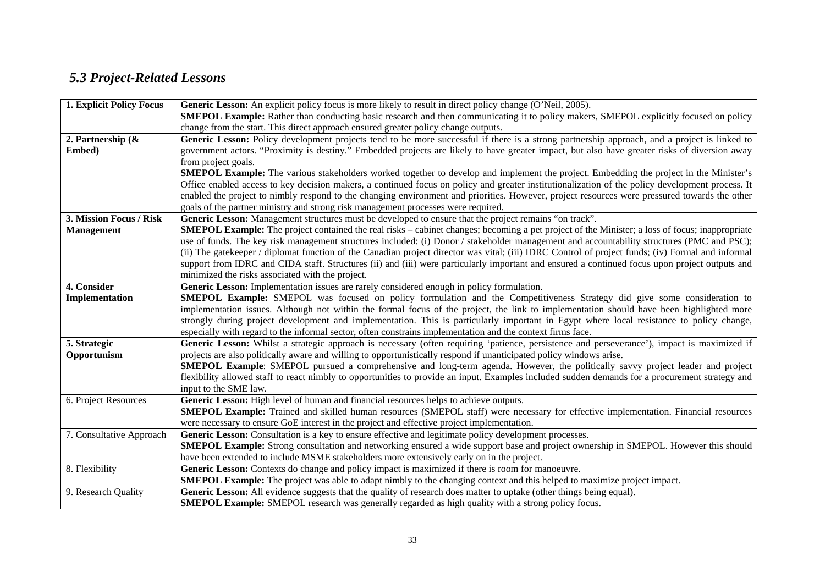# *5.3 Project-Related Lessons*

| 1. Explicit Policy Focus | Generic Lesson: An explicit policy focus is more likely to result in direct policy change (O'Neil, 2005).                                                                                                                               |
|--------------------------|-----------------------------------------------------------------------------------------------------------------------------------------------------------------------------------------------------------------------------------------|
|                          | <b>SMEPOL Example:</b> Rather than conducting basic research and then communicating it to policy makers, SMEPOL explicitly focused on policy                                                                                            |
|                          | change from the start. This direct approach ensured greater policy change outputs.                                                                                                                                                      |
| 2. Partnership $\&$      | Generic Lesson: Policy development projects tend to be more successful if there is a strong partnership approach, and a project is linked to                                                                                            |
| Embed)                   | government actors. "Proximity is destiny." Embedded projects are likely to have greater impact, but also have greater risks of diversion away                                                                                           |
|                          | from project goals.                                                                                                                                                                                                                     |
|                          | <b>SMEPOL Example:</b> The various stakeholders worked together to develop and implement the project. Embedding the project in the Minister's                                                                                           |
|                          | Office enabled access to key decision makers, a continued focus on policy and greater institutionalization of the policy development process. It                                                                                        |
|                          | enabled the project to nimbly respond to the changing environment and priorities. However, project resources were pressured towards the other                                                                                           |
|                          | goals of the partner ministry and strong risk management processes were required.                                                                                                                                                       |
| 3. Mission Focus / Risk  | Generic Lesson: Management structures must be developed to ensure that the project remains "on track".                                                                                                                                  |
| <b>Management</b>        | SMEPOL Example: The project contained the real risks - cabinet changes; becoming a pet project of the Minister; a loss of focus; inappropriate                                                                                          |
|                          | use of funds. The key risk management structures included: (i) Donor / stakeholder management and accountability structures (PMC and PSC);                                                                                              |
|                          | (ii) The gatekeeper / diplomat function of the Canadian project director was vital; (iii) IDRC Control of project funds; (iv) Formal and informal                                                                                       |
|                          | support from IDRC and CIDA staff. Structures (ii) and (iii) were particularly important and ensured a continued focus upon project outputs and                                                                                          |
|                          | minimized the risks associated with the project.                                                                                                                                                                                        |
| 4. Consider              | Generic Lesson: Implementation issues are rarely considered enough in policy formulation.                                                                                                                                               |
| Implementation           | SMEPOL Example: SMEPOL was focused on policy formulation and the Competitiveness Strategy did give some consideration to                                                                                                                |
|                          | implementation issues. Although not within the formal focus of the project, the link to implementation should have been highlighted more                                                                                                |
|                          | strongly during project development and implementation. This is particularly important in Egypt where local resistance to policy change,                                                                                                |
|                          | especially with regard to the informal sector, often constrains implementation and the context firms face.                                                                                                                              |
| 5. Strategic             | Generic Lesson: Whilst a strategic approach is necessary (often requiring 'patience, persistence and perseverance'), impact is maximized if                                                                                             |
| Opportunism              | projects are also politically aware and willing to opportunistically respond if unanticipated policy windows arise.                                                                                                                     |
|                          | <b>SMEPOL Example:</b> SMEPOL pursued a comprehensive and long-term agenda. However, the politically savvy project leader and project                                                                                                   |
|                          | flexibility allowed staff to react nimbly to opportunities to provide an input. Examples included sudden demands for a procurement strategy and                                                                                         |
|                          | input to the SME law.                                                                                                                                                                                                                   |
| 6. Project Resources     | Generic Lesson: High level of human and financial resources helps to achieve outputs.                                                                                                                                                   |
|                          | <b>SMEPOL Example:</b> Trained and skilled human resources (SMEPOL staff) were necessary for effective implementation. Financial resources                                                                                              |
|                          | were necessary to ensure GoE interest in the project and effective project implementation.                                                                                                                                              |
| 7. Consultative Approach | Generic Lesson: Consultation is a key to ensure effective and legitimate policy development processes.                                                                                                                                  |
|                          | <b>SMEPOL Example:</b> Strong consultation and networking ensured a wide support base and project ownership in SMEPOL. However this should<br>have been extended to include MSME stakeholders more extensively early on in the project. |
| 8. Flexibility           | Generic Lesson: Contexts do change and policy impact is maximized if there is room for manoeuvre.                                                                                                                                       |
|                          | <b>SMEPOL Example:</b> The project was able to adapt nimbly to the changing context and this helped to maximize project impact.                                                                                                         |
|                          |                                                                                                                                                                                                                                         |
| 9. Research Quality      | Generic Lesson: All evidence suggests that the quality of research does matter to uptake (other things being equal).                                                                                                                    |
|                          | <b>SMEPOL Example:</b> SMEPOL research was generally regarded as high quality with a strong policy focus.                                                                                                                               |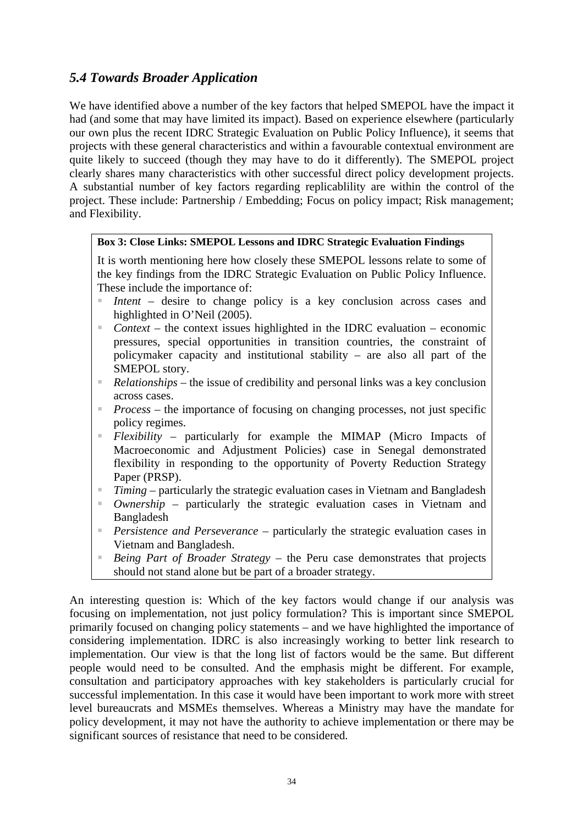# *5.4 Towards Broader Application*

We have identified above a number of the key factors that helped SMEPOL have the impact it had (and some that may have limited its impact). Based on experience elsewhere (particularly our own plus the recent IDRC Strategic Evaluation on Public Policy Influence), it seems that projects with these general characteristics and within a favourable contextual environment are quite likely to succeed (though they may have to do it differently). The SMEPOL project clearly shares many characteristics with other successful direct policy development projects. A substantial number of key factors regarding replicablility are within the control of the project. These include: Partnership / Embedding; Focus on policy impact; Risk management; and Flexibility.

### **Box 3: Close Links: SMEPOL Lessons and IDRC Strategic Evaluation Findings**

It is worth mentioning here how closely these SMEPOL lessons relate to some of the key findings from the IDRC Strategic Evaluation on Public Policy Influence. These include the importance of:

- *Intent* desire to change policy is a key conclusion across cases and highlighted in O'Neil (2005).
- *Context* the context issues highlighted in the IDRC evaluation economic pressures, special opportunities in transition countries, the constraint of policymaker capacity and institutional stability – are also all part of the SMEPOL story.
- *Relationships* the issue of credibility and personal links was a key conclusion across cases.
- *Process* the importance of focusing on changing processes, not just specific policy regimes.
- *Flexibility* particularly for example the MIMAP (Micro Impacts of Macroeconomic and Adjustment Policies) case in Senegal demonstrated flexibility in responding to the opportunity of Poverty Reduction Strategy Paper (PRSP).
- *Timing*  particularly the strategic evaluation cases in Vietnam and Bangladesh
- *Ownership* particularly the strategic evaluation cases in Vietnam and Bangladesh
- *Persistence and Perseverance* particularly the strategic evaluation cases in Vietnam and Bangladesh.
- *Being Part of Broader Strategy* the Peru case demonstrates that projects should not stand alone but be part of a broader strategy.

An interesting question is: Which of the key factors would change if our analysis was focusing on implementation, not just policy formulation? This is important since SMEPOL primarily focused on changing policy statements – and we have highlighted the importance of considering implementation. IDRC is also increasingly working to better link research to implementation. Our view is that the long list of factors would be the same. But different people would need to be consulted. And the emphasis might be different. For example, consultation and participatory approaches with key stakeholders is particularly crucial for successful implementation. In this case it would have been important to work more with street level bureaucrats and MSMEs themselves. Whereas a Ministry may have the mandate for policy development, it may not have the authority to achieve implementation or there may be significant sources of resistance that need to be considered.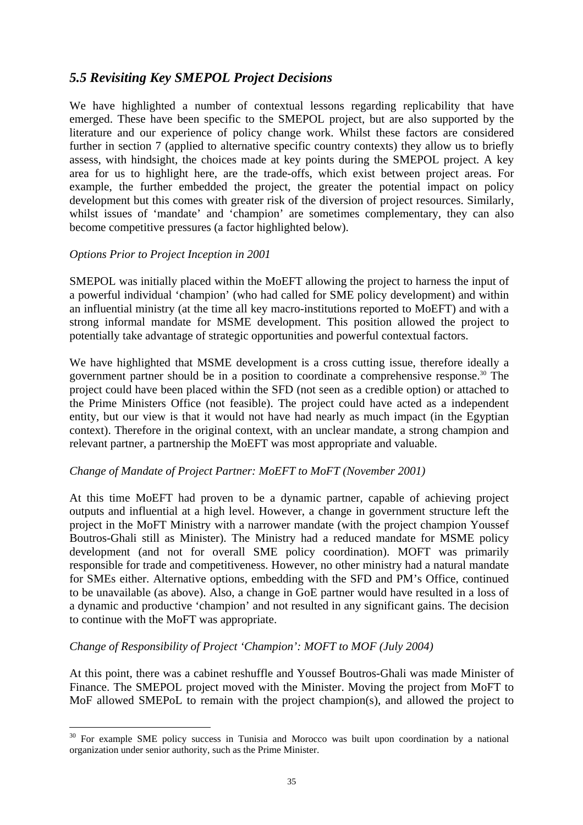# *5.5 Revisiting Key SMEPOL Project Decisions*

We have highlighted a number of contextual lessons regarding replicability that have emerged. These have been specific to the SMEPOL project, but are also supported by the literature and our experience of policy change work. Whilst these factors are considered further in section 7 (applied to alternative specific country contexts) they allow us to briefly assess, with hindsight, the choices made at key points during the SMEPOL project. A key area for us to highlight here, are the trade-offs, which exist between project areas. For example, the further embedded the project, the greater the potential impact on policy development but this comes with greater risk of the diversion of project resources. Similarly, whilst issues of 'mandate' and 'champion' are sometimes complementary, they can also become competitive pressures (a factor highlighted below).

## *Options Prior to Project Inception in 2001*

 $\overline{a}$ 

SMEPOL was initially placed within the MoEFT allowing the project to harness the input of a powerful individual 'champion' (who had called for SME policy development) and within an influential ministry (at the time all key macro-institutions reported to MoEFT) and with a strong informal mandate for MSME development. This position allowed the project to potentially take advantage of strategic opportunities and powerful contextual factors.

We have highlighted that MSME development is a cross cutting issue, therefore ideally a government partner should be in a position to coordinate a comprehensive response[.30](#page-43-0) The project could have been placed within the SFD (not seen as a credible option) or attached to the Prime Ministers Office (not feasible). The project could have acted as a independent entity, but our view is that it would not have had nearly as much impact (in the Egyptian context). Therefore in the original context, with an unclear mandate, a strong champion and relevant partner, a partnership the MoEFT was most appropriate and valuable.

### *Change of Mandate of Project Partner: MoEFT to MoFT (November 2001)*

At this time MoEFT had proven to be a dynamic partner, capable of achieving project outputs and influential at a high level. However, a change in government structure left the project in the MoFT Ministry with a narrower mandate (with the project champion Youssef Boutros-Ghali still as Minister). The Ministry had a reduced mandate for MSME policy development (and not for overall SME policy coordination). MOFT was primarily responsible for trade and competitiveness. However, no other ministry had a natural mandate for SMEs either. Alternative options, embedding with the SFD and PM's Office, continued to be unavailable (as above). Also, a change in GoE partner would have resulted in a loss of a dynamic and productive 'champion' and not resulted in any significant gains. The decision to continue with the MoFT was appropriate.

### *Change of Responsibility of Project 'Champion': MOFT to MOF (July 2004)*

At this point, there was a cabinet reshuffle and Youssef Boutros-Ghali was made Minister of Finance. The SMEPOL project moved with the Minister. Moving the project from MoFT to MoF allowed SMEPoL to remain with the project champion(s), and allowed the project to

<span id="page-43-0"></span><sup>&</sup>lt;sup>30</sup> For example SME policy success in Tunisia and Morocco was built upon coordination by a national organization under senior authority, such as the Prime Minister.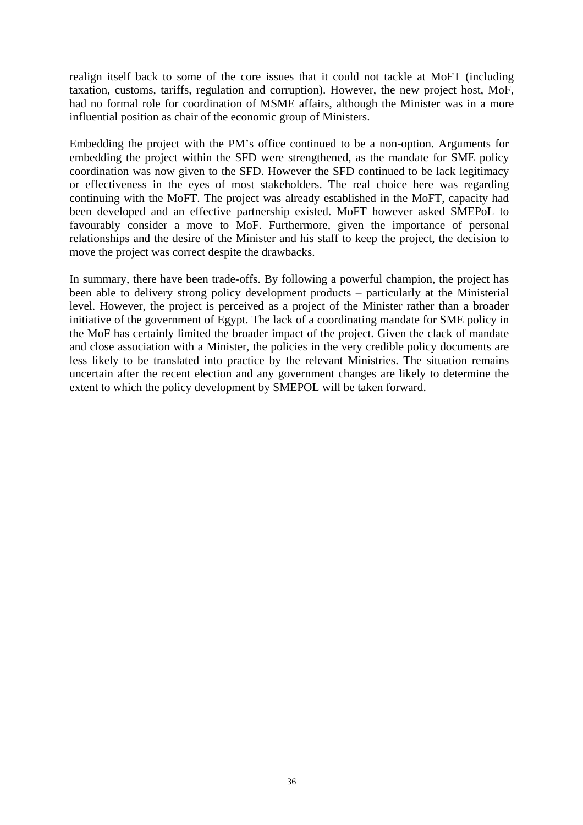realign itself back to some of the core issues that it could not tackle at MoFT (including taxation, customs, tariffs, regulation and corruption). However, the new project host, MoF, had no formal role for coordination of MSME affairs, although the Minister was in a more influential position as chair of the economic group of Ministers.

Embedding the project with the PM's office continued to be a non-option. Arguments for embedding the project within the SFD were strengthened, as the mandate for SME policy coordination was now given to the SFD. However the SFD continued to be lack legitimacy or effectiveness in the eyes of most stakeholders. The real choice here was regarding continuing with the MoFT. The project was already established in the MoFT, capacity had been developed and an effective partnership existed. MoFT however asked SMEPoL to favourably consider a move to MoF. Furthermore, given the importance of personal relationships and the desire of the Minister and his staff to keep the project, the decision to move the project was correct despite the drawbacks.

In summary, there have been trade-offs. By following a powerful champion, the project has been able to delivery strong policy development products – particularly at the Ministerial level. However, the project is perceived as a project of the Minister rather than a broader initiative of the government of Egypt. The lack of a coordinating mandate for SME policy in the MoF has certainly limited the broader impact of the project. Given the clack of mandate and close association with a Minister, the policies in the very credible policy documents are less likely to be translated into practice by the relevant Ministries. The situation remains uncertain after the recent election and any government changes are likely to determine the extent to which the policy development by SMEPOL will be taken forward.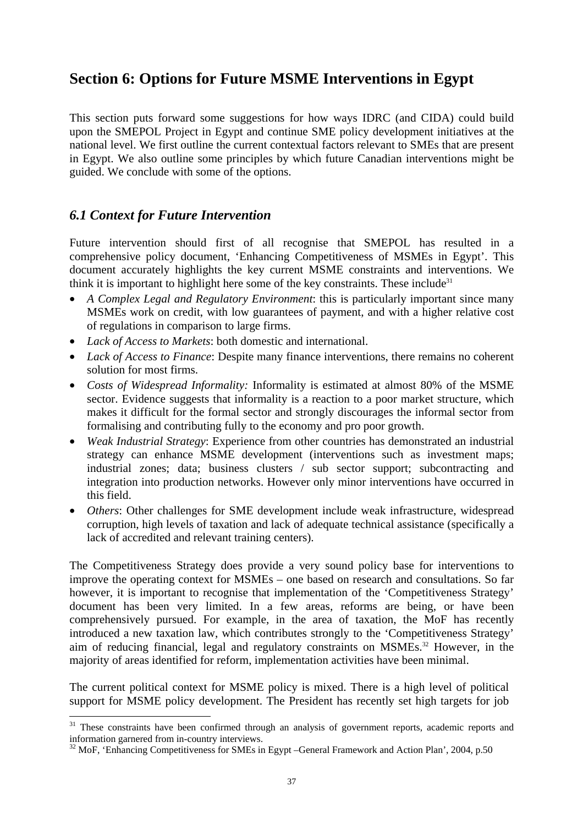# **Section 6: Options for Future MSME Interventions in Egypt**

This section puts forward some suggestions for how ways IDRC (and CIDA) could build upon the SMEPOL Project in Egypt and continue SME policy development initiatives at the national level. We first outline the current contextual factors relevant to SMEs that are present in Egypt. We also outline some principles by which future Canadian interventions might be guided. We conclude with some of the options.

# *6.1 Context for Future Intervention*

 $\overline{a}$ 

Future intervention should first of all recognise that SMEPOL has resulted in a comprehensive policy document, 'Enhancing Competitiveness of MSMEs in Egypt'. This document accurately highlights the key current MSME constraints and interventions. We think it is important to highlight here some of the key constraints. These include<sup>[31](#page-45-0)</sup>

- *A Complex Legal and Regulatory Environment*: this is particularly important since many MSMEs work on credit, with low guarantees of payment, and with a higher relative cost of regulations in comparison to large firms.
- *Lack of Access to Markets*: both domestic and international.
- *Lack of Access to Finance*: Despite many finance interventions, there remains no coherent solution for most firms.
- *Costs of Widespread Informality:* Informality is estimated at almost 80% of the MSME sector. Evidence suggests that informality is a reaction to a poor market structure, which makes it difficult for the formal sector and strongly discourages the informal sector from formalising and contributing fully to the economy and pro poor growth.
- *Weak Industrial Strategy*: Experience from other countries has demonstrated an industrial strategy can enhance MSME development (interventions such as investment maps; industrial zones; data; business clusters / sub sector support; subcontracting and integration into production networks. However only minor interventions have occurred in this field.
- *Others*: Other challenges for SME development include weak infrastructure, widespread corruption, high levels of taxation and lack of adequate technical assistance (specifically a lack of accredited and relevant training centers).

The Competitiveness Strategy does provide a very sound policy base for interventions to improve the operating context for MSMEs – one based on research and consultations. So far however, it is important to recognise that implementation of the 'Competitiveness Strategy' document has been very limited. In a few areas, reforms are being, or have been comprehensively pursued. For example, in the area of taxation, the MoF has recently introduced a new taxation law, which contributes strongly to the 'Competitiveness Strategy' aim of reducing financial, legal and regulatory constraints on MSMEs.[32](#page-45-1) However, in the majority of areas identified for reform, implementation activities have been minimal.

The current political context for MSME policy is mixed. There is a high level of political support for MSME policy development. The President has recently set high targets for job

<span id="page-45-0"></span><sup>&</sup>lt;sup>31</sup> These constraints have been confirmed through an analysis of government reports, academic reports and information garnered from in-country interviews.

<span id="page-45-1"></span> $^{32}$  MoF, 'Enhancing Competitiveness for SMEs in Egypt –General Framework and Action Plan', 2004, p.50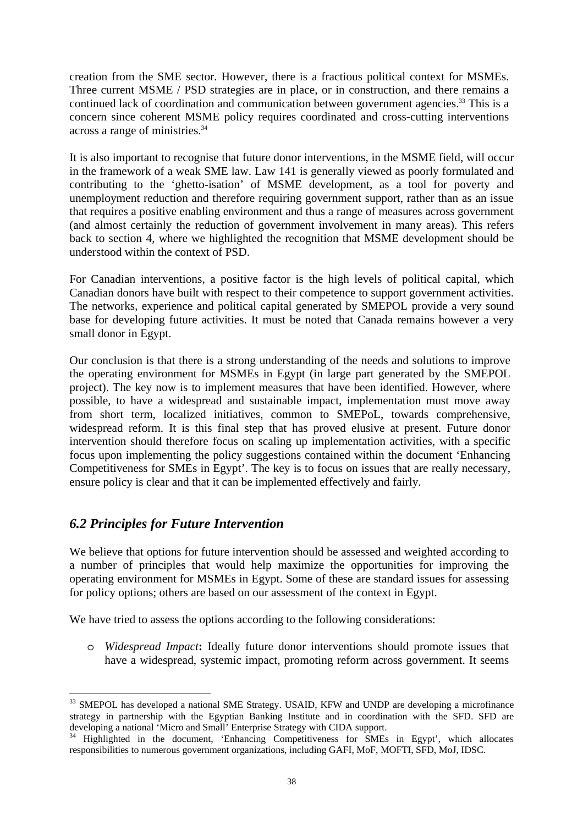creation from the SME sector. However, there is a fractious political context for MSMEs. Three current MSME / PSD strategies are in place, or in construction, and there remains a continued lack of coordination and communication between government agencies.<sup>33</sup> This is a concern since coherent MSME policy requires coordinated and cross-cutting interventions across a range of ministries[.34](#page-46-1) 

It is also important to recognise that future donor interventions, in the MSME field, will occur in the framework of a weak SME law. Law 141 is generally viewed as poorly formulated and contributing to the 'ghetto-isation' of MSME development, as a tool for poverty and unemployment reduction and therefore requiring government support, rather than as an issue that requires a positive enabling environment and thus a range of measures across government (and almost certainly the reduction of government involvement in many areas). This refers back to section 4, where we highlighted the recognition that MSME development should be understood within the context of PSD.

For Canadian interventions, a positive factor is the high levels of political capital, which Canadian donors have built with respect to their competence to support government activities. The networks, experience and political capital generated by SMEPOL provide a very sound base for developing future activities. It must be noted that Canada remains however a very small donor in Egypt.

Our conclusion is that there is a strong understanding of the needs and solutions to improve the operating environment for MSMEs in Egypt (in large part generated by the SMEPOL project). The key now is to implement measures that have been identified. However, where possible, to have a widespread and sustainable impact, implementation must move away from short term, localized initiatives, common to SMEPoL, towards comprehensive, widespread reform. It is this final step that has proved elusive at present. Future donor intervention should therefore focus on scaling up implementation activities, with a specific focus upon implementing the policy suggestions contained within the document 'Enhancing Competitiveness for SMEs in Egypt'. The key is to focus on issues that are really necessary, ensure policy is clear and that it can be implemented effectively and fairly.

# *6.2 Principles for Future Intervention*

We believe that options for future intervention should be assessed and weighted according to a number of principles that would help maximize the opportunities for improving the operating environment for MSMEs in Egypt. Some of these are standard issues for assessing for policy options; others are based on our assessment of the context in Egypt.

We have tried to assess the options according to the following considerations:

o *Widespread Impact***:** Ideally future donor interventions should promote issues that have a widespread, systemic impact, promoting reform across government. It seems

<span id="page-46-0"></span> $\overline{a}$ <sup>33</sup> SMEPOL has developed a national SME Strategy. USAID, KFW and UNDP are developing a microfinance strategy in partnership with the Egyptian Banking Institute and in coordination with the SFD. SFD are developing a national 'Micro and Small' Enterprise Strategy with CIDA support.<br><sup>34</sup> Highlighted in the document, 'Enhancing Competitiveness for SMEs in Egypt', which allocates

<span id="page-46-1"></span>responsibilities to numerous government organizations, including GAFI, MoF, MOFTI, SFD, MoJ, IDSC.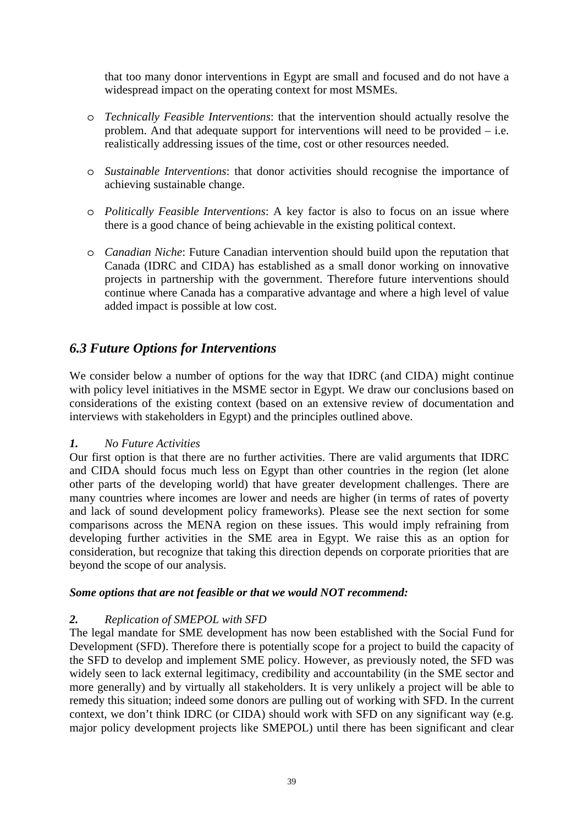that too many donor interventions in Egypt are small and focused and do not have a widespread impact on the operating context for most MSMEs.

- o *Technically Feasible Interventions*: that the intervention should actually resolve the problem. And that adequate support for interventions will need to be provided – i.e. realistically addressing issues of the time, cost or other resources needed.
- o *Sustainable Interventions*: that donor activities should recognise the importance of achieving sustainable change.
- o *Politically Feasible Interventions*: A key factor is also to focus on an issue where there is a good chance of being achievable in the existing political context.
- o *Canadian Niche*: Future Canadian intervention should build upon the reputation that Canada (IDRC and CIDA) has established as a small donor working on innovative projects in partnership with the government. Therefore future interventions should continue where Canada has a comparative advantage and where a high level of value added impact is possible at low cost.

# *6.3 Future Options for Interventions*

We consider below a number of options for the way that IDRC (and CIDA) might continue with policy level initiatives in the MSME sector in Egypt. We draw our conclusions based on considerations of the existing context (based on an extensive review of documentation and interviews with stakeholders in Egypt) and the principles outlined above.

## *1. No Future Activities*

Our first option is that there are no further activities. There are valid arguments that IDRC and CIDA should focus much less on Egypt than other countries in the region (let alone other parts of the developing world) that have greater development challenges. There are many countries where incomes are lower and needs are higher (in terms of rates of poverty and lack of sound development policy frameworks). Please see the next section for some comparisons across the MENA region on these issues. This would imply refraining from developing further activities in the SME area in Egypt. We raise this as an option for consideration, but recognize that taking this direction depends on corporate priorities that are beyond the scope of our analysis.

### *Some options that are not feasible or that we would NOT recommend:*

### *2. Replication of SMEPOL with SFD*

The legal mandate for SME development has now been established with the Social Fund for Development (SFD). Therefore there is potentially scope for a project to build the capacity of the SFD to develop and implement SME policy. However, as previously noted, the SFD was widely seen to lack external legitimacy, credibility and accountability (in the SME sector and more generally) and by virtually all stakeholders. It is very unlikely a project will be able to remedy this situation; indeed some donors are pulling out of working with SFD. In the current context, we don't think IDRC (or CIDA) should work with SFD on any significant way (e.g. major policy development projects like SMEPOL) until there has been significant and clear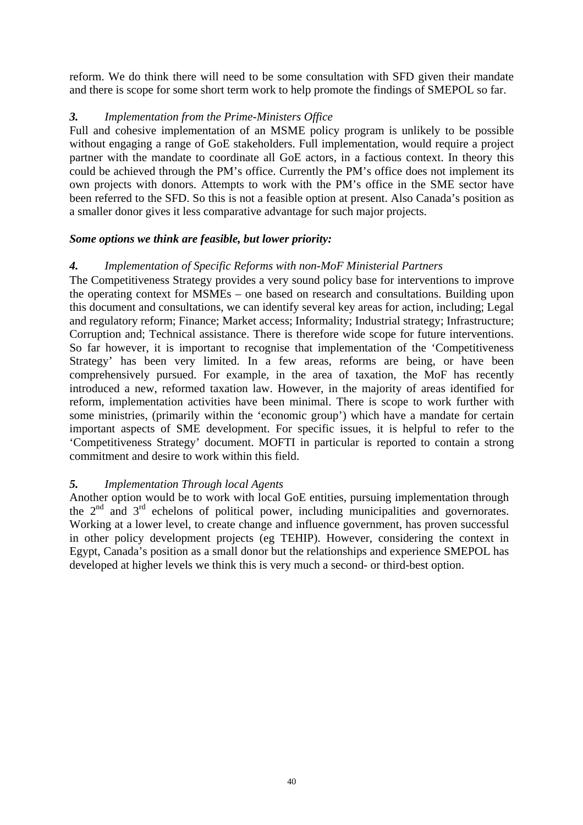reform. We do think there will need to be some consultation with SFD given their mandate and there is scope for some short term work to help promote the findings of SMEPOL so far.

# *3. Implementation from the Prime-Ministers Office*

Full and cohesive implementation of an MSME policy program is unlikely to be possible without engaging a range of GoE stakeholders. Full implementation, would require a project partner with the mandate to coordinate all GoE actors, in a factious context. In theory this could be achieved through the PM's office. Currently the PM's office does not implement its own projects with donors. Attempts to work with the PM's office in the SME sector have been referred to the SFD. So this is not a feasible option at present. Also Canada's position as a smaller donor gives it less comparative advantage for such major projects.

# *Some options we think are feasible, but lower priority:*

# *4. Implementation of Specific Reforms with non-MoF Ministerial Partners*

The Competitiveness Strategy provides a very sound policy base for interventions to improve the operating context for MSMEs – one based on research and consultations. Building upon this document and consultations, we can identify several key areas for action, including; Legal and regulatory reform; Finance; Market access; Informality; Industrial strategy; Infrastructure; Corruption and; Technical assistance. There is therefore wide scope for future interventions. So far however, it is important to recognise that implementation of the 'Competitiveness Strategy' has been very limited. In a few areas, reforms are being, or have been comprehensively pursued. For example, in the area of taxation, the MoF has recently introduced a new, reformed taxation law. However, in the majority of areas identified for reform, implementation activities have been minimal. There is scope to work further with some ministries, (primarily within the 'economic group') which have a mandate for certain important aspects of SME development. For specific issues, it is helpful to refer to the 'Competitiveness Strategy' document. MOFTI in particular is reported to contain a strong commitment and desire to work within this field.

# *5. Implementation Through local Agents*

Another option would be to work with local GoE entities, pursuing implementation through the  $2<sup>nd</sup>$  and  $3<sup>rd</sup>$  echelons of political power, including municipalities and governorates. Working at a lower level, to create change and influence government, has proven successful in other policy development projects (eg TEHIP). However, considering the context in Egypt, Canada's position as a small donor but the relationships and experience SMEPOL has developed at higher levels we think this is very much a second- or third-best option.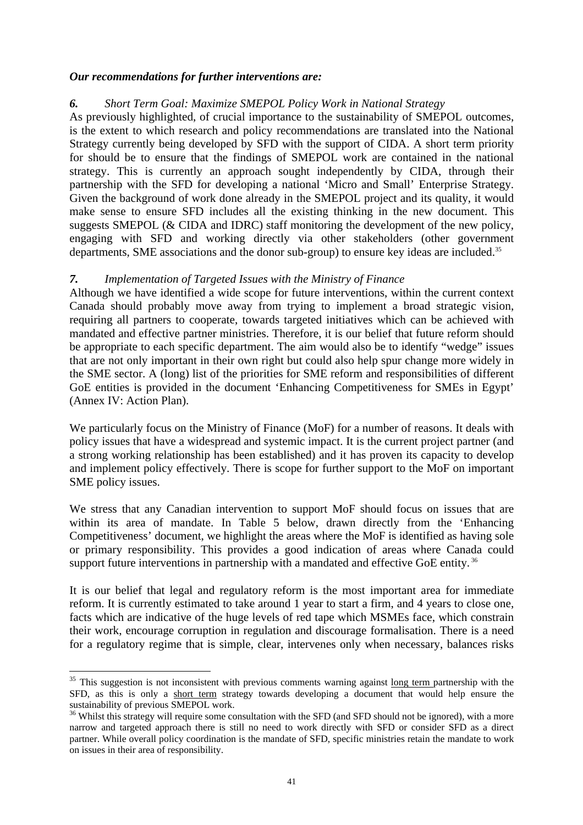### *Our recommendations for further interventions are:*

## *6. Short Term Goal: Maximize SMEPOL Policy Work in National Strategy*

As previously highlighted, of crucial importance to the sustainability of SMEPOL outcomes, is the extent to which research and policy recommendations are translated into the National Strategy currently being developed by SFD with the support of CIDA. A short term priority for should be to ensure that the findings of SMEPOL work are contained in the national strategy. This is currently an approach sought independently by CIDA, through their partnership with the SFD for developing a national 'Micro and Small' Enterprise Strategy. Given the background of work done already in the SMEPOL project and its quality, it would make sense to ensure SFD includes all the existing thinking in the new document. This suggests SMEPOL (& CIDA and IDRC) staff monitoring the development of the new policy, engaging with SFD and working directly via other stakeholders (other government departments, SME associations and the donor sub-group) to ensure key ideas are included.<sup>35</sup>

### *7. Implementation of Targeted Issues with the Ministry of Finance*

Although we have identified a wide scope for future interventions, within the current context Canada should probably move away from trying to implement a broad strategic vision, requiring all partners to cooperate, towards targeted initiatives which can be achieved with mandated and effective partner ministries. Therefore, it is our belief that future reform should be appropriate to each specific department. The aim would also be to identify "wedge" issues that are not only important in their own right but could also help spur change more widely in the SME sector. A (long) list of the priorities for SME reform and responsibilities of different GoE entities is provided in the document 'Enhancing Competitiveness for SMEs in Egypt' (Annex IV: Action Plan).

We particularly focus on the Ministry of Finance (MoF) for a number of reasons. It deals with policy issues that have a widespread and systemic impact. It is the current project partner (and a strong working relationship has been established) and it has proven its capacity to develop and implement policy effectively. There is scope for further support to the MoF on important SME policy issues.

We stress that any Canadian intervention to support MoF should focus on issues that are within its area of mandate. In Table 5 below, drawn directly from the 'Enhancing' Competitiveness' document, we highlight the areas where the MoF is identified as having sole or primary responsibility. This provides a good indication of areas where Canada could support future interventions in partnership with a mandated and effective GoE entity.<sup>36</sup>

It is our belief that legal and regulatory reform is the most important area for immediate reform. It is currently estimated to take around 1 year to start a firm, and 4 years to close one, facts which are indicative of the huge levels of red tape which MSMEs face, which constrain their work, encourage corruption in regulation and discourage formalisation. There is a need for a regulatory regime that is simple, clear, intervenes only when necessary, balances risks

 $\overline{a}$ 

<span id="page-49-0"></span> $35$  This suggestion is not inconsistent with previous comments warning against long term partnership with the SFD, as this is only a short term strategy towards developing a document that would help ensure the sustainability of previous SMEPOL work.

<span id="page-49-1"></span><sup>&</sup>lt;sup>36</sup> Whilst this strategy will require some consultation with the SFD (and SFD should not be ignored), with a more narrow and targeted approach there is still no need to work directly with SFD or consider SFD as a direct partner. While overall policy coordination is the mandate of SFD, specific ministries retain the mandate to work on issues in their area of responsibility.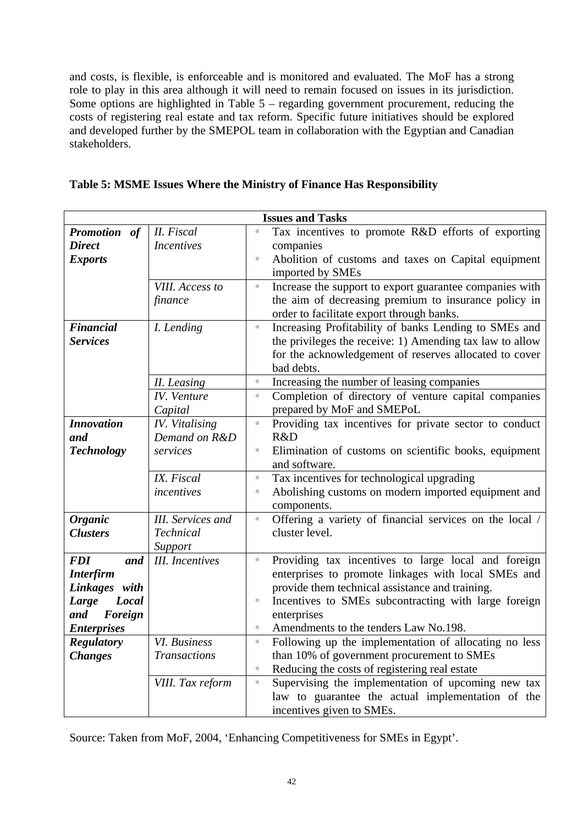and costs, is flexible, is enforceable and is monitored and evaluated. The MoF has a strong role to play in this area although it will need to remain focused on issues in its jurisdiction. Some options are highlighted in Table 5 – regarding government procurement, reducing the costs of registering real estate and tax reform. Specific future initiatives should be explored and developed further by the SMEPOL team in collaboration with the Egyptian and Canadian stakeholders.

| <b>Issues and Tasks</b> |                          |                |                                                                                                        |  |  |  |
|-------------------------|--------------------------|----------------|--------------------------------------------------------------------------------------------------------|--|--|--|
| Promotion of            | II. Fiscal               | j.             | Tax incentives to promote R&D efforts of exporting                                                     |  |  |  |
| <b>Direct</b>           | <b>Incentives</b>        |                | companies                                                                                              |  |  |  |
| <b>Exports</b>          |                          | I.             | Abolition of customs and taxes on Capital equipment                                                    |  |  |  |
|                         |                          |                | imported by SMEs                                                                                       |  |  |  |
|                         | VIII. Access to          | $\mathbb{R}^n$ | Increase the support to export guarantee companies with                                                |  |  |  |
|                         | finance                  |                | the aim of decreasing premium to insurance policy in                                                   |  |  |  |
|                         |                          |                | order to facilitate export through banks.                                                              |  |  |  |
| <b>Financial</b>        | I. Lending               | $\mathbb{R}^n$ | Increasing Profitability of banks Lending to SMEs and                                                  |  |  |  |
| <b>Services</b>         |                          |                | the privileges the receive: 1) Amending tax law to allow                                               |  |  |  |
|                         |                          |                | for the acknowledgement of reserves allocated to cover                                                 |  |  |  |
|                         |                          |                | bad debts.                                                                                             |  |  |  |
|                         | II. Leasing              | $\mathbb{R}^n$ | Increasing the number of leasing companies                                                             |  |  |  |
|                         | IV. Venture              | $\equiv$       | Completion of directory of venture capital companies                                                   |  |  |  |
|                         | Capital                  |                | prepared by MoF and SMEPoL                                                                             |  |  |  |
| <b>Innovation</b>       | <b>IV.</b> Vitalising    | j.             | Providing tax incentives for private sector to conduct                                                 |  |  |  |
| and                     | Demand on R&D            |                | R&D                                                                                                    |  |  |  |
| <b>Technology</b>       | services                 | I.             | Elimination of customs on scientific books, equipment                                                  |  |  |  |
|                         |                          |                | and software.                                                                                          |  |  |  |
|                         | IX. Fiscal               | $\equiv$       | Tax incentives for technological upgrading                                                             |  |  |  |
|                         | incentives               | U,             | Abolishing customs on modern imported equipment and                                                    |  |  |  |
|                         |                          |                | components.                                                                                            |  |  |  |
| <b>Organic</b>          | <b>III.</b> Services and | u,             | Offering a variety of financial services on the local /                                                |  |  |  |
| <b>Clusters</b>         | Technical                |                | cluster level.                                                                                         |  |  |  |
|                         | Support                  |                |                                                                                                        |  |  |  |
| and<br><b>FDI</b>       | <b>III.</b> Incentives   | ×.             | Providing tax incentives to large local and foreign                                                    |  |  |  |
| <b>Interfirm</b>        |                          |                | enterprises to promote linkages with local SMEs and<br>provide them technical assistance and training. |  |  |  |
| Linkages with<br>Local  |                          | ×,             | Incentives to SMEs subcontracting with large foreign                                                   |  |  |  |
| Large<br>Foreign<br>and |                          |                | enterprises                                                                                            |  |  |  |
| <b>Enterprises</b>      |                          | ш              | Amendments to the tenders Law No.198.                                                                  |  |  |  |
| <b>Regulatory</b>       | VI. Business             | ×.             | Following up the implementation of allocating no less                                                  |  |  |  |
| <b>Changes</b>          | <b>Transactions</b>      |                | than 10% of government procurement to SMEs                                                             |  |  |  |
|                         |                          | $\mathbb{R}^n$ | Reducing the costs of registering real estate                                                          |  |  |  |
|                         | VIII. Tax reform         | ×.             | Supervising the implementation of upcoming new tax                                                     |  |  |  |
|                         |                          |                | law to guarantee the actual implementation of the                                                      |  |  |  |
|                         |                          |                | incentives given to SMEs.                                                                              |  |  |  |

|  | Table 5: MSME Issues Where the Ministry of Finance Has Responsibility |  |
|--|-----------------------------------------------------------------------|--|
|--|-----------------------------------------------------------------------|--|

Source: Taken from MoF, 2004, 'Enhancing Competitiveness for SMEs in Egypt'.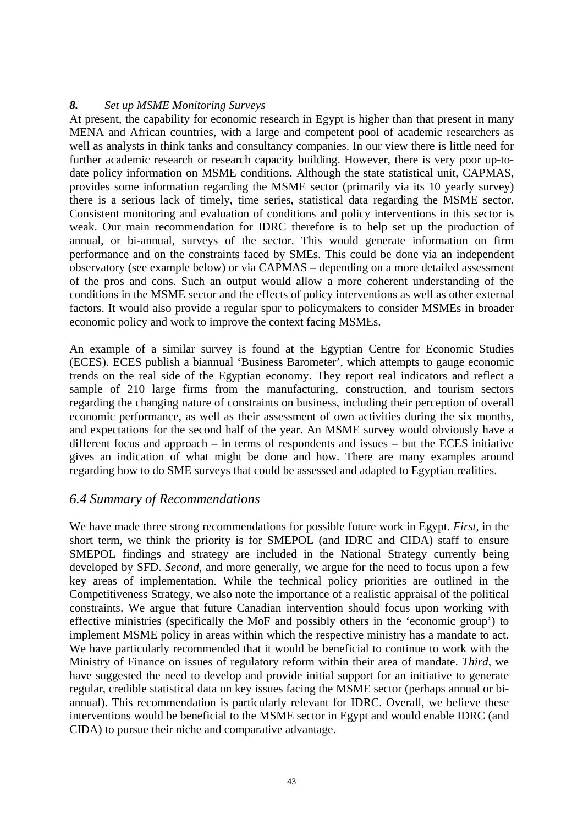## *8. Set up MSME Monitoring Surveys*

At present, the capability for economic research in Egypt is higher than that present in many MENA and African countries, with a large and competent pool of academic researchers as well as analysts in think tanks and consultancy companies. In our view there is little need for further academic research or research capacity building. However, there is very poor up-todate policy information on MSME conditions. Although the state statistical unit, CAPMAS, provides some information regarding the MSME sector (primarily via its 10 yearly survey) there is a serious lack of timely, time series, statistical data regarding the MSME sector. Consistent monitoring and evaluation of conditions and policy interventions in this sector is weak. Our main recommendation for IDRC therefore is to help set up the production of annual, or bi-annual, surveys of the sector. This would generate information on firm performance and on the constraints faced by SMEs. This could be done via an independent observatory (see example below) or via CAPMAS – depending on a more detailed assessment of the pros and cons. Such an output would allow a more coherent understanding of the conditions in the MSME sector and the effects of policy interventions as well as other external factors. It would also provide a regular spur to policymakers to consider MSMEs in broader economic policy and work to improve the context facing MSMEs.

An example of a similar survey is found at the Egyptian Centre for Economic Studies (ECES). ECES publish a biannual 'Business Barometer', which attempts to gauge economic trends on the real side of the Egyptian economy. They report real indicators and reflect a sample of 210 large firms from the manufacturing, construction, and tourism sectors regarding the changing nature of constraints on business, including their perception of overall economic performance, as well as their assessment of own activities during the six months, and expectations for the second half of the year. An MSME survey would obviously have a different focus and approach – in terms of respondents and issues – but the ECES initiative gives an indication of what might be done and how. There are many examples around regarding how to do SME surveys that could be assessed and adapted to Egyptian realities.

## *6.4 Summary of Recommendations*

We have made three strong recommendations for possible future work in Egypt. *First*, in the short term, we think the priority is for SMEPOL (and IDRC and CIDA) staff to ensure SMEPOL findings and strategy are included in the National Strategy currently being developed by SFD. *Second*, and more generally, we argue for the need to focus upon a few key areas of implementation. While the technical policy priorities are outlined in the Competitiveness Strategy, we also note the importance of a realistic appraisal of the political constraints. We argue that future Canadian intervention should focus upon working with effective ministries (specifically the MoF and possibly others in the 'economic group') to implement MSME policy in areas within which the respective ministry has a mandate to act. We have particularly recommended that it would be beneficial to continue to work with the Ministry of Finance on issues of regulatory reform within their area of mandate. *Third*, we have suggested the need to develop and provide initial support for an initiative to generate regular, credible statistical data on key issues facing the MSME sector (perhaps annual or biannual). This recommendation is particularly relevant for IDRC. Overall, we believe these interventions would be beneficial to the MSME sector in Egypt and would enable IDRC (and CIDA) to pursue their niche and comparative advantage.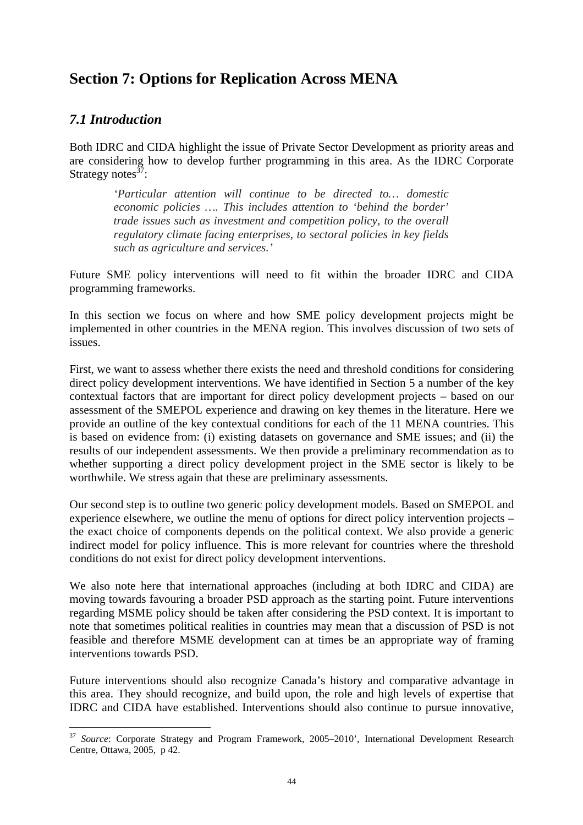# **Section 7: Options for Replication Across MENA**

# *7.1 Introduction*

 $\overline{a}$ 

Both IDRC and CIDA highlight the issue of Private Sector Development as priority areas and are considering how to develop further programming in this area. As the IDRC Corporate Strategy notes $37$ :

*'Particular attention will continue to be directed to… domestic economic policies …. This includes attention to 'behind the border' trade issues such as investment and competition policy, to the overall regulatory climate facing enterprises, to sectoral policies in key fields such as agriculture and services.'* 

Future SME policy interventions will need to fit within the broader IDRC and CIDA programming frameworks.

In this section we focus on where and how SME policy development projects might be implemented in other countries in the MENA region. This involves discussion of two sets of issues.

First, we want to assess whether there exists the need and threshold conditions for considering direct policy development interventions. We have identified in Section 5 a number of the key contextual factors that are important for direct policy development projects – based on our assessment of the SMEPOL experience and drawing on key themes in the literature. Here we provide an outline of the key contextual conditions for each of the 11 MENA countries. This is based on evidence from: (i) existing datasets on governance and SME issues; and (ii) the results of our independent assessments. We then provide a preliminary recommendation as to whether supporting a direct policy development project in the SME sector is likely to be worthwhile. We stress again that these are preliminary assessments.

Our second step is to outline two generic policy development models. Based on SMEPOL and experience elsewhere, we outline the menu of options for direct policy intervention projects – the exact choice of components depends on the political context. We also provide a generic indirect model for policy influence. This is more relevant for countries where the threshold conditions do not exist for direct policy development interventions.

We also note here that international approaches (including at both IDRC and CIDA) are moving towards favouring a broader PSD approach as the starting point. Future interventions regarding MSME policy should be taken after considering the PSD context. It is important to note that sometimes political realities in countries may mean that a discussion of PSD is not feasible and therefore MSME development can at times be an appropriate way of framing interventions towards PSD.

Future interventions should also recognize Canada's history and comparative advantage in this area. They should recognize, and build upon, the role and high levels of expertise that IDRC and CIDA have established. Interventions should also continue to pursue innovative,

<span id="page-52-0"></span><sup>&</sup>lt;sup>37</sup> Source: Corporate Strategy and Program Framework, 2005–2010', International Development Research Centre, Ottawa, 2005, p 42.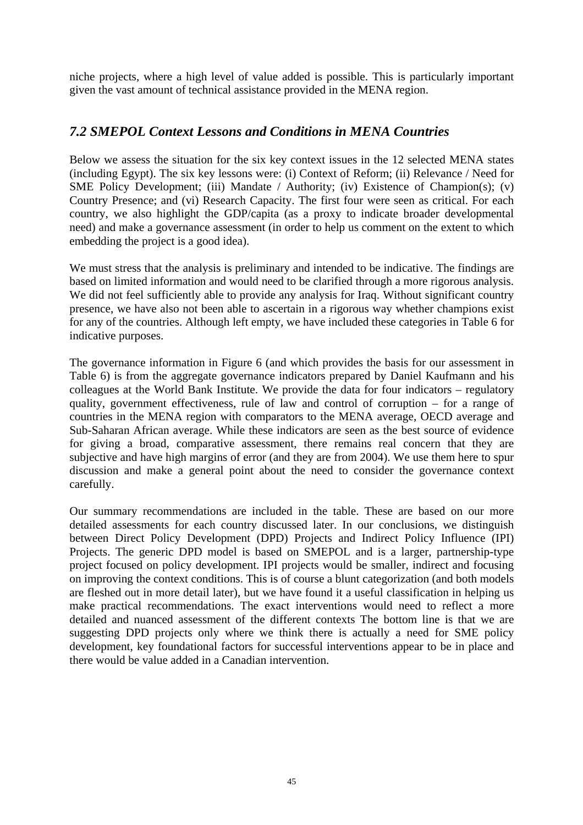niche projects, where a high level of value added is possible. This is particularly important given the vast amount of technical assistance provided in the MENA region.

# *7.2 SMEPOL Context Lessons and Conditions in MENA Countries*

Below we assess the situation for the six key context issues in the 12 selected MENA states (including Egypt). The six key lessons were: (i) Context of Reform; (ii) Relevance / Need for SME Policy Development; (iii) Mandate / Authority; (iv) Existence of Champion(s); (v) Country Presence; and (vi) Research Capacity. The first four were seen as critical. For each country, we also highlight the GDP/capita (as a proxy to indicate broader developmental need) and make a governance assessment (in order to help us comment on the extent to which embedding the project is a good idea).

We must stress that the analysis is preliminary and intended to be indicative. The findings are based on limited information and would need to be clarified through a more rigorous analysis. We did not feel sufficiently able to provide any analysis for Iraq. Without significant country presence, we have also not been able to ascertain in a rigorous way whether champions exist for any of the countries. Although left empty, we have included these categories in Table 6 for indicative purposes.

The governance information in Figure 6 (and which provides the basis for our assessment in Table 6) is from the aggregate governance indicators prepared by Daniel Kaufmann and his colleagues at the World Bank Institute. We provide the data for four indicators – regulatory quality, government effectiveness, rule of law and control of corruption – for a range of countries in the MENA region with comparators to the MENA average, OECD average and Sub-Saharan African average. While these indicators are seen as the best source of evidence for giving a broad, comparative assessment, there remains real concern that they are subjective and have high margins of error (and they are from 2004). We use them here to spur discussion and make a general point about the need to consider the governance context carefully.

Our summary recommendations are included in the table. These are based on our more detailed assessments for each country discussed later. In our conclusions, we distinguish between Direct Policy Development (DPD) Projects and Indirect Policy Influence (IPI) Projects. The generic DPD model is based on SMEPOL and is a larger, partnership-type project focused on policy development. IPI projects would be smaller, indirect and focusing on improving the context conditions. This is of course a blunt categorization (and both models are fleshed out in more detail later), but we have found it a useful classification in helping us make practical recommendations. The exact interventions would need to reflect a more detailed and nuanced assessment of the different contexts The bottom line is that we are suggesting DPD projects only where we think there is actually a need for SME policy development, key foundational factors for successful interventions appear to be in place and there would be value added in a Canadian intervention.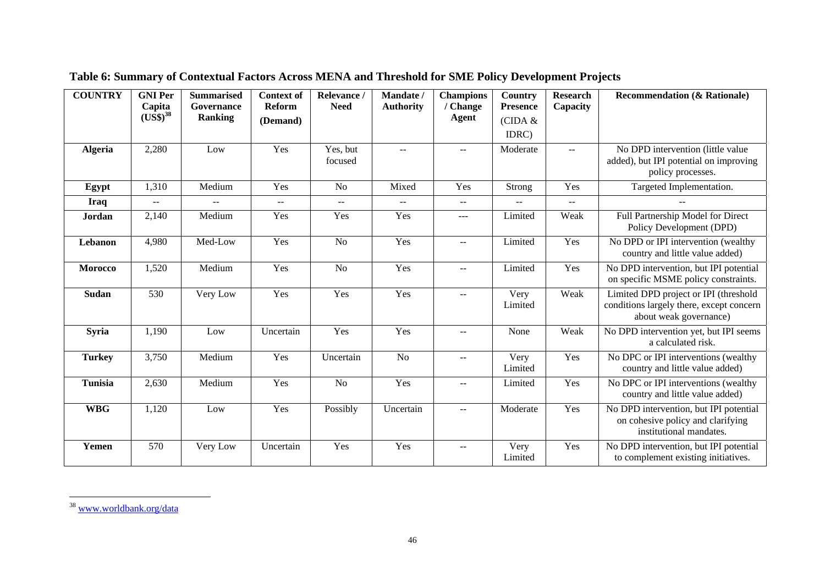| <b>COUNTRY</b> | <b>GNI Per</b>             | <b>Summarised</b>            | <b>Context of</b>           | Relevance /                 | Mandate /        | <b>Champions</b>         | <b>Country</b>             | <b>Research</b>                               | <b>Recommendation (&amp; Rationale)</b>                                                                     |
|----------------|----------------------------|------------------------------|-----------------------------|-----------------------------|------------------|--------------------------|----------------------------|-----------------------------------------------|-------------------------------------------------------------------------------------------------------------|
|                | Capita<br>$(US\$ {S})^{38} | Governance<br><b>Ranking</b> | Reform<br>(Demand)          | <b>Need</b>                 | <b>Authority</b> | / Change<br><b>Agent</b> | <b>Presence</b><br>(CIDA & | Capacity                                      |                                                                                                             |
|                |                            |                              |                             |                             |                  |                          | IDRC)                      |                                               |                                                                                                             |
| <b>Algeria</b> | 2,280                      | Low                          | Yes                         | Yes, but<br>focused         | $-$              | $\sim$ $\sim$            | Moderate                   | $- -$                                         | No DPD intervention (little value<br>added), but IPI potential on improving<br>policy processes.            |
| Egypt          | 1,310                      | Medium                       | Yes                         | N <sub>o</sub>              | Mixed            | Yes                      | Strong                     | Yes                                           | Targeted Implementation.                                                                                    |
| <b>Iraq</b>    | $--$                       | $\overline{a}$               | $\mathcal{L} = \mathcal{L}$ | $\mathcal{L} = \mathcal{L}$ | $- -$            | $\qquad \qquad -$        | $-$                        | $\mathord{\hspace{1pt}\text{--}\hspace{1pt}}$ |                                                                                                             |
| <b>Jordan</b>  | 2,140                      | Medium                       | Yes                         | Yes                         | Yes              | $\qquad \qquad - -$      | Limited                    | Weak                                          | Full Partnership Model for Direct<br>Policy Development (DPD)                                               |
| Lebanon        | 4,980                      | Med-Low                      | Yes                         | No                          | Yes              | $\rightarrow$            | Limited                    | Yes                                           | No DPD or IPI intervention (wealthy<br>country and little value added)                                      |
| <b>Morocco</b> | 1,520                      | Medium                       | Yes                         | N <sub>o</sub>              | Yes              | $\sim$ $-$               | Limited                    | Yes                                           | No DPD intervention, but IPI potential<br>on specific MSME policy constraints.                              |
| Sudan          | 530                        | Very Low                     | Yes                         | Yes                         | Yes              | $\sim$ $\sim$            | Very<br>Limited            | Weak                                          | Limited DPD project or IPI (threshold<br>conditions largely there, except concern<br>about weak governance) |
| Syria          | 1,190                      | Low                          | Uncertain                   | Yes                         | Yes              | $-$                      | None                       | Weak                                          | No DPD intervention yet, but IPI seems<br>a calculated risk.                                                |
| <b>Turkey</b>  | 3,750                      | Medium                       | Yes                         | Uncertain                   | N <sub>o</sub>   | $-$                      | Very<br>Limited            | Yes                                           | No DPC or IPI interventions (wealthy<br>country and little value added)                                     |
| <b>Tunisia</b> | 2,630                      | Medium                       | Yes                         | N <sub>o</sub>              | Yes              | $\rightarrow$            | Limited                    | Yes                                           | No DPC or IPI interventions (wealthy<br>country and little value added)                                     |
| <b>WBG</b>     | 1,120                      | Low                          | Yes                         | Possibly                    | Uncertain        | $\overline{a}$           | Moderate                   | Yes                                           | No DPD intervention, but IPI potential<br>on cohesive policy and clarifying<br>institutional mandates.      |
| Yemen          | 570                        | Very Low                     | Uncertain                   | Yes                         | Yes              | $-$                      | Very<br>Limited            | Yes                                           | No DPD intervention, but IPI potential<br>to complement existing initiatives.                               |

<span id="page-54-0"></span>

| Table 6: Summary of Contextual Factors Across MENA and Threshold for SME Policy Development Projects |
|------------------------------------------------------------------------------------------------------|
|                                                                                                      |

<sup>38</sup> [www.worldbank.org/data](http://www.worldbank.org/data)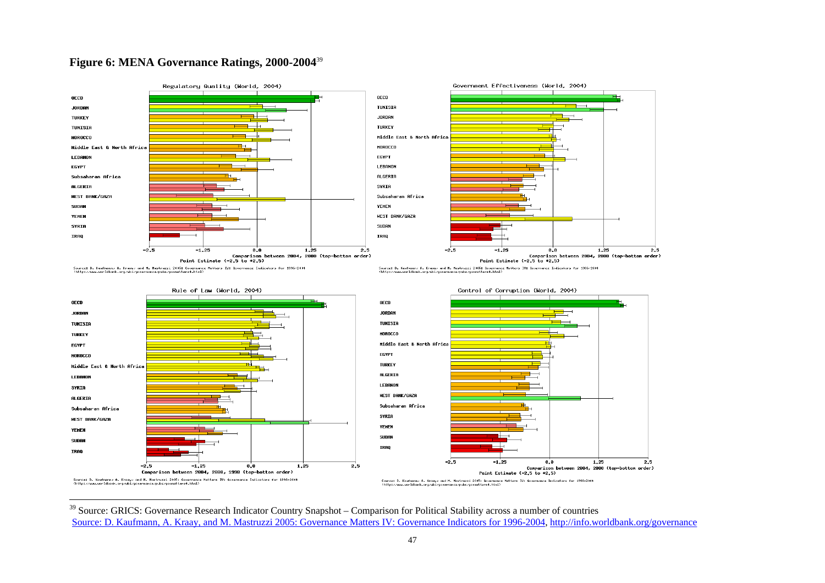#### **Figure 6: MENA Governance Ratings, 2000-2004**[39](#page-55-0)



<span id="page-55-0"></span><sup>&</sup>lt;sup>39</sup> Source: GRICS: Governance Research Indicator Country Snapshot – Comparison for Political Stability across a number of countries Source: D. Kaufmann, A. [Kraay, and M. Mastruzzi 2005: Governance Matters IV: Governance Indicators for 1996-2004](http://www.worldbank.org/wbi/governance/pubs/govmatters4.html),<http://info.worldbank.org/governance>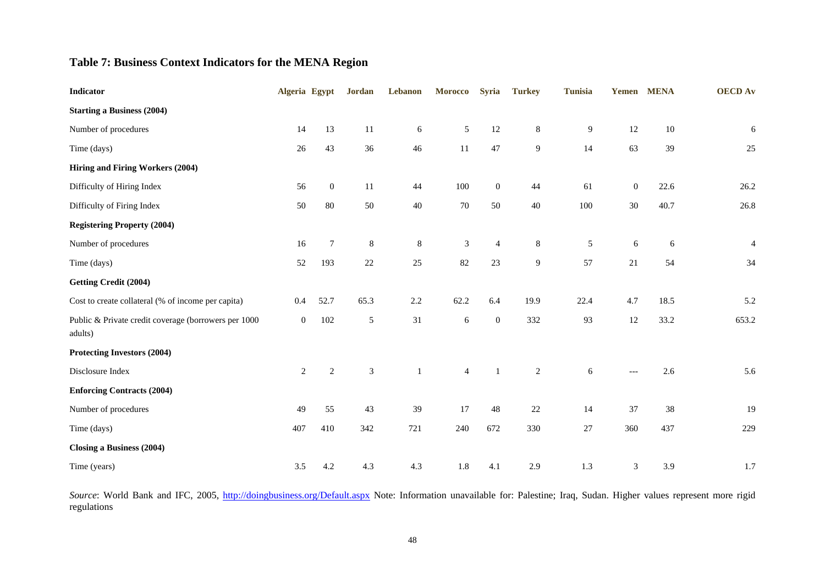## **Table 7: Business Context Indicators for the MENA Region**

| <b>Indicator</b>                                                | Algeria Egypt    |                  | <b>Jordan</b>  | Lebanon      | <b>Morocco</b> | <b>Syria</b>     | <b>Turkey</b>  | <b>Tunisia</b> |              | Yemen MENA | <b>OECD</b> Av |
|-----------------------------------------------------------------|------------------|------------------|----------------|--------------|----------------|------------------|----------------|----------------|--------------|------------|----------------|
| <b>Starting a Business (2004)</b>                               |                  |                  |                |              |                |                  |                |                |              |            |                |
| Number of procedures                                            | 14               | 13               | 11             | 6            | $\sqrt{5}$     | 12               | $\,8\,$        | 9              | $12\,$       | $10\,$     | 6              |
| Time (days)                                                     | 26               | 43               | 36             | 46           | 11             | 47               | 9              | 14             | 63           | 39         | $25\,$         |
| Hiring and Firing Workers (2004)                                |                  |                  |                |              |                |                  |                |                |              |            |                |
| Difficulty of Hiring Index                                      | 56               | $\boldsymbol{0}$ | 11             | 44           | $100\,$        | $\boldsymbol{0}$ | 44             | 61             | $\mathbf{0}$ | 22.6       | 26.2           |
| Difficulty of Firing Index                                      | 50               | 80               | 50             | $40\,$       | 70             | 50               | 40             | 100            | $30\,$       | 40.7       | 26.8           |
| <b>Registering Property (2004)</b>                              |                  |                  |                |              |                |                  |                |                |              |            |                |
| Number of procedures                                            | 16               | 7                | 8              | $\,8\,$      | $\mathfrak{Z}$ | 4                | $\,8\,$        | 5              | 6            | 6          | $\overline{4}$ |
| Time (days)                                                     | 52               | 193              | 22             | 25           | 82             | 23               | $\overline{9}$ | 57             | 21           | 54         | 34             |
| <b>Getting Credit (2004)</b>                                    |                  |                  |                |              |                |                  |                |                |              |            |                |
| Cost to create collateral (% of income per capita)              | 0.4              | 52.7             | 65.3           | $2.2\,$      | 62.2           | 6.4              | 19.9           | 22.4           | 4.7          | 18.5       | 5.2            |
| Public & Private credit coverage (borrowers per 1000<br>adults) | $\boldsymbol{0}$ | 102              | 5              | 31           | $\sqrt{6}$     | $\boldsymbol{0}$ | 332            | 93             | 12           | 33.2       | 653.2          |
| Protecting Investors (2004)                                     |                  |                  |                |              |                |                  |                |                |              |            |                |
| Disclosure Index                                                | $\overline{c}$   | $\sqrt{2}$       | $\mathfrak{Z}$ | $\mathbf{1}$ | $\overline{4}$ | $\mathbf{1}$     | $\sqrt{2}$     | 6              | $---$        | 2.6        | 5.6            |
| <b>Enforcing Contracts (2004)</b>                               |                  |                  |                |              |                |                  |                |                |              |            |                |
| Number of procedures                                            | 49               | 55               | 43             | 39           | 17             | 48               | 22             | 14             | 37           | 38         | 19             |
| Time (days)                                                     | 407              | 410              | 342            | 721          | 240            | 672              | 330            | $27\,$         | 360          | 437        | 229            |
| Closing a Business (2004)                                       |                  |                  |                |              |                |                  |                |                |              |            |                |
| Time (years)                                                    | 3.5              | 4.2              | 4.3            | 4.3          | 1.8            | 4.1              | 2.9            | 1.3            | 3            | 3.9        | 1.7            |

Source: World Bank and IFC, 2005, http://doingbusiness.org/Default.aspx Note: Information unavailable for: Palestine; Iraq, Sudan. Higher values represent more rigid regulations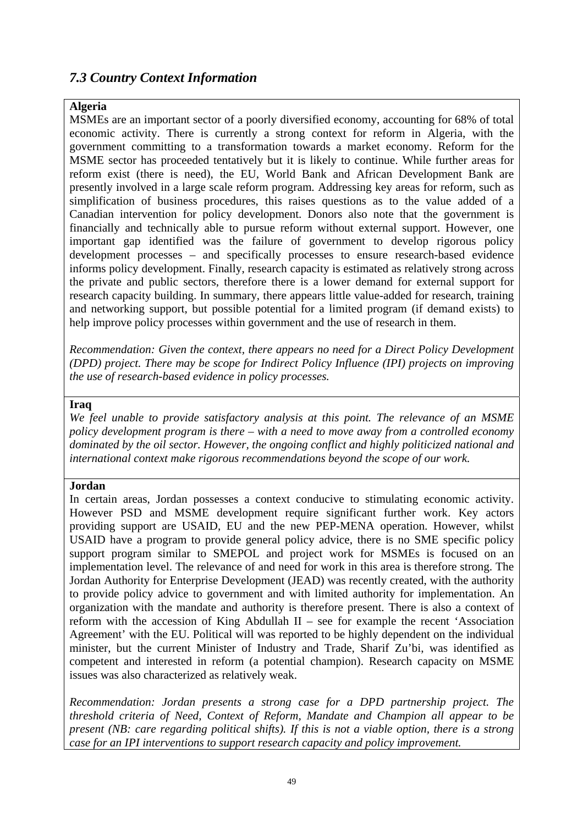# *7.3 Country Context Information*

## **Algeria**

MSMEs are an important sector of a poorly diversified economy, accounting for 68% of total economic activity. There is currently a strong context for reform in Algeria, with the government committing to a transformation towards a market economy. Reform for the MSME sector has proceeded tentatively but it is likely to continue. While further areas for reform exist (there is need), the EU, World Bank and African Development Bank are presently involved in a large scale reform program. Addressing key areas for reform, such as simplification of business procedures, this raises questions as to the value added of a Canadian intervention for policy development. Donors also note that the government is financially and technically able to pursue reform without external support. However, one important gap identified was the failure of government to develop rigorous policy development processes – and specifically processes to ensure research-based evidence informs policy development. Finally, research capacity is estimated as relatively strong across the private and public sectors, therefore there is a lower demand for external support for research capacity building. In summary, there appears little value-added for research, training and networking support, but possible potential for a limited program (if demand exists) to help improve policy processes within government and the use of research in them.

*Recommendation: Given the context, there appears no need for a Direct Policy Development (DPD) project. There may be scope for Indirect Policy Influence (IPI) projects on improving the use of research-based evidence in policy processes.* 

#### **Iraq**

*We feel unable to provide satisfactory analysis at this point. The relevance of an MSME policy development program is there – with a need to move away from a controlled economy dominated by the oil sector. However, the ongoing conflict and highly politicized national and international context make rigorous recommendations beyond the scope of our work.* 

#### **Jordan**

In certain areas, Jordan possesses a context conducive to stimulating economic activity. However PSD and MSME development require significant further work. Key actors providing support are USAID, EU and the new PEP-MENA operation. However, whilst USAID have a program to provide general policy advice, there is no SME specific policy support program similar to SMEPOL and project work for MSMEs is focused on an implementation level. The relevance of and need for work in this area is therefore strong. The Jordan Authority for Enterprise Development (JEAD) was recently created, with the authority to provide policy advice to government and with limited authority for implementation. An organization with the mandate and authority is therefore present. There is also a context of reform with the accession of King Abdullah  $II$  – see for example the recent 'Association Agreement' with the EU. Political will was reported to be highly dependent on the individual minister, but the current Minister of Industry and Trade, Sharif Zu'bi, was identified as competent and interested in reform (a potential champion). Research capacity on MSME issues was also characterized as relatively weak.

Recommendation: Jordan presents a strong case for a DPD partnership project. The threshold criteria of Need, Context of Reform, Mandate and Champion all appear to be present (NB: care regarding political shifts). If this is not a viable option, there is a strong *case for an IPI interventions to support research capacity and policy improvement.*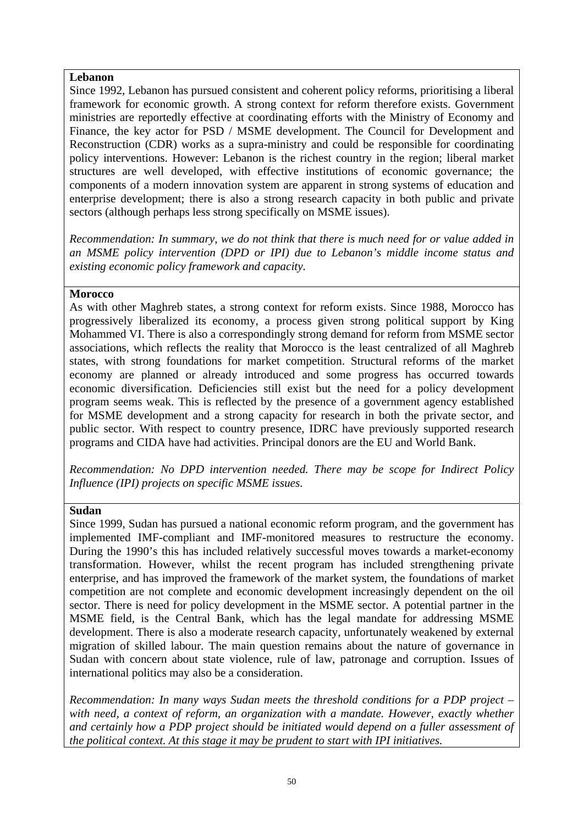### **Lebanon**

Since 1992, Lebanon has pursued consistent and coherent policy reforms, prioritising a liberal framework for economic growth. A strong context for reform therefore exists. Government ministries are reportedly effective at coordinating efforts with the Ministry of Economy and Finance, the key actor for PSD / MSME development. The Council for Development and Reconstruction (CDR) works as a supra-ministry and could be responsible for coordinating policy interventions. However: Lebanon is the richest country in the region; liberal market structures are well developed, with effective institutions of economic governance; the components of a modern innovation system are apparent in strong systems of education and enterprise development; there is also a strong research capacity in both public and private sectors (although perhaps less strong specifically on MSME issues).

*Recommendation: In summary, we do not think that there is much need for or value added in an MSME policy intervention (DPD or IPI) due to Lebanon's middle income status and existing economic policy framework and capacity.* 

### **Morocco**

As with other Maghreb states, a strong context for reform exists. Since 1988, Morocco has progressively liberalized its economy, a process given strong political support by King Mohammed VI. There is also a correspondingly strong demand for reform from MSME sector economy are planned or already introduced and some progress has occurred towards economic diversification. Deficiencies still exist but the need for a policy development program seems weak. This is reflected by the presence of a government agency established associations, which reflects the reality that Morocco is the least centralized of all Maghreb states, with strong foundations for market competition. Structural reforms of the market for MSME development and a strong capacity for research in both the private sector, and public sector. With respect to country presence, IDRC have previously supported research programs and CIDA have had activities. Principal donors are the EU and World Bank.

*ecommendation: No DPD intervention needed. There may be scope for Indirect Policy R (IPI) projects on specific MSME issues. Influence*

### **Sudan**

Since 1999, Sudan has pursued a national economic reform program, and the government has implemented IMF-compliant and IMF-monitored measures to restructure the economy. During the 1990's this has included relatively successful moves towards a market-economy transformation. However, whilst the recent program has included strengthening private enterprise, and has improved the framework of the market system, the foundations of market competition are not complete and economic development increasingly dependent on the oil sector. There is need for policy development in the MSME sector. A potential partner in the MSME field, is the Central Bank, which has the legal mandate for addressing MSME development. There is also a moderate research capacity, unfortunately weakened by external migration of skilled labour. The main question remains about the nature of governance in Sudan with concern about state violence, rule of law, patronage and corruption. Issues of international politics may also be a consideration.

*Recommendation: In many ways Sudan meets the threshold conditions for a PDP project – with need, a context of reform, an organization with a mandate. However, exactly whether and certainly how a PDP project should be initiated would depend on a fuller assessment of the political context. At this stage it may be prudent to start with IPI initiatives.*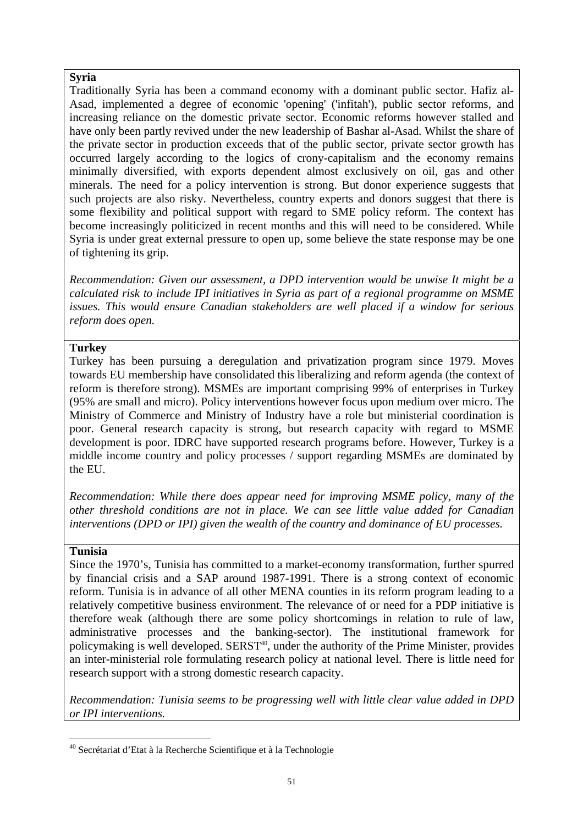## **Syria**

Traditionally Syria has been a command economy with a dominant public sector. Hafiz al-Asad, implemented a degree of economic 'opening' ('infitah'), public sector reforms, and increasing reliance on the domestic private sector. Economic reforms however stalled and have only been partly revived under the new leadership of Bashar al-Asad. Whilst the share of the private sector in production exceeds that of the public sector, private sector growth has occurred largely according to the logics of crony-capitalism and the economy remains minimally diversified, with exports dependent almost exclusively on oil, gas and other minerals. The need for a policy intervention is strong. But donor experience suggests that such projects are also risky. Nevertheless, country experts and donors suggest that there is some flexibility and political support with regard to SME policy reform. The context has become increasingly politicized in recent months and this will need to be considered. While Syria is under great external pressure to open up, some believe the state response may be one of tightening its grip.

*ecommendation: Given our assessment, a DPD intervention would be unwise It might be a R risk to include IPI initiatives in Syria as part of a regional programme on MSME calculated issues. This would ensure Canadian stakeholders are well placed if a window for serious reform does open.* 

## **Turkey**

Turkey has been pursuing a deregulation and privatization program since 1979. Moves towards EU membership have consolidated this liberalizing and reform agenda (the context of reform is therefore strong). MSMEs are important comprising 99% of enterprises in Turkey (95% are small and micro). Policy interventions however focus upon medium over micro. The Ministry of Commerce and Ministry of Industry have a role but ministerial coordination is poor. General research capacity is strong, but research capacity with regard to MSME development is poor. IDRC have supported research programs before. However, Turkey is a middle income country and policy processes / support regarding MSMEs are dominated by the EU.

*ecommendation: While there does appear need for improving MSME policy, many of the R reshold conditions are not in place. We can see little value added for Canadian other th interventions (DPD or IPI) given the wealth of the country and dominance of EU processes.* 

### **Tunisia**

Since the 1970's, Tunisia has committed to a market-economy transformation, further spurred by financial crisis and a SAP around 1987-1991. There is a strong context of economic reform. Tunisia is in advance of all other MENA counties in its reform program leading to a relatively competitive business environment. The relevance of or need for a PDP initiative is therefore weak (although there are some policy shortcomings in relation to rule of law, administrative processes and the banking-sector). The institutional framework for policymaking is well developed. SERST<sup>40</sup>, under the authority of the Prime Minister, provides an inter-ministerial role formulating research policy at national level. There is little need for research support with a strong domestic research capacity.

*Recommendation: Tunisia seems to be progressing well with little clear value added in DPD or IPI interventions.* 

<span id="page-59-0"></span> $\overline{a}$ 40 Secrétariat d'Etat à la Recherche Scientifique et à la Technologie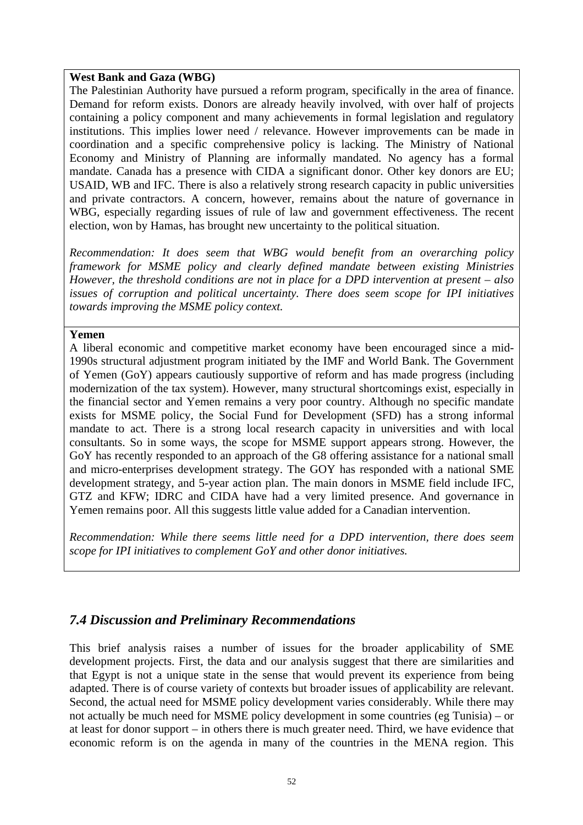### **West Bank and Gaza (WBG)**

The Palestinian Authority have pursued a reform program, specifically in the area of finance. Demand for reform exists. Donors are already heavily involved, with over half of projects containing a policy component and many achievements in formal legislation and regulatory institutions. This implies lower need / relevance. However improvements can be made in coordination and a specific comprehensive policy is lacking. The Ministry of National Economy and Ministry of Planning are informally mandated. No agency has a formal mandate. Canada has a presence with CIDA a significant donor. Other key donors are EU; USAID, WB and IFC. There is also a relatively strong research capacity in public universities and private contractors. A concern, however, remains about the nature of governance in WBG, especially regarding issues of rule of law and government effectiveness. The recent election, won by Hamas, has brought new uncertainty to the political situation.

Recommendation: It does seem that WBG would benefit from an overarching policy framework for MSME policy and clearly defined mandate between existing Ministries *However, the threshold conditions are not in place for a DPD intervention at present – also issues of corruption and political uncertainty. There does seem scope for IPI initiatives towards improving the MSME policy context.* 

### **Yemen**

A liberal economic and competitive market economy have been encouraged since a midand micro-enterprises development strategy. The GOY has responded with a national SME development strategy, and 5-year action plan. The main donors in MSME field include IFC, 1990s structural adjustment program initiated by the IMF and World Bank. The Government of Yemen (GoY) appears cautiously supportive of reform and has made progress (including modernization of the tax system). However, many structural shortcomings exist, especially in the financial sector and Yemen remains a very poor country. Although no specific mandate exists for MSME policy, the Social Fund for Development (SFD) has a strong informal mandate to act. There is a strong local research capacity in universities and with local consultants. So in some ways, the scope for MSME support appears strong. However, the GoY has recently responded to an approach of the G8 offering assistance for a national small GTZ and KFW; IDRC and CIDA have had a very limited presence. And governance in Yemen remains poor. All this suggests little value added for a Canadian intervention.

*ecommendation: While there seems little need for a DPD intervention, there does seem R IPI initiatives to complement* GoY *and other donor initiatives.* 

# *7.4 Discussion and Preliminary Recommendations*

This brief analysis raises a number of issues for the broader applicability of SME development projects. First, the data and our analysis suggest that there are similarities and that Egypt is not a unique state in the sense that would prevent its experience from being adapted. There is of course variety of contexts but broader issues of applicability are relevant. not actually be much need for MSME policy development in some countries (eg Tunisia) – or at least for donor support – in others there is much greater need. Third, we have evidence that Second, the actual need for MSME policy development varies considerably. While there may economic reform is on the agenda in many of the countries in the MENA region. This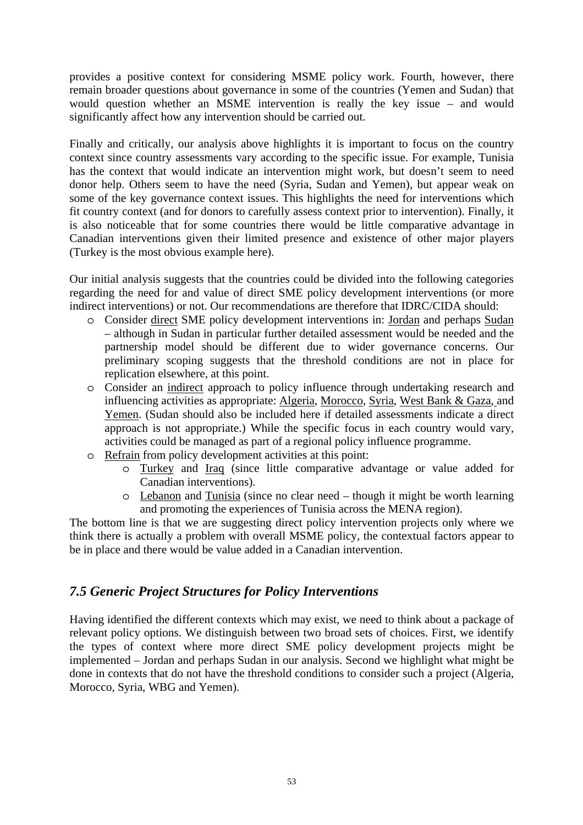provides a positive context for considering MSME policy work. Fourth, however, there remain broader questions about governance in some of the countries (Yemen and Sudan) that would question whether an MSME intervention is really the key issue – and would significantly affect how any intervention should be carried out.

is also noticeable that for some countries there would be little comparative advantage in Canadian interventions given their limited presence and existence of other major players Finally and critically, our analysis above highlights it is important to focus on the country context since country assessments vary according to the specific issue. For example, Tunisia has the context that would indicate an intervention might work, but doesn't seem to need donor help. Others seem to have the need (Syria, Sudan and Yemen), but appear weak on some of the key governance context issues. This highlights the need for interventions which fit country context (and for donors to carefully assess context prior to intervention). Finally, it (Turkey is the most obvious example here).

indirect interventions) or not. Our recommendations are therefore that IDRC/CIDA should: Our initial analysis suggests that the countries could be divided into the following categories regarding the need for and value of direct SME policy development interventions (or more

- o Consider direct SME policy development interventions in: Jordan and perhaps Sudan – although in Sudan in particular further detailed assessment would be needed and the partnership model should be different due to wider governance concerns. Our preliminary scoping suggests that the threshold conditions are not in place for replication elsewhere, at this point.
- o Consider an indirect approach to policy influence through undertaking research and influencing activities as appropriate: Algeria, Morocco, Syria, West Bank & Gaza, and Yemen. (Sudan should also be included here if detailed assessments indicate a direct approach is not appropriate.) While the specific focus in each country would vary, activities could be managed as part of a regional policy influence programme.
- o Refrain from policy development activities at this point:
	- o Turkey and Iraq (since little comparative advantage or value added for Canadian interventions).
	- o Lebanon and Tunisia (since no clear need though it might be worth learning and promoting the experiences of Tunisia across the MENA region).

The bottom line is that we are suggesting direct policy intervention projects only where we think there is actually a problem with overall MSME policy, the contextual factors appear to be in place and there would be value added in a Canadian intervention.

# *.5 Generic Project Structures for Policy Interventions 7*

Having identified the different contexts which may exist, we need to think about a package of relevant policy options. We distinguish between two broad sets of choices. First, we identify the types of context where more direct SME policy development projects might be implemented – Jordan and perhaps Sudan in our analysis. Second we highlight what might be done in contexts that do not have the threshold conditions to consider such a project (Algeria, Morocco, Syria, WBG and Yemen).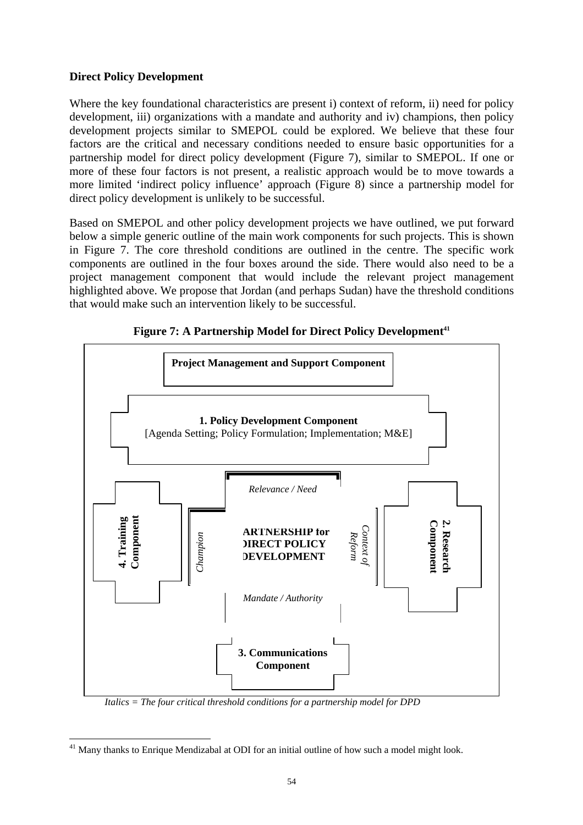## **Direct Policy Development**

Where the key foundational characteristics are present i) context of reform, ii) need for policy development, iii) organizations with a mandate and authority and iv) champions, then policy development projects similar to SMEPOL could be explored. We believe that these four factors are the critical and necessary conditions needed to ensure basic opportunities for a partnership model for direct policy development (Figure 7), similar to SMEPOL. If one or more of these four factors is not present, a realistic approach would be to move towards a more limited 'indirect policy influence' approach (Figure 8) since a partnership model for direct policy development is unlikely to be successful.

in Figure 7. The core threshold conditions are outlined in the centre. The specific work omponents are outlined in the four boxes around the side. There would also need to be a c Based on SMEPOL and other policy development projects we have outlined, we put forward below a simple generic outline of the main work components for such projects. This is shown project management component that would include the relevant project management highlighted above. We propose that Jordan (and perhaps Sudan) have the threshold conditions that would make such an intervention likely to be successful.



**Figure 7: A Partnership Model for Direct Policy Development<sup>41</sup>** 

*Italics = The four critical threshold conditions for a partnership model for DPD* 

 $\overline{a}$ 

<span id="page-62-0"></span> $41$  Many thanks to Enrique Mendizabal at ODI for an initial outline of how such a model might look.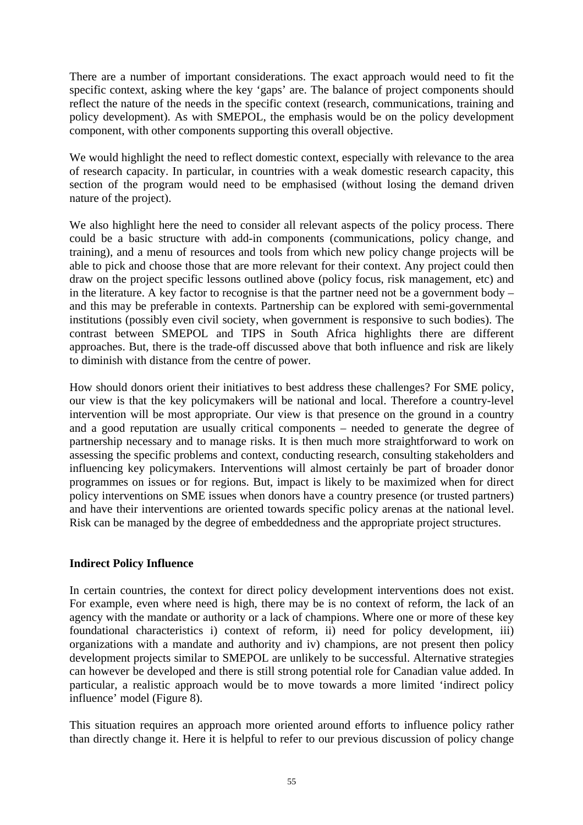There are a number of important considerations. The exact approach would need to fit the specific context, asking where the key 'gaps' are. The balance of project components should reflect the nature of the needs in the specific context (research, communications, training and policy development). As with SMEPOL, the emphasis would be on the policy development component, with other components supporting this overall objective.

We would highlight the need to reflect domestic context, especially with relevance to the area of research capacity. In particular, in countries with a weak domestic research capacity, this section of the program would need to be emphasised (without losing the demand driven nature of the project).

and this may be preferable in contexts. Partnership can be explored with semi-governmental institutions (possibly even civil society, when government is responsive to such bodies). The contrast between SMEPOL and TIPS in South Africa highlights there are different We also highlight here the need to consider all relevant aspects of the policy process. There could be a basic structure with add-in components (communications, policy change, and training), and a menu of resources and tools from which new policy change projects will be able to pick and choose those that are more relevant for their context. Any project could then draw on the project specific lessons outlined above (policy focus, risk management, etc) and in the literature. A key factor to recognise is that the partner need not be a government body – approaches. But, there is the trade-off discussed above that both influence and risk are likely to diminish with distance from the centre of power.

How should donors orient their initiatives to best address these challenges? For SME policy, our view is that the key policymakers will be national and local. Therefore a country-level intervention will be most appropriate. Our view is that presence on the ground in a country and a good reputation are usually critical components – needed to generate the degree of partnership necessary and to manage risks. It is then much more straightforward to work on assessing the specific problems and context, conducting research, consulting stakeholders and influencing key policymakers. Interventions will almost certainly be part of broader donor programmes on issues or for regions. But, impact is likely to be maximized when for direct policy interventions on SME issues when donors have a country presence (or trusted partners) and have their interventions are oriented towards specific policy arenas at the national level. Risk can be managed by the degree of embeddedness and the appropriate project structures.

## **Indirect Influence Policy**

In certain countries, the context for direct policy development interventions does not exist. For example, even where need is high, there may be is no context of reform, the lack of an agency with the mandate or authority or a lack of champions. Where one or more of these key foundational characteristics i) context of reform, ii) need for policy development, iii) organizations with a mandate and authority and iv) champions, are not present then policy development projects similar to SMEPOL are unlikely to be successful. Alternative strategies can however be developed and there is still strong potential role for Canadian value added. In particular, a realistic approach would be to move towards a more limited 'indirect policy influen ce' model (Figure 8).

This situation requires an approach more oriented around efforts to influence policy rather than directly change it. Here it is helpful to refer to our previous discussion of policy change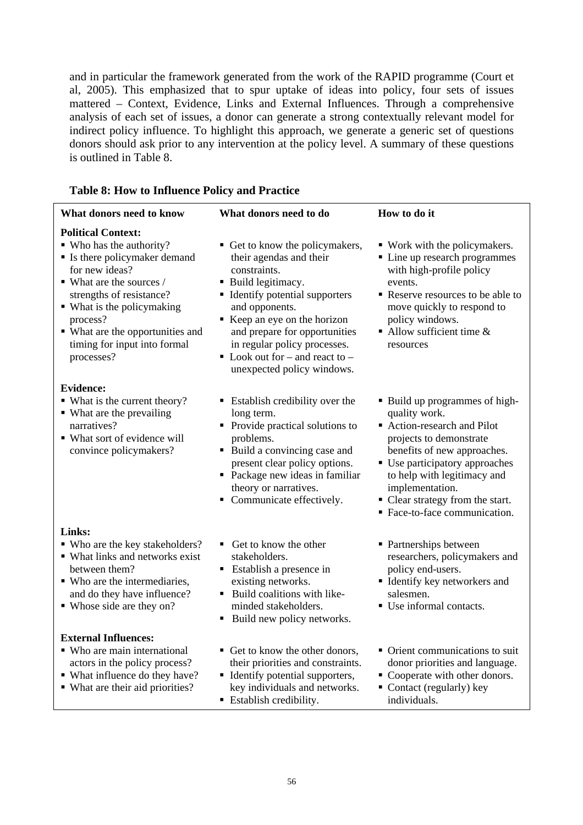and in particular the framework generated from the work of the RAPID programme (Court et al, 2005). This emphasized that to spur uptake of ideas into policy, four sets of issues mattered – Context, Evidence, Links and External Influences. Through a comprehensive analysis of each set of issues, a donor can generate a strong contextually relevant model for indirect policy influence. To highlight this approach, we generate a generic set of questions donors should ask prior to any intervention at the policy level. A summary of these questions is outlined in Table 8.

|  |  |  |  | <b>Table 8: How to Influence Policy and Practice</b> |
|--|--|--|--|------------------------------------------------------|
|--|--|--|--|------------------------------------------------------|

| What donors need to know                                                                                                                                                                                                                                                                                  | What donors need to do                                                                                                                                                                                                                                                                                                              | How to do it                                                                                                                                                                                                                                                                                    |
|-----------------------------------------------------------------------------------------------------------------------------------------------------------------------------------------------------------------------------------------------------------------------------------------------------------|-------------------------------------------------------------------------------------------------------------------------------------------------------------------------------------------------------------------------------------------------------------------------------------------------------------------------------------|-------------------------------------------------------------------------------------------------------------------------------------------------------------------------------------------------------------------------------------------------------------------------------------------------|
| <b>Political Context:</b><br>• Who has the authority?<br>• Is there policymaker demand<br>for new ideas?<br>$\blacksquare$ What are the sources /<br>strengths of resistance?<br>• What is the policymaking<br>process?<br>• What are the opportunities and<br>timing for input into formal<br>processes? | • Get to know the policymakers,<br>their agendas and their<br>constraints.<br>• Build legitimacy.<br>• Identify potential supporters<br>and opponents.<br>Keep an eye on the horizon<br>and prepare for opportunities<br>in regular policy processes.<br>$\blacksquare$ Look out for – and react to –<br>unexpected policy windows. | • Work with the policymakers.<br>• Line up research programmes<br>with high-profile policy<br>events.<br>Reserve resources to be able to<br>move quickly to respond to<br>policy windows.<br>$\blacksquare$ Allow sufficient time &<br>resources                                                |
| <b>Evidence:</b><br>• What is the current theory?<br>• What are the prevailing<br>narratives?<br>• What sort of evidence will<br>convince policymakers?                                                                                                                                                   | ■ Establish credibility over the<br>long term.<br>• Provide practical solutions to<br>problems.<br>• Build a convincing case and<br>present clear policy options.<br>• Package new ideas in familiar<br>theory or narratives.<br>• Communicate effectively.                                                                         | • Build up programmes of high-<br>quality work.<br>Action-research and Pilot<br>projects to demonstrate<br>benefits of new approaches.<br>• Use participatory approaches<br>to help with legitimacy and<br>implementation.<br>• Clear strategy from the start.<br>• Face-to-face communication. |
| Links:<br>• Who are the key stakeholders?<br>• What links and networks exist<br>between them?<br>• Who are the intermediaries,<br>and do they have influence?<br>• Whose side are they on?                                                                                                                | • Get to know the other<br>stakeholders.<br>• Establish a presence in<br>existing networks.<br>• Build coalitions with like-<br>minded stakeholders.<br>Build new policy networks.<br>п                                                                                                                                             | • Partnerships between<br>researchers, policymakers and<br>policy end-users.<br>· Identify key networkers and<br>salesmen.<br>• Use informal contacts.                                                                                                                                          |
| <b>External Influences:</b><br>• Who are main international<br>actors in the policy process?<br>• What influence do they have?<br>• What are their aid priorities?                                                                                                                                        | • Get to know the other donors,<br>their priorities and constraints.<br>• Identify potential supporters,<br>key individuals and networks.<br>• Establish credibility.                                                                                                                                                               | • Orient communications to suit<br>donor priorities and language.<br>• Cooperate with other donors.<br>Contact (regularly) key<br>individuals.                                                                                                                                                  |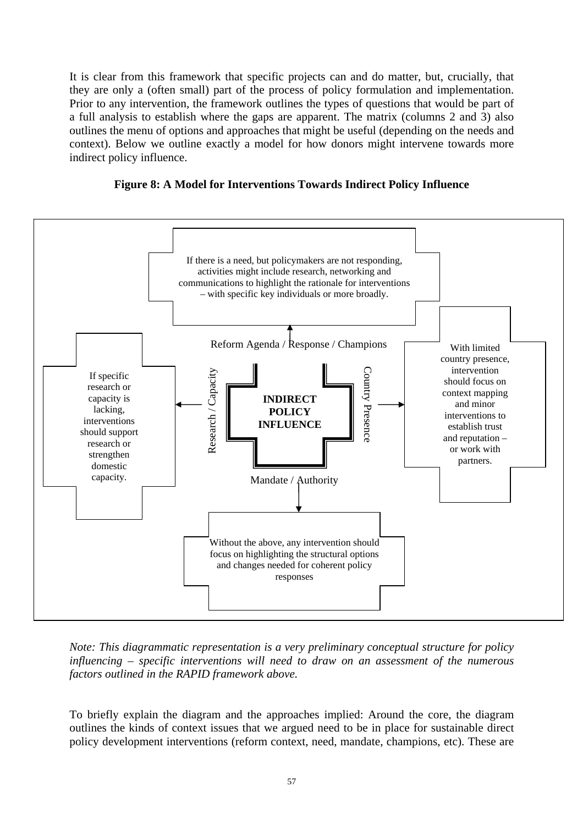It is clear from this framework that specific projects can and do matter, but, crucially, that they are only a (often small) part of the process of policy formulation and implementation. Prior to any intervention, the framework outlines the types of questions that would be part of a full analysis to establish where the gaps are apparent. The matrix (columns 2 and 3) also outlines the menu of options and approaches that might be useful (depending on the needs and context). Below we outline exactly a model for how donors might intervene towards more indirect policy influence.





*Note: This diagrammatic representation is a very preliminary conceptual structure for policy influencing* – *specific interventions will need to draw on an assessment of the numerous f factors outlined in the RAPID ramework above.*

To briefly explain the diagram and the approaches implied: Around the core, the diagram outlines the kinds of context issues that we argued need to be in place for sustainable direct policy development interventions (reform context, need, mandate, champions, etc). These are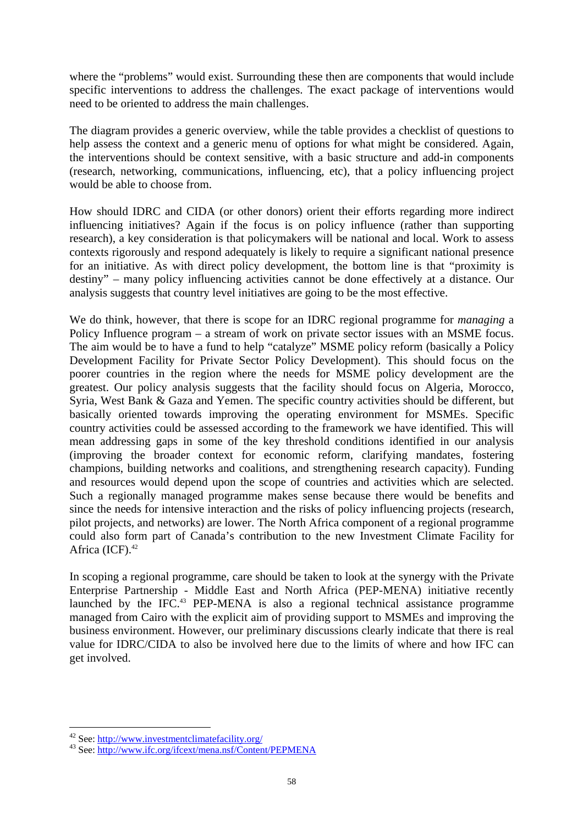where the "problems" would exist. Surrounding these then are components that would include specific interventions to address the challenges. The exact package of interventions would need to be oriented to address the main challenges.

The diagram provides a generic overview, while the table provides a checklist of questions to help assess the context and a generic menu of options for what might be considered. Again, the interventions should be context sensitive, with a basic structure and add-in components (research, networking, communications, influencing, etc), that a policy influencing project would be able to choose from.

How should IDRC and CIDA (or other donors) orient their efforts regarding more indirect contexts rigorously and respond adequately is likely to require a significant national presence for an initiative. As with direct policy development, the bottom line is that "proximity is destiny" – many policy influencing activities cannot be done effectively at a distance. Our analysis suggests that country level initiatives are going to be the most effective. influencing initiatives? Again if the focus is on policy influence (rather than supporting research), a key consideration is that policymakers will be national and local. Work to assess

We do think, however, that there is scope for an IDRC regional programme for *managing* a Policy Influence program – a stream of work on private sector issues with an MSME focus. The aim would be to have a fund to help "catalyze" MSME policy reform (basically a Policy Development Facility for Private Sector Policy Development). This should focus on the poorer countries in the region where the needs for MSME policy development are the greatest. Our policy analysis suggests that the facility should focus on Algeria, Morocco, Syria, West Bank & Gaza and Yemen. The specific country activities should be different, but basically oriented towards improving the operating environment for MSMEs. Specific country activities could be assessed according to the framework we have identified. This will mean addressing gaps in some of the key threshold conditions identified in our analysis (improving the broader context for economic reform, clarifying mandates, fostering champions, building networks and coalitions, and strengthening research capacity). Funding and resources would depend upon the scope of countries and activities which are selected. Such a regionally managed programme makes sense because there would be benefits and since the needs for intensive interaction and the risks of policy influencing projects (research, pilot projects, and networks) are lower. The North Africa component of a regional programme could also form part of Canada's contribution to the new Investment Climate Facility for Africa  $(ICF).<sup>42</sup>$ 

In scoping a regional programme, care should be taken to look at the synergy with the Private Enterprise Partnership - Middle East and North Africa (PEP-MENA) initiative recently launched by the IFC.<sup>43</sup> PEP-MENA is also a regional technical assistance programme managed from Cairo with the explicit aim of providing support to MSMEs and improving the business environment. However, our preliminary discussions clearly indicate that there is real value for IDRC/CIDA to also be involved here due to the limits of where and how IFC can get involved.

 $\overline{a}$ 

<span id="page-66-1"></span><span id="page-66-0"></span>

<sup>42</sup> See: http://www.investmentclimatefacility.org/<br><sup>43</sup> See: http://www.ifc.org/ifcext/mena.nsf/Content/PEPMENA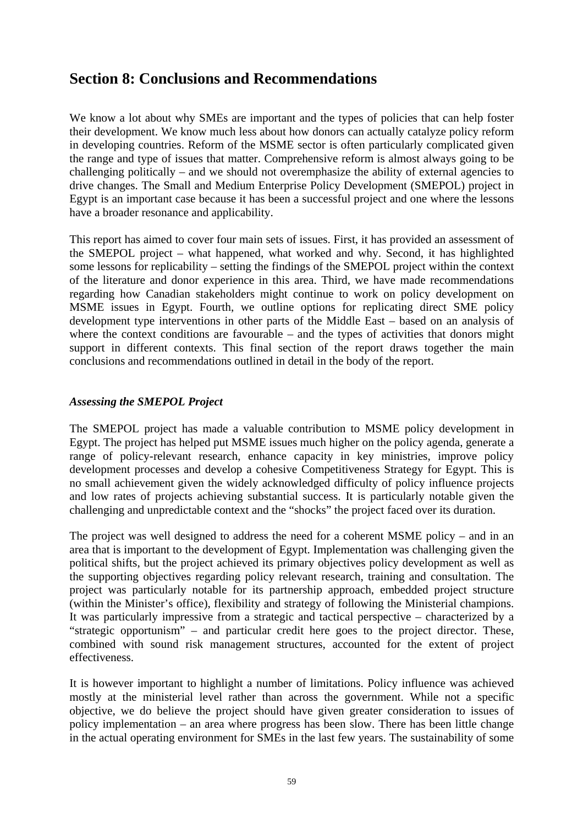# **Section 8: Conclusions and Recommendations**

We know a lot about why SMEs are important and the types of policies that can help foster their development. We know much less about how donors can actually catalyze policy reform in developing countries. Reform of the MSME sector is often particularly complicated given the range and type of issues that matter. Comprehensive reform is almost always going to be challenging politically – and we should not overemphasize the ability of external agencies to drive changes. The Small and Medium Enterprise Policy Development (SMEPOL) project in Egypt is an important case because it has been a successful project and one where the lessons have a broader resonance and applicability.

This report has aimed to cover four main sets of issues. First, it has provided an assessment of the SMEPOL project – what happened, what worked and why. Second, it has highlighted some lessons for replicability – setting the findings of the SMEPOL project within the context of the literature and donor experience in this area. Third, we have made recommendations regarding how Canadian stakeholders might continue to work on policy development on MSME issues in Egypt. Fourth, we outline options for replicating direct SME policy development type interventions in other parts of the Middle East – based on an analysis of where the context conditions are favourable – and the types of activities that donors might support in different contexts. This final section of the report draws together the main conclusions and recommendations outlined in detail in the body of the report.

## *Assessing the SMEPOL Project*

The SMEPOL project has made a valuable contribution to MSME policy development in no small achievement given the widely acknowledged difficulty of policy influence projects and low rates of projects achieving substantial success. It is particularly notable given the Egypt. The project has helped put MSME issues much higher on the policy agenda, generate a range of policy-relevant research, enhance capacity in key ministries, improve policy development processes and develop a cohesive Competitiveness Strategy for Egypt. This is challenging and unpredictable context and the "shocks" the project faced over its duration.

project was particularly notable for its partnership approach, embedded project structure The project was well designed to address the need for a coherent MSME policy – and in an area that is important to the development of Egypt. Implementation was challenging given the political shifts, but the project achieved its primary objectives policy development as well as the supporting objectives regarding policy relevant research, training and consultation. The (within the Minister's office), flexibility and strategy of following the Ministerial champions. It was particularly impressive from a strategic and tactical perspective – characterized by a "strategic opportunism" – and particular credit here goes to the project director. These, combined with sound risk management structures, accounted for the extent of project effectiveness.

It is however important to highlight a number of limitations. Policy influence was achieved mostly at the ministerial level rather than across the government. While not a specific objective, we do believe the project should have given greater consideration to issues of policy implementation – an area where progress has been slow. There has been little change in the actual operating environment for SMEs in the last few years. The sustainability of some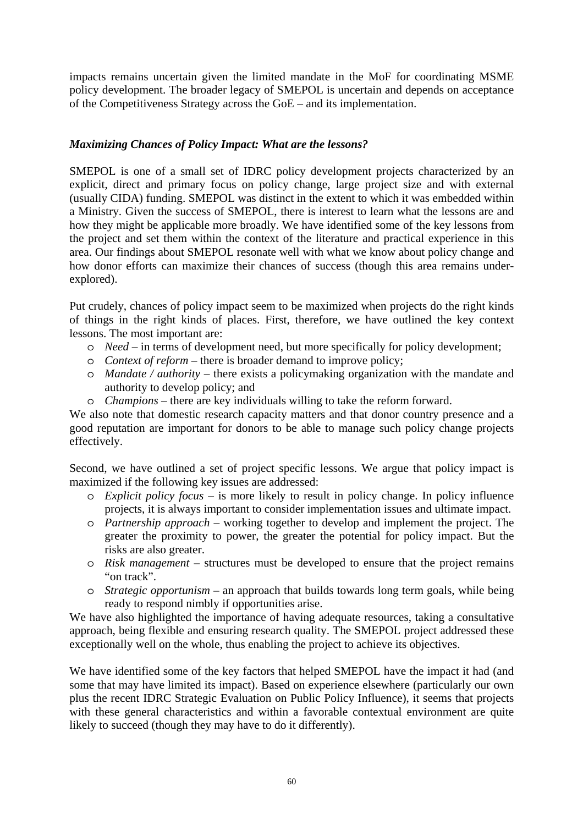impacts remains uncertain given the limited mandate in the MoF for coordinating MSME policy development. The broader legacy of SMEPOL is uncertain and depends on acceptance of the Competitiveness Strategy across the  $GoE$  – and its implementation.

## *Maximizing Chances of Policy Impact: What are the lessons?*

SMEPOL is one of a small set of IDRC policy development projects characterized by an explicit, direct and primary focus on policy change, large project size and with external (usually CIDA) funding. SMEPOL was distinct in the extent to which it was embedded within a Ministry. Given the success of SMEPOL, there is interest to learn what the lessons are and how they might be applicable more broadly. We have identified some of the key lessons from the project and set them within the context of the literature and practical experience in this area. Our findings about SMEPOL resonate well with what we know about policy change and how donor efforts can maximize their chances of success (though this area remains underexplored).

Put crudely, chances of policy impact seem to be maximized when projects do the right kinds of things in the right kinds of places. First, therefore, we have outlined the key context lessons. The most important are:

- o *Need* in terms of development need, but more specifically for policy development;
- o *Context of reform* there is broader demand to improve policy;
- o *Mandate / authority* there exists a policymaking organization with the mandate and authority to develop policy; and
- o *Champions* there are key individuals willing to take the reform forward.

We also note that domestic research capacity matters and that donor country presence and a good reputation are important for donors to be able to manage such policy change projects effectively.

Second, we have outlined a set of project specific lessons. We argue that policy impact is maximized if the following key issues are addressed:

- o *Explicit policy focus* is more likely to result in policy change. In policy influence projects, it is always important to consider implementation issues and ultimate impact.
- o *Partnership approach* working together to develop and implement the project. The greater the proximity to power, the greater the potential for policy impact. But the risks are also greater.
- o *Risk management* structures must be developed to ensure that the project remains "on track".
- o *Strategic opportunism* an approach that builds towards long term goals, while being ready to respond nimbly if opportunities arise.

We have also highlighted the importance of having adequate resources, taking a consultative approach, being flexible and ensuring research quality. The SMEPOL project addressed these exceptionally well on the whole, thus enabling the project to achieve its objectives.

We have identified some of the key factors that helped SMEPOL have the impact it had (and some that may have limited its impact). Based on experience elsewhere (particularly our own plus the recent IDRC Strategic Evaluation on Public Policy Influence), it seems that projects with these general characteristics and within a favorable contextual environment are quite likely to succeed (though they may have to do it differently).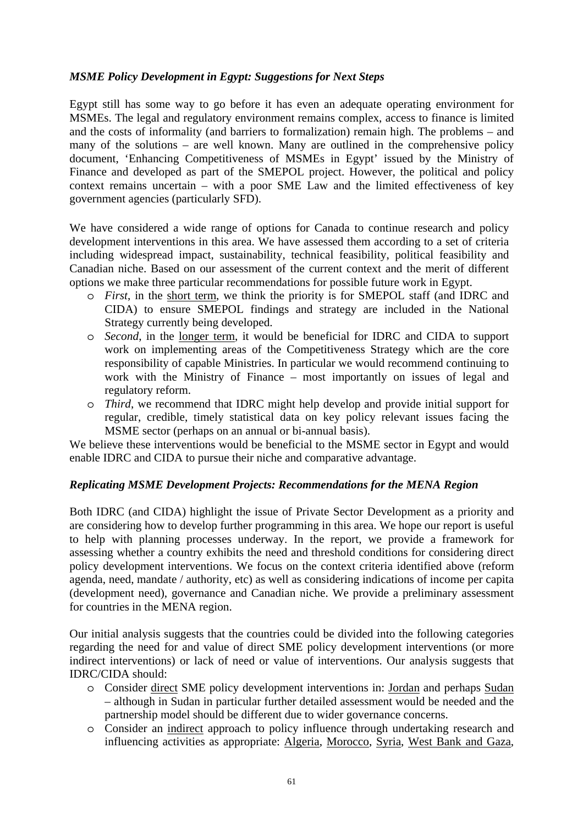## *MSME Policy Development in Egypt: Suggestions for Next Steps*

Egypt still has some way to go before it has even an adequate operating environment for MSMEs. The legal and regulatory environment remains complex, access to finance is limited and the costs of informality (and barriers to formalization) remain high. The problems – and many of the solutions – are well known. Many are outlined in the comprehensive policy document, 'Enhancing Competitiveness of MSMEs in Egypt' issued by the Ministry of Finance and developed as part of the SMEPOL project. However, the political and policy context remains uncertain – with a poor SME Law and the limited effectiveness of key government agencies (particularly SFD).

We have considered a wide range of options for Canada to continue research and policy development interventions in this area. We have assessed them according to a set of criteria including widespread impact, sustainability, technical feasibility, political feasibility and Canadian niche. Based on our assessment of the current context and the merit of different options we make three particular recommendations for possible future work in Egypt.

- o *First*, in the short term, we think the priority is for SMEPOL staff (and IDRC and CIDA) to ensure SMEPOL findings and strategy are included in the National Strategy currently being developed.
- o *Second*, in the longer term, it would be beneficial for IDRC and CIDA to support work on implementing areas of the Competitiveness Strategy which are the core responsibility of capable Ministries. In particular we would recommend continuing to work with the Ministry of Finance – most importantly on issues of legal and regulatory reform.
- o *Third*, we recommend that IDRC might help develop and provide initial support for regular, credible, timely statistical data on key policy relevant issues facing the MSME sector (perhaps on an annual or bi-annual basis).

We believe these interventions would be beneficial to the MSME sector in Egypt and would enable IDRC and CIDA to pursue their niche and comparative advantage.

### *Replicating MSME Development Projects: Recommendations for the MENA Region*

Both IDRC (and CIDA) highlight the issue of Private Sector Development as a priority and are considering how to develop further programming in this area. We hope our report is useful to help with planning processes underway. In the report, we provide a framework for assessing whether a country exhibits the need and threshold conditions for considering direct policy development interventions. We focus on the context criteria identified above (reform agenda, need, mandate / authority, etc) as well as considering indications of income per capita (development need), governance and Canadian niche. We provide a preliminary assessment for countries in the MENA region.

indirect interventions) or lack of need or value of interventions. Our analysis suggests that Our initial analysis suggests that the countries could be divided into the following categories regarding the need for and value of direct SME policy development interventions (or more IDRC/CIDA should:

- o Consider direct SME policy development interventions in: Jordan and perhaps Sudan – although in Sudan in particular further detailed assessment would be needed and the partnership model should be different due to wider governance concerns.
- o Consider an indirect approach to policy influence through undertaking research and influencing activities as appropriate: Algeria, Morocco, Syria, West Bank and Gaza,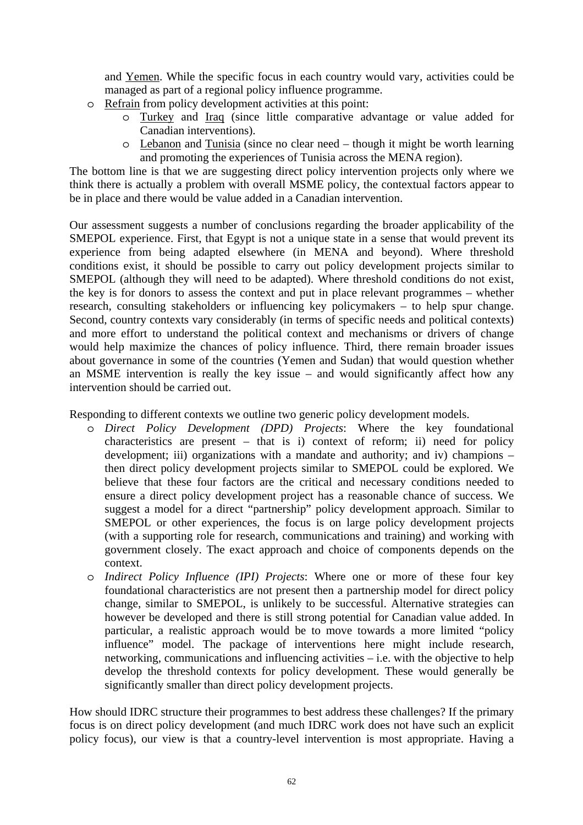and Yemen. While the specific focus in each country would vary, activities could be managed as part of a regional policy influence programme.

- o Refrain from policy development activities at this point:
	- o Turkey and Iraq (since little comparative advantage or value added for Canadian interventions).
	- o Lebanon and Tunisia (since no clear need though it might be worth learning and promoting the experiences of Tunisia across the MENA region).

The bottom line is that we are suggesting direct policy intervention projects only where we think there is actually a problem with overall MSME policy, the contextual factors appear to be in place and there would be value added in a Canadian intervention.

SMEPOL (although they will need to be adapted). Where threshold conditions do not exist, the key is for donors to assess the context and put in place relevant programmes – whether and more effort to understand the political context and mechanisms or drivers of change would help maximize the chances of policy influence. Third, there remain broader issues about governance in some of the countries (Yemen and Sudan) that would question whether an MSME intervention is really the key issue – and would significantly affect how any interve ntion should be carried out. Our assessment suggests a number of conclusions regarding the broader applicability of the SMEPOL experience. First, that Egypt is not a unique state in a sense that would prevent its experience from being adapted elsewhere (in MENA and beyond). Where threshold conditions exist, it should be possible to carry out policy development projects similar to research, consulting stakeholders or influencing key policymakers – to help spur change. Second, country contexts vary considerably (in terms of specific needs and political contexts)

Responding to different contexts we outline two generic policy development models.

- characteristics are present  $-$  that is i) context of reform; ii) need for policy development; iii) organizations with a mandate and authority; and iv) champions – believe that these four factors are the critical and necessary conditions needed to government closely. The exact approach and choice of components depends on the o *Direct Policy Development (DPD) Projects*: Where the key foundational then direct policy development projects similar to SMEPOL could be explored. We ensure a direct policy development project has a reasonable chance of success. We suggest a model for a direct "partnership" policy development approach. Similar to SMEPOL or other experiences, the focus is on large policy development projects (with a supporting role for research, communications and training) and working with context.
- o *licy Influence (IPI) Projects*: Where one or more of these four key *Indirect Po* change, similar to SMEPOL, is unlikely to be successful. Alternative strategies can influence" model. The package of interventions here might include research, networking, communications and influencing activities – i.e. with the objective to help foundational characteristics are not present then a partnership model for direct policy however be developed and there is still strong potential for Canadian value added. In particular, a realistic approach would be to move towards a more limited "policy develop the threshold contexts for policy development. These would generally be significantly smaller than direct policy development projects.

focus is on direct policy development (and much IDRC work does not have such an explicit policy focus), our view is that a country-level intervention is most appropriate. Having a How should IDRC structure their programmes to best address these challenges? If the primary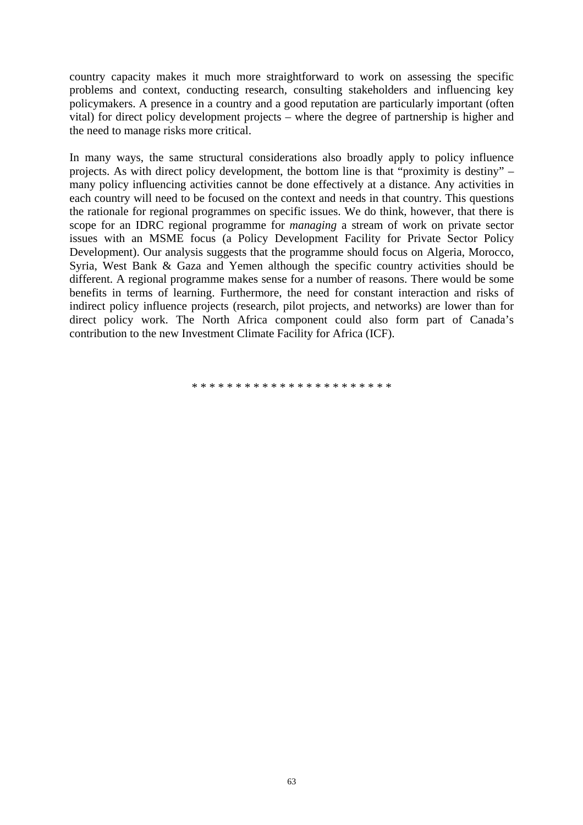country capacity makes it much more straightforward to work on assessing the specific problems and context, conducting research, consulting stakeholders and influencing key policymakers. A presence in a country and a good reputation are particularly important (often vital) for direct policy development projects – where the degree of partnership is higher and the need to manage risks more critical.

each country will need to be focused on the context and needs in that country. This questions the rationale for regional programmes on specific issues. We do think, however, that there is different. A regional programme makes sense for a number of reasons. There would be some ben efits in terms of learning. Furthermore, the need for constant interaction and risks of indirec t policy influence projects (research, pilot projects, and networks) are lower than for direct policy work. The North Africa component could also form part of Canada's con tribution to the new Investment Climate Facility for Africa (ICF). In many ways, the same structural considerations also broadly apply to policy influence projects. As with direct policy development, the bottom line is that "proximity is destiny" – many policy influencing activities cannot be done effectively at a distance. Any activities in scope for an IDRC regional programme for *managing* a stream of work on private sector issues with an MSME focus (a Policy Development Facility for Private Sector Policy Development). Our analysis suggests that the programme should focus on Algeria, Morocco, Syria, West Bank & Gaza and Yemen although the specific country activities should be

\* \* \* \* \* \* \* \* \* \* \* \* \* \* \* \* \* \* \* \* \* \* \*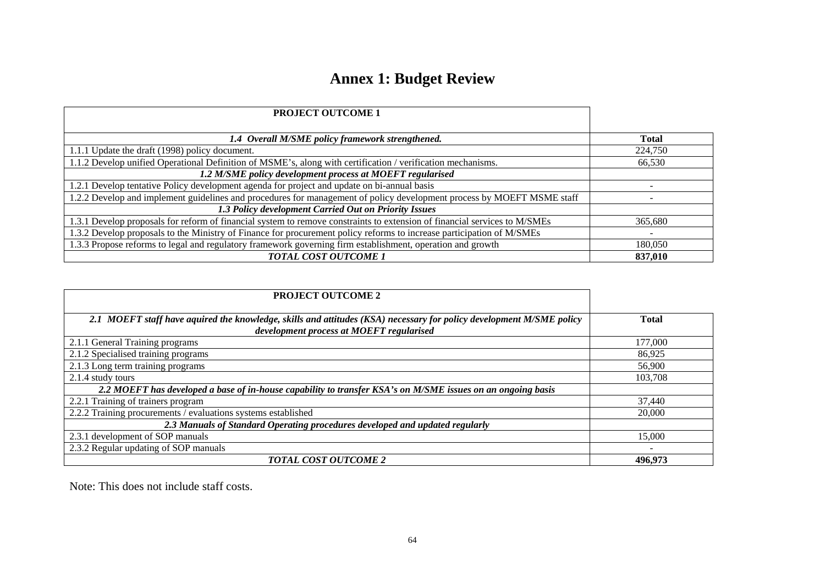# **Annex 1: Budget Review**

| <b>PROJECT OUTCOME 1</b>                                                                                                  |              |
|---------------------------------------------------------------------------------------------------------------------------|--------------|
|                                                                                                                           |              |
| 1.4 Overall M/SME policy framework strengthened.                                                                          | <b>Total</b> |
| 1.1.1 Update the draft (1998) policy document.                                                                            | 224,750      |
| 1.1.2 Develop unified Operational Definition of MSME's, along with certification / verification mechanisms.               | 66,530       |
| 1.2 M/SME policy development process at MOEFT regularised                                                                 |              |
| 1.2.1 Develop tentative Policy development agenda for project and update on bi-annual basis                               |              |
| 1.2.2 Develop and implement guidelines and procedures for management of policy development process by MOEFT MSME staff    |              |
| 1.3 Policy development Carried Out on Priority Issues                                                                     |              |
| 1.3.1 Develop proposals for reform of financial system to remove constraints to extension of financial services to M/SMEs | 365,680      |
| 1.3.2 Develop proposals to the Ministry of Finance for procurement policy reforms to increase participation of M/SMEs     |              |
| 1.3.3 Propose reforms to legal and regulatory framework governing firm establishment, operation and growth                | 180,050      |
| TOTAL COST OUTCOME 1                                                                                                      | 837,010      |

| <b>PROJECT OUTCOME 2</b>                                                                                                                                         |              |
|------------------------------------------------------------------------------------------------------------------------------------------------------------------|--------------|
| 2.1 MOEFT staff have aquired the knowledge, skills and attitudes (KSA) necessary for policy development M/SME policy<br>development process at MOEFT regularised | <b>Total</b> |
| 2.1.1 General Training programs                                                                                                                                  | 177,000      |
| 2.1.2 Specialised training programs                                                                                                                              | 86,925       |
| $\overline{2.1.3}$ Long term training programs                                                                                                                   | 56,900       |
| 2.1.4 study tours                                                                                                                                                | 103,708      |
| 2.2 MOEFT has developed a base of in-house capability to transfer KSA's on M/SME issues on an ongoing basis                                                      |              |
| 2.2.1 Training of trainers program                                                                                                                               | 37,440       |
| 2.2.2 Training procurements / evaluations systems established                                                                                                    | 20,000       |
| 2.3 Manuals of Standard Operating procedures developed and updated regularly                                                                                     |              |
| 2.3.1 development of SOP manuals                                                                                                                                 | 15,000       |
| 2.3.2 Regular updating of SOP manuals                                                                                                                            | -            |
| <b>TOTAL COST OUTCOME 2</b>                                                                                                                                      | 496.973      |

Note: This does not include staff costs.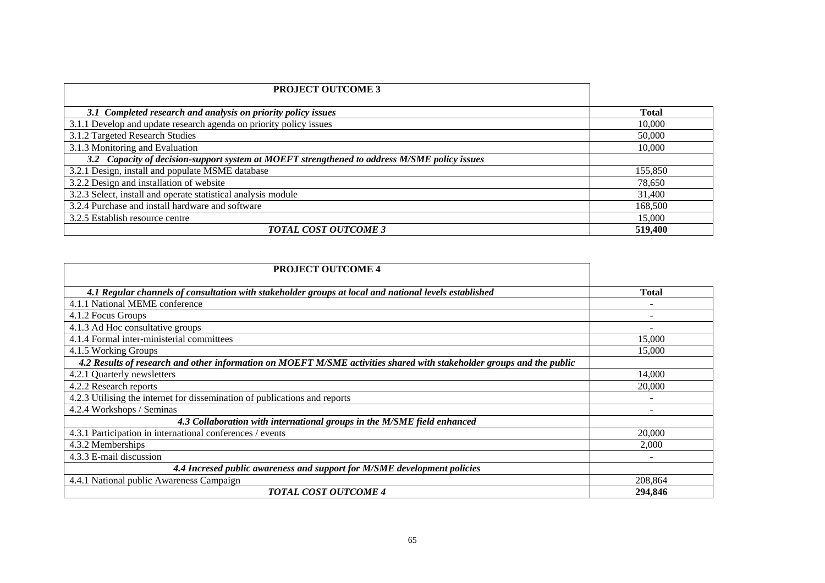| <b>PROJECT OUTCOME 3</b>                                                                     |              |
|----------------------------------------------------------------------------------------------|--------------|
| 3.1 Completed research and analysis on priority policy issues                                | <b>Total</b> |
| 3.1.1 Develop and update research agenda on priority policy issues                           | 10,000       |
| 3.1.2 Targeted Research Studies                                                              | 50,000       |
| 3.1.3 Monitoring and Evaluation                                                              | 10,000       |
| 3.2 Capacity of decision-support system at MOEFT strengthened to address M/SME policy issues |              |
| 3.2.1 Design, install and populate MSME database                                             | 155,850      |
| 3.2.2 Design and installation of website                                                     | 78,650       |
| 3.2.3 Select, install and operate statistical analysis module                                | 31,400       |
| 3.2.4 Purchase and install hardware and software                                             | 168,500      |
| 3.2.5 Establish resource centre                                                              | 15,000       |
| <b>TOTAL COST OUTCOME 3</b>                                                                  | 519,400      |

| <b>PROJECT OUTCOME 4</b>                                                                                              |              |
|-----------------------------------------------------------------------------------------------------------------------|--------------|
| 4.1 Regular channels of consultation with stakeholder groups at local and national levels established                 | <b>Total</b> |
| 4.1.1 National MEME conference                                                                                        |              |
| 4.1.2 Focus Groups                                                                                                    |              |
| 4.1.3 Ad Hoc consultative groups                                                                                      |              |
| 4.1.4 Formal inter-ministerial committees                                                                             | 15,000       |
| 4.1.5 Working Groups                                                                                                  | 15,000       |
| 4.2 Results of research and other information on MOEFT M/SME activities shared with stakeholder groups and the public |              |
| 4.2.1 Quarterly newsletters                                                                                           | 14,000       |
| 4.2.2 Research reports                                                                                                | 20,000       |
| 4.2.3 Utilising the internet for dissemination of publications and reports                                            |              |
| 4.2.4 Workshops / Seminas                                                                                             |              |
| 4.3 Collaboration with international groups in the M/SME field enhanced                                               |              |
| 4.3.1 Participation in international conferences / events                                                             | 20,000       |
| 4.3.2 Memberships                                                                                                     | 2,000        |
| 4.3.3 E-mail discussion                                                                                               |              |
| 4.4 Incresed public awareness and support for M/SME development policies                                              |              |
| 4.4.1 National public Awareness Campaign                                                                              | 208,864      |
| <b>TOTAL COST OUTCOME 4</b>                                                                                           | 294.846      |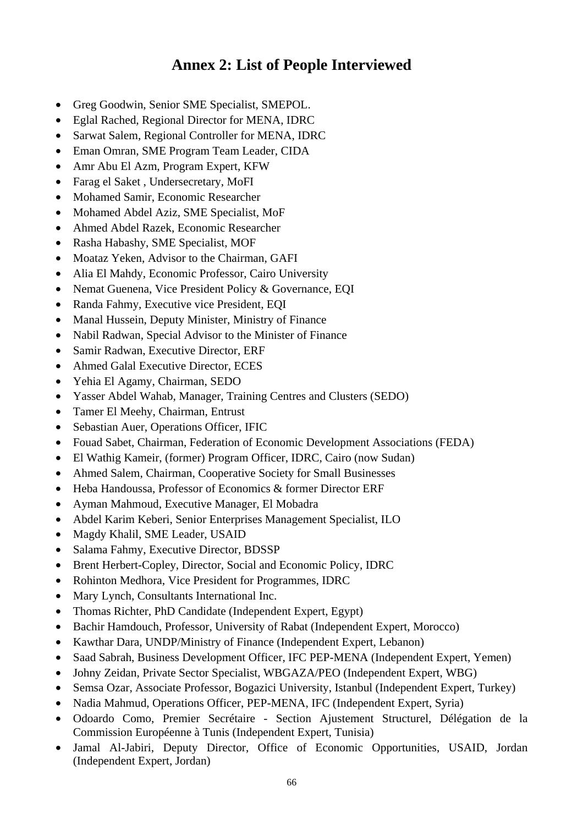# **Annex 2: List of People Interviewed**

- Greg Goodwin, Senior SME Specialist, SMEPOL.
- Eglal Rached, Regional Director for MENA, IDRC
- Sarwat Salem, Regional Controller for MENA, IDRC
- Eman Omran, SME Program Team Leader, CIDA
- Amr Abu El Azm, Program Expert, KFW
- Farag el Saket, Undersecretary, MoFI
- Mohamed Samir, Economic Researcher
- Mohamed Abdel Aziz, SME Specialist, MoF
- Ahmed Abdel Razek, Economic Researcher
- Rasha Habashy, SME Specialist, MOF
- Moataz Yeken, Advisor to the Chairman, GAFI
- Alia El Mahdy, Econom ic Professor, Cairo University
- Nemat Guenena, Vice Presiden t Policy & Governance, EQI
- Randa Fahmy, Executive vice President, EQI
- Manal Hussein, Deputy Minist er, Ministry of Finance
- Nabil Radwan, Special Advisor to the Minister of Finance
- Samir Radwan, Executive Director, ERF
- Ahmed Galal Executive Director, ECES
- Yehia El Agamy, Chairman, SEDO
- Yasser Abdel Wahab, Manager, Training Centres and Clusters (SEDO)
- Tamer El Meehy, Chairman, Entrust
- Sebastian Auer, Operations Officer, IFIC
- Fouad Sabet, Chairman, Federation of Economic Development Associations (FEDA)
- El Wathig Kameir, (former) Program Officer, IDRC, Cairo (now Sudan)
- Ahmed Salem, Chairman, Cooperative Society for Small Businesses
- Heba Handoussa, Professor of Economics & former Director ERF
- Ayman Mahmoud, Executive Manager, El Mobadra
- Abdel Karim Keberi, Senior Enterprises Management Specialist, ILO
- Magdy Khalil, SME Leader, USAID
- Salama Fahmy, Executive Director, BDSSP
- Brent Herbert-Copley, Director, So cial and Econom ic Policy, IDRC
- Rohinton Medhora, Vice President for Programmes, IDRC
- Mary Lynch, Consultants International Inc.
- Thomas Richter, PhD Candidate (Independent Expert, Egypt)
- Bachir Hamdouch, Professor, University of Rabat (Independent Expert, Morocco)
- Kawthar Dara, UNDP/Ministry of Finance (Independent Expert, Lebanon)
- Saad Sabrah, Business Development Officer, IFC PEP-MENA (Independent Expert, Yemen)
- Johny Zeidan, Private Sector Specialist, WBGAZA/PEO (Independent Expert, WBG)
- Semsa Ozar, Associate Professor, Bogazici University, Istanbul (Independent Expert, Turkey)
- Nadia Mahmud, Operations Officer, PEP-MENA, IFC (Independent Expert, Syria)
- · Odoardo Como, Premier Secrétaire Section Ajustement Structurel, Délégation de la Commission Européenne à Tunis (Independent Expert, Tunisia)
- · Jamal Al-Jabiri, Deputy Director, Office of Economic Opportunities, USAID, Jordan (Independent Expert, Jordan)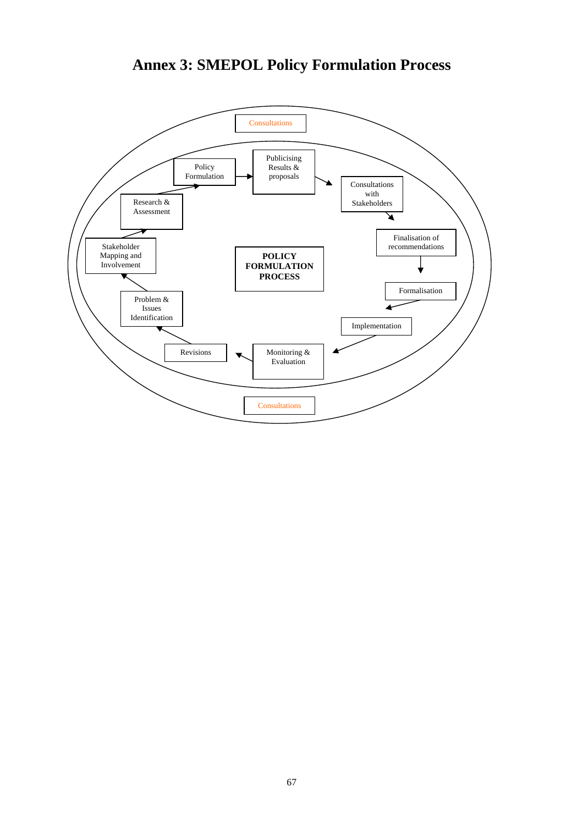# **Annex 3: SMEPOL Policy Formulation Process**

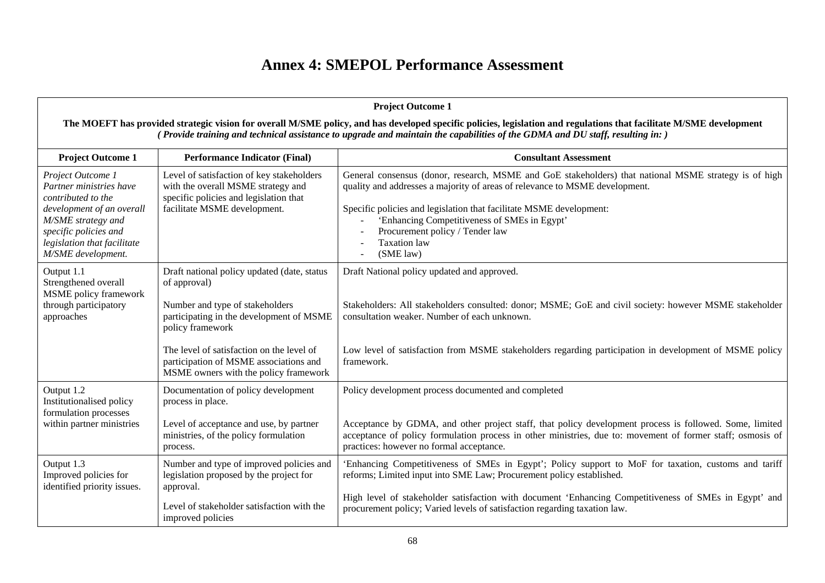# **Annex 4: SMEPOL Performance Assessment**

|                                                                                                                                                                                                     |                                                                                                                                                                     | <b>Project Outcome 1</b>                                                                                                                                                                                                                                                                                                                                                           |
|-----------------------------------------------------------------------------------------------------------------------------------------------------------------------------------------------------|---------------------------------------------------------------------------------------------------------------------------------------------------------------------|------------------------------------------------------------------------------------------------------------------------------------------------------------------------------------------------------------------------------------------------------------------------------------------------------------------------------------------------------------------------------------|
|                                                                                                                                                                                                     |                                                                                                                                                                     | The MOEFT has provided strategic vision for overall M/SME policy, and has developed specific policies, legislation and regulations that facilitate M/SME development<br>(Provide training and technical assistance to upgrade and maintain the capabilities of the GDMA and DU staff, resulting in:)                                                                               |
| <b>Project Outcome 1</b>                                                                                                                                                                            | <b>Performance Indicator (Final)</b>                                                                                                                                | <b>Consultant Assessment</b>                                                                                                                                                                                                                                                                                                                                                       |
| Project Outcome 1<br>Partner ministries have<br>contributed to the<br>development of an overall<br>M/SME strategy and<br>specific policies and<br>legislation that facilitate<br>M/SME development. | Level of satisfaction of key stakeholders<br>with the overall MSME strategy and<br>specific policies and legislation that<br>facilitate MSME development.           | General consensus (donor, research, MSME and GoE stakeholders) that national MSME strategy is of high<br>quality and addresses a majority of areas of relevance to MSME development.<br>Specific policies and legislation that facilitate MSME development:<br>'Enhancing Competitiveness of SMEs in Egypt'<br>Procurement policy / Tender law<br><b>Taxation</b> law<br>(SME law) |
| Output 1.1<br>Strengthened overall<br><b>MSME</b> policy framework<br>hrough participatory<br>approaches                                                                                            | Draft national policy updated (date, status<br>of approval)<br>Number and type of stakeholders<br>participating in the development of MSME<br>policy framework      | Draft National policy updated and approved.<br>Stakeholders: All stakeholders consulted: donor; MSME; GoE and civil society: however MSME stakeholder<br>consultation weaker. Number of each unknown.                                                                                                                                                                              |
|                                                                                                                                                                                                     | The level of satisfaction on the level of<br>participation of MSME associations and<br>MSME owners with the policy framework                                        | Low level of satisfaction from MSME stakeholders regarding participation in development of MSME policy<br>framework.                                                                                                                                                                                                                                                               |
| Output 1.2<br>Institutionalised policy<br>formulation processes                                                                                                                                     | Documentation of policy development<br>process in place.                                                                                                            | Policy development process documented and completed                                                                                                                                                                                                                                                                                                                                |
| within partner ministries                                                                                                                                                                           | Level of acceptance and use, by partner<br>ministries, of the policy formulation<br>process.                                                                        | Acceptance by GDMA, and other project staff, that policy development process is followed. Some, limited<br>acceptance of policy formulation process in other ministries, due to: movement of former staff; osmosis of<br>practices: however no formal acceptance.                                                                                                                  |
| Output 1.3<br>Improved policies for<br>dentified priority issues.                                                                                                                                   | Number and type of improved policies and<br>legislation proposed by the project for<br>approval.<br>Level of stakeholder satisfaction with the<br>improved policies | 'Enhancing Competitiveness of SMEs in Egypt'; Policy support to MoF for taxation, customs and tariff<br>reforms; Limited input into SME Law; Procurement policy established.<br>High level of stakeholder satisfaction with document 'Enhancing Competitiveness of SMEs in Egypt' and<br>procurement policy; Varied levels of satisfaction regarding taxation law.                 |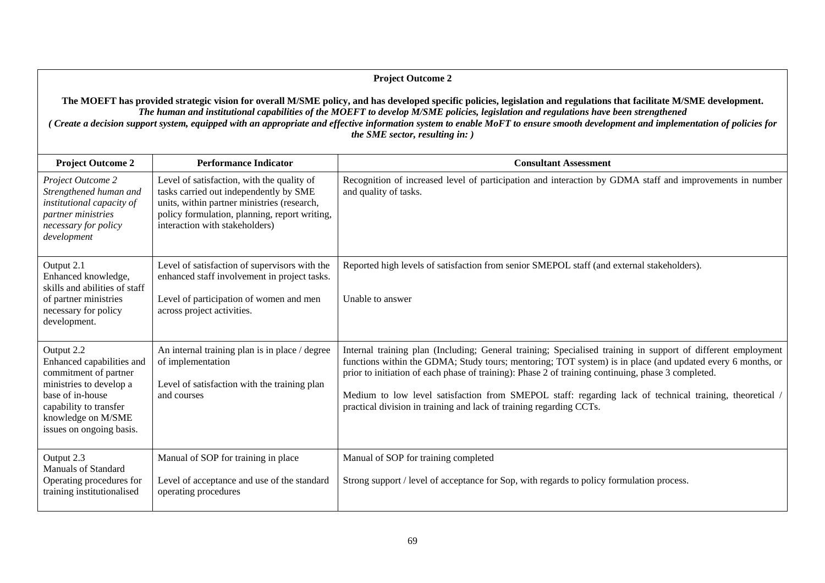#### **Project Outcome 2**

#### **The MOEFT has provided strategic vision for overall M/SME policy, and has developed specific policies, legislation and regulations that facilitate M/SME development.**  *The human and institutional capabilities of the MOEFT to develop M/SME policies, legislation and re <sup>s</sup> have been strengthened gulation* (Create a decision support system, equipped with an appropriate and effective information system to enable MoFT to ensure smooth development and implementation of policies for *the SME sector, resulting in: )*

| <b>Project Outcome 2</b>                                                                                                                                                                    | <b>Performance Indicator</b>                                                                                                                                                                                           | <b>Consultant Assessment</b>                                                                                                                                                                                                                                                                                                                                                                                                                                                                                       |
|---------------------------------------------------------------------------------------------------------------------------------------------------------------------------------------------|------------------------------------------------------------------------------------------------------------------------------------------------------------------------------------------------------------------------|--------------------------------------------------------------------------------------------------------------------------------------------------------------------------------------------------------------------------------------------------------------------------------------------------------------------------------------------------------------------------------------------------------------------------------------------------------------------------------------------------------------------|
| Project Outcome 2<br>Strengthened human and<br>institutional capacity of<br>partner ministries<br>necessary for policy<br>development                                                       | Level of satisfaction, with the quality of<br>tasks carried out independently by SME<br>units, within partner ministries (research,<br>policy formulation, planning, report writing,<br>interaction with stakeholders) | Recognition of increased level of participation and interaction by GDMA staff and improvements in number<br>and quality of tasks.                                                                                                                                                                                                                                                                                                                                                                                  |
| Output 2.1<br>Enhanced knowledge,<br>skills and abilities of staff<br>of partner ministries<br>necessary for policy<br>development.                                                         | Level of satisfaction of supervisors with the<br>enhanced staff involvement in project tasks.<br>Level of participation of women and men<br>across project activities.                                                 | Reported high levels of satisfaction from senior SMEPOL staff (and external stakeholders).<br>Unable to answer                                                                                                                                                                                                                                                                                                                                                                                                     |
| Output 2.2<br>Enhanced capabilities and<br>commitment of partner<br>ministries to develop a<br>base of in-house<br>capability to transfer<br>knowledge on M/SME<br>issues on ongoing basis. | An internal training plan is in place / degree<br>of implementation<br>Level of satisfaction with the training plan<br>and courses                                                                                     | Internal training plan (Including; General training; Specialised training in support of different employment<br>functions within the GDMA; Study tours; mentoring; TOT system) is in place (and updated every 6 months, or<br>prior to initiation of each phase of training): Phase 2 of training continuing, phase 3 completed.<br>Medium to low level satisfaction from SMEPOL staff: regarding lack of technical training, theoretical /<br>practical division in training and lack of training regarding CCTs. |
| Output 2.3<br><b>Manuals of Standard</b><br>Operating procedures for<br>training institutionalised                                                                                          | Manual of SOP for training in place<br>Level of acceptance and use of the standard<br>operating procedures                                                                                                             | Manual of SOP for training completed<br>Strong support / level of acceptance for Sop, with regards to policy formulation process.                                                                                                                                                                                                                                                                                                                                                                                  |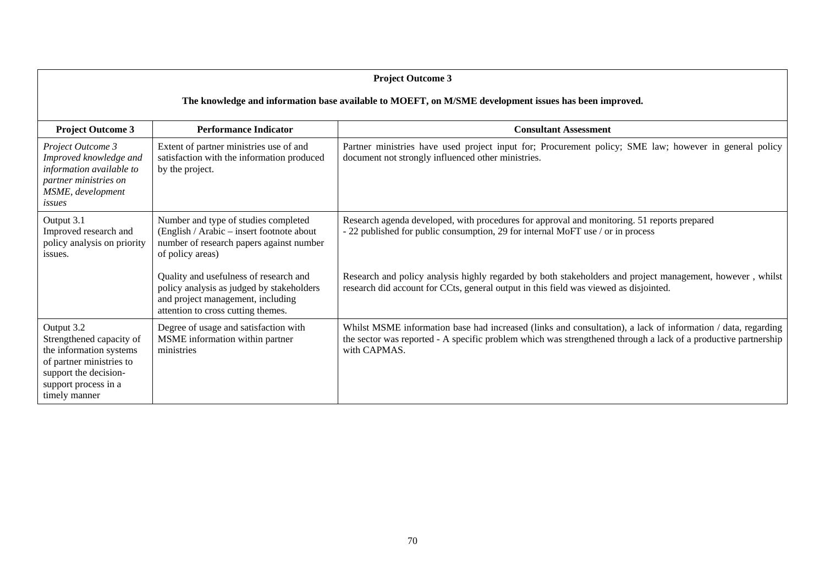| <b>Project Outcome 3</b>                                                                                                                                        |                                                                                                                                                                |                                                                                                                                                                                                                                                |  |  |  |
|-----------------------------------------------------------------------------------------------------------------------------------------------------------------|----------------------------------------------------------------------------------------------------------------------------------------------------------------|------------------------------------------------------------------------------------------------------------------------------------------------------------------------------------------------------------------------------------------------|--|--|--|
|                                                                                                                                                                 | The knowledge and information base available to MOEFT, on M/SME development issues has been improved.                                                          |                                                                                                                                                                                                                                                |  |  |  |
| <b>Project Outcome 3</b>                                                                                                                                        | <b>Performance Indicator</b>                                                                                                                                   | <b>Consultant Assessment</b>                                                                                                                                                                                                                   |  |  |  |
| Project Outcome 3<br>Improved knowledge and<br>information available to<br>partner ministries on<br>MSME, development<br>issues                                 | Extent of partner ministries use of and<br>satisfaction with the information produced<br>by the project.                                                       | Partner ministries have used project input for; Procurement policy; SME law; however in general policy<br>document not strongly influenced other ministries.                                                                                   |  |  |  |
| Output 3.1<br>Improved research and<br>policy analysis on priority<br>issues.                                                                                   | Number and type of studies completed<br>(English / Arabic – insert footnote about<br>number of research papers against number<br>of policy areas)              | Research agenda developed, with procedures for approval and monitoring. 51 reports prepared<br>- 22 published for public consumption, 29 for internal MoFT use / or in process                                                                 |  |  |  |
|                                                                                                                                                                 | Quality and usefulness of research and<br>policy analysis as judged by stakeholders<br>and project management, including<br>attention to cross cutting themes. | Research and policy analysis highly regarded by both stakeholders and project management, however, whilst<br>research did account for CCts, general output in this field was viewed as disjointed.                                             |  |  |  |
| Output 3.2<br>Strengthened capacity of<br>the information systems<br>of partner ministries to<br>support the decision-<br>support process in a<br>timely manner | Degree of usage and satisfaction with<br>MSME information within partner<br>ministries                                                                         | Whilst MSME information base had increased (links and consultation), a lack of information / data, regarding<br>the sector was reported - A specific problem which was strengthened through a lack of a productive partnership<br>with CAPMAS. |  |  |  |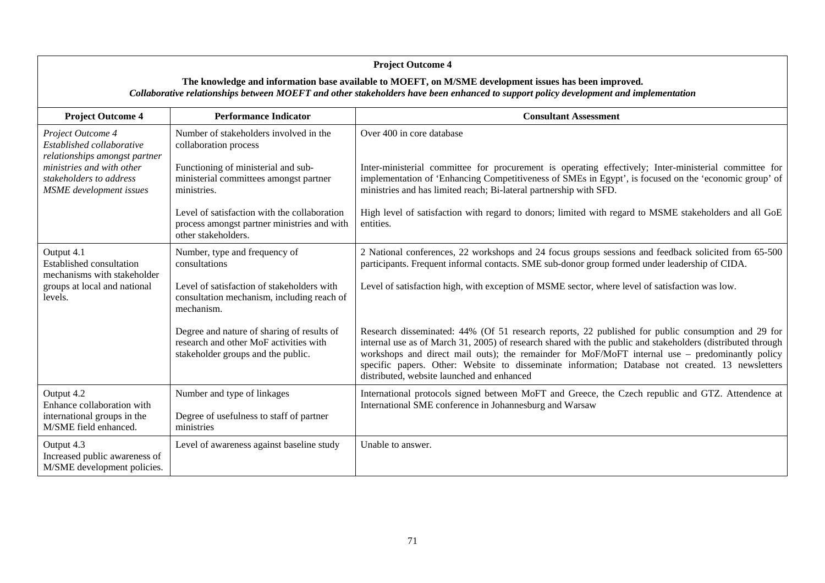#### **Project Outcome 4**  The knowledge and information base available to MOEFT, on M/SME development issues has been improved. *Collaborative relationships between MOEFT and other stake ced to support policy development and implementation holders have been enhan***Project Outcome 4 Performance Indicator Consultant Assessment** *Project Outcome 4* Number of stakeholders involved in the Over 400 in core database *Established collaborative r elationships amongst partner mi rnistries and with othe ress stakeholders to adds MSME development issue* collaboration process Functioning of ministerial and subministerial committees amongst partner process amongst partner ministries and with Inter-ministerial committee for procurement is operating effectively; Inter-ministerial committee for High level of satisfaction with regard to donors; limited with regard to MSME stakeholders and all GoE entities. ministries.Level of satisfaction with the collaboratio nother stakeholders. implementation of 'Enhancing Competitiveness of SMEs in Egypt', is focused on the 'economic group' of ministries and has limited reach; Bi-lateral partnership with SFD. Output 4.1 Established consultation mechanisms with stakeholder l groups at local and nationa Number, type and frequency of consultation mechanism, including reach of Degree and nature of sharing of results of research and other MoF activities with 2 National conferences, 22 workshops and 24 focus groups sessions and feedback solicited from 65-500 participants. Frequent informal contacts. SME sub-donor group formed under leadership of CIDA. Level of satisfaction high, with exception of MSME sector, where level of satisfaction was low. Research disseminated: 44% (Of 51 research reports, 22 published for public consumption and 29 for internal use as of March 31, 2005) of research shared with the public and stakeholders (distributed through levels. consultationsLevel of satisfaction of stakeholders withmechanism.stakeholder groups and the public. workshops and direct mail outs); the remainder for MoF/MoFT internal use – predominantly policy specific papers. Other: Website to disseminate information; Database not created. 13 newsletters distributed, website launched and enhanced Output 4.2 Enhance collaboration with international groups in M/SME field enhanced. Degree of usefulness to staff of partner ministriesNumber and type of linkages International protocols signed between MoFT and Greece, the Czech republic and GTZ. Attendence at International SME conference in Johannesburg and Warsaw Output 4.3 Increased public awareness of M/SME development policies. Level of awareness against baseline study | Unable to answer.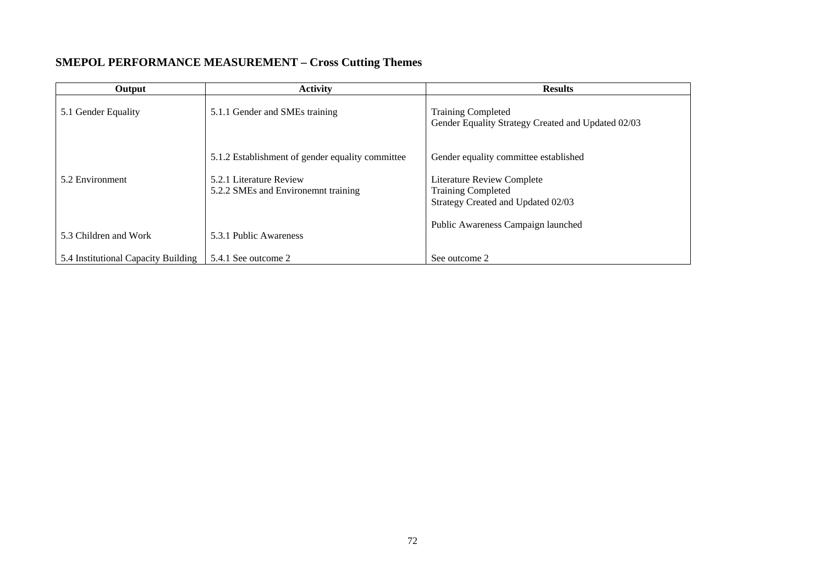## **SMEPOL PERFORMANCE MEASUREMENT - Cross Cutting Themes**

| Output                              | <b>Activity</b>                                                | <b>Results</b>                                                                                       |
|-------------------------------------|----------------------------------------------------------------|------------------------------------------------------------------------------------------------------|
| 5.1 Gender Equality                 | 5.1.1 Gender and SMEs training                                 | <b>Training Completed</b><br>Gender Equality Strategy Created and Updated 02/03                      |
|                                     | 5.1.2 Establishment of gender equality committee               | Gender equality committee established                                                                |
| 5.2 Environment                     | 5.2.1 Literature Review<br>5.2.2 SMEs and Environemnt training | <b>Literature Review Complete</b><br><b>Training Completed</b><br>Strategy Created and Updated 02/03 |
| 5.3 Children and Work               | 5.3.1 Public Awareness                                         | Public Awareness Campaign launched                                                                   |
| 5.4 Institutional Capacity Building | 5.4.1 See outcome 2                                            | See outcome 2                                                                                        |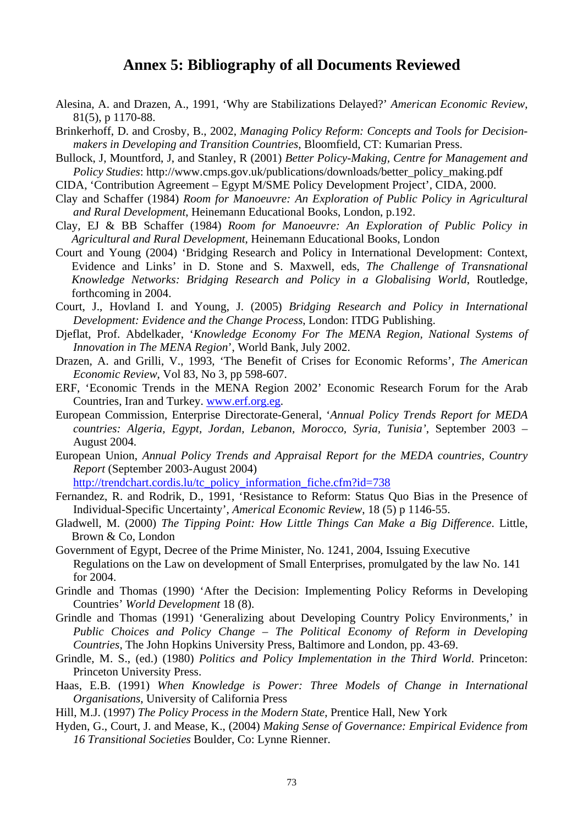### **Annex 5: Bibliography of all Documents Reviewed**

- Alesina, A. and Drazen, A., 1991, 'Why are Stabilizations Delayed?' American Economic Review, 81(5), p 1170-88.
- Brinkerhoff, D. and Crosby, B., 2002, Managing Policy Reform: Concepts and Tools for Decisionmakers in Developing and Transition Countries, Bloomfield, CT: Kumarian Press.
- Bullock, J. Mountford, J. and Stanley, R (2001) Better Policy-Making, Centre for Management and *Policy Studies:* http://www.cmps.gov.uk/publications/downloads/better\_policy\_making.pdf
- CIDA, 'Contribution Agreement Egypt M/SME Policy Development Project', CIDA, 2000.
- Clay and Schaffer (1984) Room for Manoeuvre: An Exploration of Public Policy in Agricultural and Rural Development, Heinemann Educational Books, London, p.192.
- Clay, EJ & BB Schaffer (1984) Room for Manoeuvre: An Exploration of Public Policy in Agricultural and Rural Development, Heinemann Educational Books, London
- Court and Young (2004) 'Bridging Research and Policy in International Development: Context, Evidence and Links' in D. Stone and S. Maxwell, eds, The Challenge of Transnational Knowledge Networks: Bridging Research and Policy in a Globalising World, Routledge, forthcoming in 2004.
- Court, J., Hovland I. and Young, J. (2005) Bridging Research and Policy in International Development: Evidence and the Change Process, London: ITDG Publishing.
- Djeflat, Prof. Abdelkader, 'Knowledge Economy For The MENA Region, National Systems of Innovation in The MENA Region', World Bank, July 2002.
- Drazen, A. and Grilli, V., 1993, 'The Benefit of Crises for Economic Reforms', The American Economic Review, Vol 83, No 3, pp 598-607.
- ERF, 'Economic Trends in the MENA Region 2002' Economic Research Forum for the Arab Countries. Iran and Turkey. www.erf.org.eg.
- European Commission, Enterprise Directorate-General, 'Annual Policy Trends Report for MEDA countries: Algeria, Egypt, Jordan, Lebanon, Morocco, Syria, Tunisia', September 2003 -August 2004.
- European Union, Annual Policy Trends and Appraisal Report for the MEDA countries, Country Report (September 2003-August 2004)

http://trendchart.cordis.lu/tc\_policy\_information\_fiche.cfm?id=738

- Fernandez, R. and Rodrik, D., 1991, 'Resistance to Reform: Status Quo Bias in the Presence of Individual-Specific Uncertainty', Americal Economic Review, 18 (5) p 1146-55.
- Gladwell, M. (2000) The Tipping Point: How Little Things Can Make a Big Difference. Little, Brown & Co, London
- Government of Egypt, Decree of the Prime Minister, No. 1241, 2004, Issuing Executive Regulations on the Law on development of Small Enterprises, promulgated by the law No. 141 for 2004.
- Grindle and Thomas (1990) 'After the Decision: Implementing Policy Reforms in Developing Countries' World Development 18 (8).
- Grindle and Thomas (1991) 'Generalizing about Developing Country Policy Environments,' in Public Choices and Policy Change – The Political Economy of Reform in Developing Countries, The John Hopkins University Press, Baltimore and London, pp. 43-69.
- Grindle, M. S., (ed.) (1980) Politics and Policy Implementation in the Third World. Princeton: Princeton University Press.
- Haas, E.B. (1991) When Knowledge is Power: Three Models of Change in International Organisations, University of California Press
- Hill, M.J. (1997) The Policy Process in the Modern State, Prentice Hall, New York
- Hyden, G., Court, J. and Mease, K., (2004) Making Sense of Governance: Empirical Evidence from 16 Transitional Societies Boulder, Co: Lynne Rienner.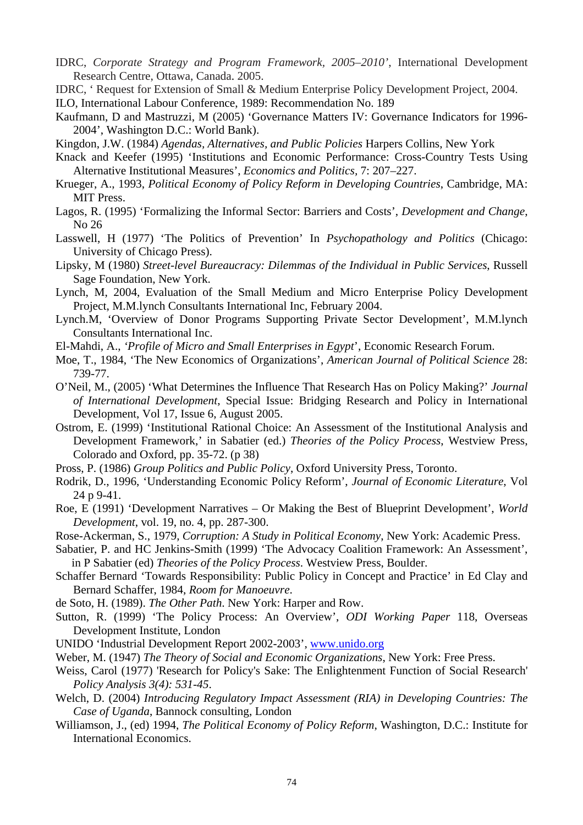- IDRC, *Corporate Strategy and Program Framework, 2005–2010'*, International Development Research Centre, Ottawa, Canada. 2005.
- IDRC, ' Request for Extension of Small & Medium Enterprise Policy Development Project, 2004.

ILO, International Labour Conference, 1989: Recommendation No. 189

- Kaufmann, D and Mastruzzi, M (2005) 'Governance Matters IV: Governance Indicators for 1996- 2004', Washington D.C.: World Bank).
- Kingdon, J.W. (1984) *Agendas, Alternatives, and Public Policies* Harpers Collins, New York
- Knack and Keefer (1995) 'Institutions and Economic Performance: Cross-Country Tests Using Alternative Institutional Measures', *Economics and Politics,* 7: 207–227.
- Krueger, A., 1993, *Political Economy of Policy Reform in Developing Countries*, Cambridge, MA: MIT Press.
- Lagos, R. (1995) 'Formalizing the Informal Sector: Barriers and Costs', *Development and Change*, No 26
- Lasswell, H (1977) 'The Politics of Prevention' In *Psychopathology and Politics* (Chicago: University of Chicago Press).
- Lipsky, M (1980) *Street-level Bureaucracy: Dilemmas of the Individual in Public Services*, Russell Sage Foundation, New York.
- Lynch, M, 2004, Evaluation of the Small Medium and Micro Enterprise Policy Development Project, M.M.lynch Consultants International Inc, February 2004.
- Lynch.M, 'Overview of Donor Programs Supporting Private Sector Development', M.M.lynch Consultants International Inc.
- El-Mahdi, A., *'Profile of Micro and Small Enterprises in Egypt'*, Economic Research Forum.
- Moe, T., 1984, 'The New Economics of Organizations', *American Journal of Political Science* 28: 739-77 .
- O'Neil, M., (2005) 'What Determines the Influence That Research Has on Policy Making?' *Journal of International Development*, Special Issue: Bridging Research and Policy in International Development, Vol 17, Issue 6, August 2005.
- Ostrom, E. (1999) 'Institutional Rational Choice: An Assessment of the Institutional Analysis and Development Framework,' in Sabatier (ed.) *Theories of the Policy Process*, Westview Press, Colorado and Oxford, pp. 35-72. (p 38)
- Pross, P. (1986) *Group Politics and Public Policy*, Oxford University Press, Toronto.
- Rodrik, D., 1996, 'Understanding Economic Policy Reform', *Journal of Economic Literature*, Vol 24 p 9-41.
- Roe, E (1991) 'Development Narratives Or Making the Best of Blueprint Development', *World Development*, vol. 19, no. 4, pp. 287-300.
- Rose-Ackerman, S., 1979, Corruption: A Study in Political Economy, New York: Academic Press.
- Sabatier, P. and HC Jenkins-Smith (1999) 'The Advocacy Coalition Framework: An Assessment', in P Sabatier (ed) Theories of the Policy Process. Westview Press, Boulder.
- Schaffer Bernard 'Towards Responsibility: Public Policy in Concept and Practice' in Ed Clay and Bernard Schaffer, 1984, Room for Manoeuvre.
- de Soto, H. (1989). *The Other Path*. New York: Harper and Row.
- Sutton, R. (1999) 'The Policy Process: An Overview', *ODI Working Paper* 118, Overseas Development Institute, London
- UNIDO 'Industrial Development Report 2002-2003', www.unido.org
- Weber, M. (1947) *The Theory of Social and Economic Organizations*, New York: Free Press.
- Weiss, Carol (1977) 'Research for Policy's Sake: The Enlightenment Function of Social Research' *Policy Analysis 3(4): 531-45*.
- Welch, D. (2004) Introducing Regulatory Impact Assessment (RIA) in Developing Countries: The *Case of Uganda*, Bannock consulting, London
- Williamson, J., (ed) 1994, *The Political Economy of Policy Reform*, Washington, D.C.: Institute for International Economics.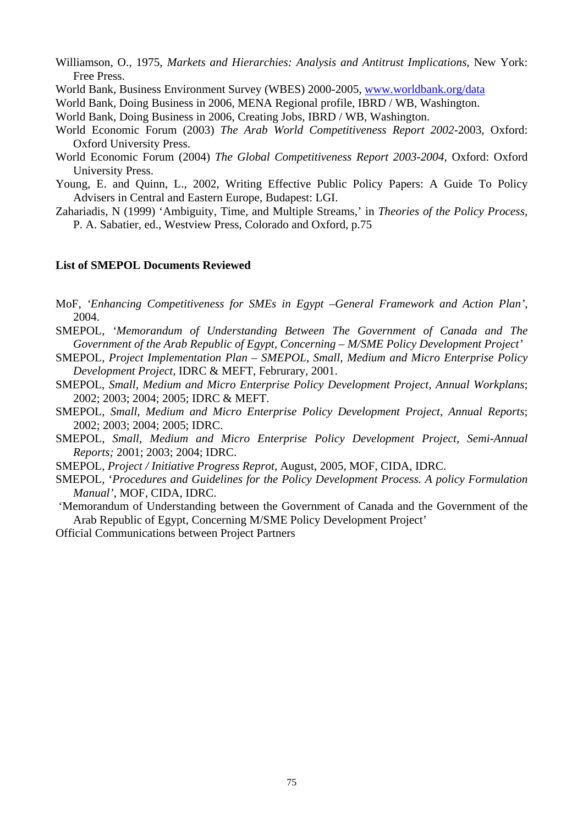- Williamson, O., 1975, Markets and Hierarchies: Analysis and Antitrust Implications, New York: Free Press.
- World Bank, Business Environment Survey (WBES) 2000-2005, www.worldbank.org/data

World Bank, Doing Business in 2006, MENA Regional profile, IBRD / WB, Washington.

- World Bank, Doing Business in 2006, Creating Jobs, IBRD / WB, Washington.
- World Economic Forum (2003) The Arab World Competitiveness Report 2002-2003, Oxford: **Oxford University Press.**
- World Economic Forum (2004) The Global Competitiveness Report 2003-2004, Oxford: Oxford University Press.
- Young, E. and Quinn, L., 2002, Writing Effective Public Policy Papers: A Guide To Policy Advisers in Central and Eastern Europe, Budapest: LGI.
- Zahariadis, N (1999) 'Ambiguity, Time, and Multiple Streams,' in Theories of the Policy Process, P. A. Sabatier, ed., Westview Press, Colorado and Oxford, p.75

### **List of SMEPOL Documents Reviewed**

- MoF, 'Enhancing Competitiveness for SMEs in Egypt -General Framework and Action Plan', 2004.
- SMEPOL, 'Memorandum of Understanding Between The Government of Canada and The Government of the Arab Republic of Egypt, Concerning – M/SME Policy Development Project'
- SMEPOL, Project Implementation Plan SMEPOL, Small, Medium and Micro Enterprise Policy Development Project, IDRC & MEFT, Februrary, 2001.
- SMEPOL, Small, Medium and Micro Enterprise Policy Development Project, Annual Workplans; 2002: 2003: 2004: 2005: IDRC & MEFT.
- SMEPOL, Small, Medium and Micro Enterprise Policy Development Project, Annual Reports; 2002; 2003; 2004; 2005; IDRC.
- SMEPOL, Small, Medium and Micro Enterprise Policy Development Project, Semi-Annual Reports; 2001; 2003; 2004; IDRC.
- SMEPOL, Project / Initiative Progress Reprot, August, 2005, MOF, CIDA, IDRC.
- SMEPOL, 'Procedures and Guidelines for the Policy Development Process. A policy Formulation Manual', MOF, CIDA, IDRC.
- 'Memorandum of Understanding between the Government of Canada and the Government of the Arab Republic of Egypt, Concerning M/SME Policy Development Project'
- **Official Communications between Project Partners**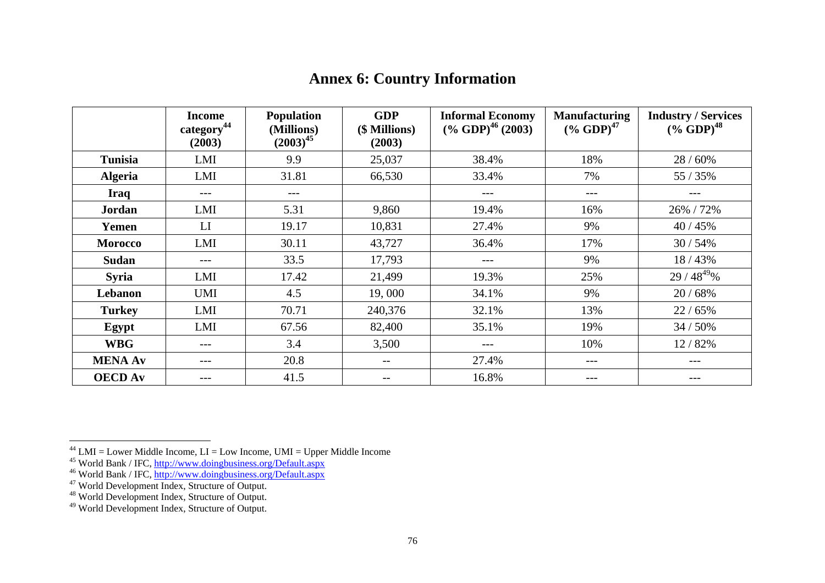|                | <b>Income</b><br>category <sup>44</sup><br>(2003) | <b>Population</b><br>(Millions)<br>$(2003)^{45}$ | <b>GDP</b><br>(\$ Millions)<br>(2003) | <b>Informal Economy</b><br>$(*6$ GDP) <sup>46</sup> (2003) | <b>Manufacturing</b><br>$($ % GDP $)^{47}$ | <b>Industry / Services</b><br>$(*6 \text{ GDP})^{48}$ |
|----------------|---------------------------------------------------|--------------------------------------------------|---------------------------------------|------------------------------------------------------------|--------------------------------------------|-------------------------------------------------------|
| <b>Tunisia</b> | LMI                                               | 9.9                                              | 25,037                                | 38.4%                                                      | 18%                                        | 28 / 60%                                              |
| <b>Algeria</b> | LMI                                               | 31.81                                            | 66,530                                | 33.4%                                                      | 7%                                         | 55 / 35%                                              |
| <b>Iraq</b>    | $---$                                             | $---$                                            |                                       | ---                                                        | ---                                        | $---$                                                 |
| <b>Jordan</b>  | LMI                                               | 5.31                                             | 9,860                                 | 19.4%                                                      | 16%                                        | 26% / 72%                                             |
| Yemen          | LI                                                | 19.17                                            | 10,831                                | 27.4%                                                      | 9%                                         | 40 / 45%                                              |
| <b>Morocco</b> | LMI                                               | 30.11                                            | 43,727                                | 36.4%                                                      | 17%                                        | 30/54%                                                |
| <b>Sudan</b>   | ---                                               | 33.5                                             | 17,793                                | ---                                                        | 9%                                         | 18/43%                                                |
| <b>Syria</b>   | LMI                                               | 17.42                                            | 21,499                                | 19.3%                                                      | 25%                                        | $29/48^{49}\%$                                        |
| Lebanon        | <b>UMI</b>                                        | 4.5                                              | 19,000                                | 34.1%                                                      | 9%                                         | 20 / 68%                                              |
| <b>Turkey</b>  | LMI                                               | 70.71                                            | 240,376                               | 32.1%                                                      | 13%                                        | 22 / 65%                                              |
| Egypt          | LMI                                               | 67.56                                            | 82,400                                | 35.1%                                                      | 19%                                        | 34 / 50%                                              |
| <b>WBG</b>     | ---                                               | 3.4                                              | 3,500                                 | ---                                                        | 10%                                        | 12/82%                                                |
| <b>MENA Av</b> | ---                                               | 20.8                                             | $\qquad \qquad -$                     | 27.4%                                                      | ---                                        | ---                                                   |
| <b>OECD</b> Av | ---                                               | 41.5                                             | $- -$                                 | 16.8%                                                      | ---                                        |                                                       |

# <span id="page-84-5"></span><span id="page-84-4"></span><span id="page-84-3"></span><span id="page-84-2"></span><span id="page-84-1"></span><span id="page-84-0"></span>**Annex 6: Country Information**

<sup>&</sup>lt;sup>44</sup> LMI = Lower Middle Income, LI = Low Income, UMI = Upper Middle Income<br><sup>45</sup> World Bank / IFC, <u>http://www.doingbusiness.org/Default.aspx</u><br><sup>46</sup> World Bank / IFC, <u>http://www.doingbusiness.org/Default.aspx</u><br><sup>47</sup> World D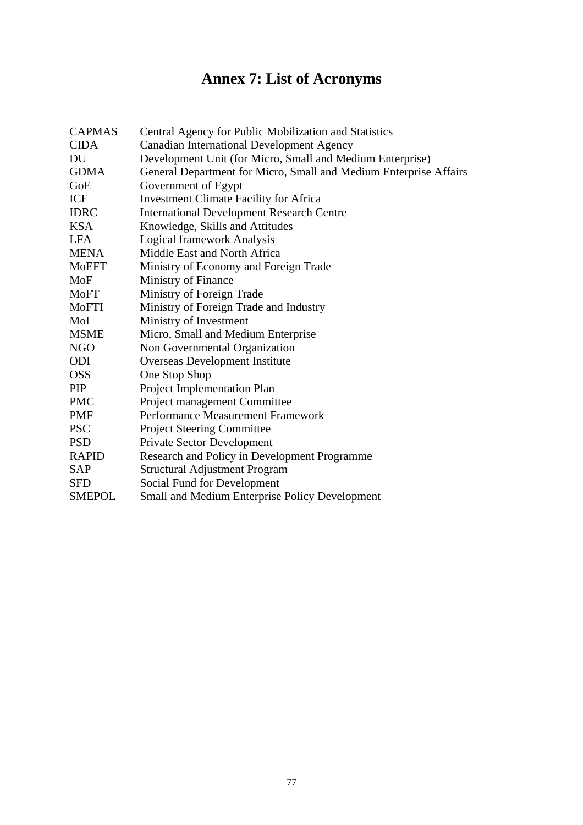# **Annex 7: List of Acronyms**

| <b>CAPMAS</b> | Central Agency for Public Mobilization and Statistics             |
|---------------|-------------------------------------------------------------------|
| <b>CIDA</b>   | <b>Canadian International Development Agency</b>                  |
| DU            | Development Unit (for Micro, Small and Medium Enterprise)         |
| <b>GDMA</b>   | General Department for Micro, Small and Medium Enterprise Affairs |
| GoE           | Government of Egypt                                               |
| ICF           | <b>Investment Climate Facility for Africa</b>                     |
| <b>IDRC</b>   | <b>International Development Research Centre</b>                  |
| <b>KSA</b>    | Knowledge, Skills and Attitudes                                   |
| <b>LFA</b>    | <b>Logical framework Analysis</b>                                 |
| <b>MENA</b>   | Middle East and North Africa                                      |
| <b>MoEFT</b>  | Ministry of Economy and Foreign Trade                             |
| MoF           | Ministry of Finance                                               |
| <b>MoFT</b>   | Ministry of Foreign Trade                                         |
| MoFTI         | Ministry of Foreign Trade and Industry                            |
| MoI           | Ministry of Investment                                            |
| <b>MSME</b>   | Micro, Small and Medium Enterprise                                |
| NGO           | Non Governmental Organization                                     |
| ODI           | Overseas Development Institute                                    |
| OSS           | One Stop Shop                                                     |
| PIP           | Project Implementation Plan                                       |
| <b>PMC</b>    | Project management Committee                                      |
| <b>PMF</b>    | Performance Measurement Framework                                 |
| <b>PSC</b>    | <b>Project Steering Committee</b>                                 |
| <b>PSD</b>    | <b>Private Sector Development</b>                                 |
| <b>RAPID</b>  | Research and Policy in Development Programme                      |
| SAP           | <b>Structural Adjustment Program</b>                              |
| <b>SFD</b>    | Social Fund for Development                                       |
| <b>SMEPOL</b> | Small and Medium Enterprise Policy Development                    |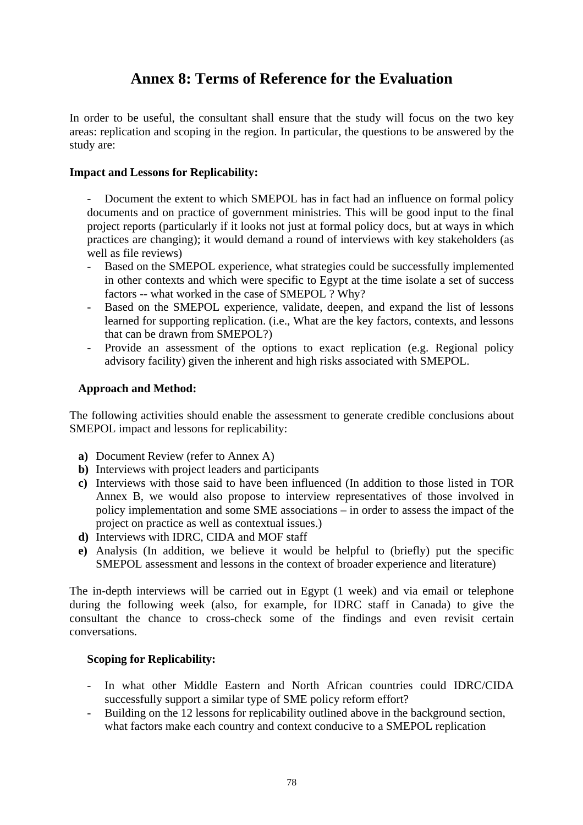## **Annex 8: Terms of Reference for the Evaluation**

In order to be useful, the consultant shall ensure that the study will focus on the two key areas: replication and scoping in the region. In particular, the questions to be answered by the study ar e:

### **Impact and Lessons for Replicability:**

- Document the extent to which SMEPOL has in fact had an influence on formal policy documents and on practice of government ministries. This will be good input to the final project reports (particularly if it looks not just at formal policy docs, but at ways in which practices are changing); it would demand a round of interviews with key stakeholders (as well as file reviews)

- Based on the SMEPOL experience, what strategies could be successfully implemented in other contexts and which were specific to Egypt at the time isolate a set of success factors -- what worked in the case of SMEPOL ? Why?
- Based on the SMEPOL experience, validate, deepen, and expand the list of lessons learned for supporting replication. (i.e., What are the key factors, contexts, and lessons that can be drawn from SMEPOL?) -
- Provide an assessment of the options to exact replication (e.g. Regional policy advisory facility) given the inherent and high risks associated with SMEPOL. -

### Approach and Method:

The following activities should enable the assessment to generate credible conclusions about SMEPOL impact and lessons for replicability:

- a) Document Review (refer to Annex A)
- **b**) Interviews with project leaders and participants
- Interviews with those said to have been influenced (In addition to those listed in TOR **c)** Annex B, we would also propose to interview representatives of those involved in policy implementation and some SME associations – in order to assess the impact of the project on practice as well as contextual issues.)
- d) Interviews with IDRC, CIDA and MOF staff
- **e)** Analysis (In addition, we believe it would be helpful to (briefly) put the specific SMEPOL assessment and lessons in the context of broader experience and literature)

The in-depth interviews will be carried out in Egypt (1 week) and via email or telephone during the following week (also, for example, for IDRC staff in Canada) to give the consultant the chance to cross-check some of the findings and even revisit certain convers ations .

#### **Scoping for Replicability:**

- In what other Middle Eastern and North African countries could IDRC/CIDA successfully support a similar type of SME policy reform effort?
- Building on the 12 lessons for replicability outlined above in the background section, what factors make each country and context conducive to a SMEPOL replication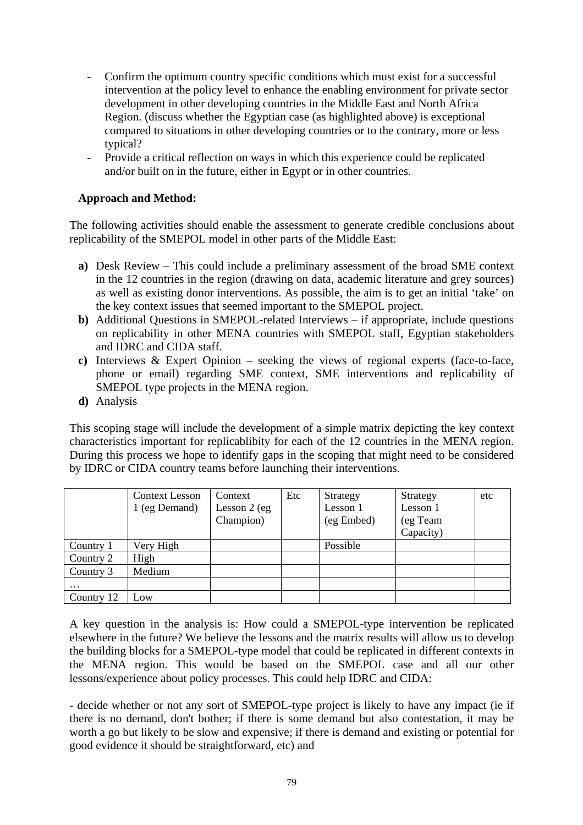- Confirm the optimum country specific conditions which must exist for a successful intervention at the policy level to enhance the enabling environment for private sector development in other developing countries in the Middle East and North Africa Region. (discuss whether the Egyptian case (as highlighted above) is exceptional compared to situations in other developing countries or to the contrary, more or less typical?
- Provide a critical reflection on ways in which this experience could be replicated and/or built on in the future, either in Egypt or in other countries.

### **Approach and Method:**

The following activities should enable the assessment to generate credible conclusions about replicability of the SMEPOL model in other parts of the Middle East:

- a) Desk Review This could include a preliminary assessment of the broad SME context in the 12 countries in the region (drawing on data, academic literature and grey sources) as well as existing donor interventions. As possible, the aim is to get an initial 'take' on the key context issues that seemed important to the SMEPOL project.
- **b**) Additional Questions in SMEPOL-related Interviews if appropriate, include questions on replicability in other MENA countries with SMEPOL staff, Egyptian stakeholders and IDRC and CIDA staff.
- c) Interviews & Expert Opinion seeking the views of regional experts (face-to-face, phone or email) regarding SME context, SME interventions and replicability of SMEPOL type projects in the MENA region.
- **d)** Analysis

This scoping stage will include the development of a simple matrix depicting the key context characteristics important for replicablibity for each of the 12 countries in the MENA region. During this process we hope to identify gaps in the scoping that might need to be considered by IDRC or CIDA country teams before launching their interventions.

|            | <b>Context Lesson</b><br>1 (eg Demand) | Context<br>Lesson $2$ (eg<br>Champion) | Etc | Strategy<br>Lesson 1<br>(eg Embed) | Strategy<br>Lesson 1<br>(eg Team<br>Capacity) | etc |
|------------|----------------------------------------|----------------------------------------|-----|------------------------------------|-----------------------------------------------|-----|
| Country 1  | Very High                              |                                        |     | Possible                           |                                               |     |
| Country 2  | High                                   |                                        |     |                                    |                                               |     |
| Country 3  | Medium                                 |                                        |     |                                    |                                               |     |
| $\cdots$   |                                        |                                        |     |                                    |                                               |     |
| Country 12 | Low                                    |                                        |     |                                    |                                               |     |

A key question in the analysis is: How could a SMEPOL-type intervention be replicated elsewhere in the future? We believe the lessons and the matrix results will allow us to develop the building blocks for a SMEPOL-type model that could be replicated in different contexts in the MENA region. This would be based on the SMEPOL case and all our other lessons/experience about policy processes. This could help IDRC and CIDA:

- decide whether or not any sort of SMEPOL-type project is likely to have any impact (ie if there is no demand, don't bother; if there is some demand but also contestation, it may be worth a go but likely to be slow and expensive; if there is demand and existing or potential for good evidence it should be straightforward, etc) and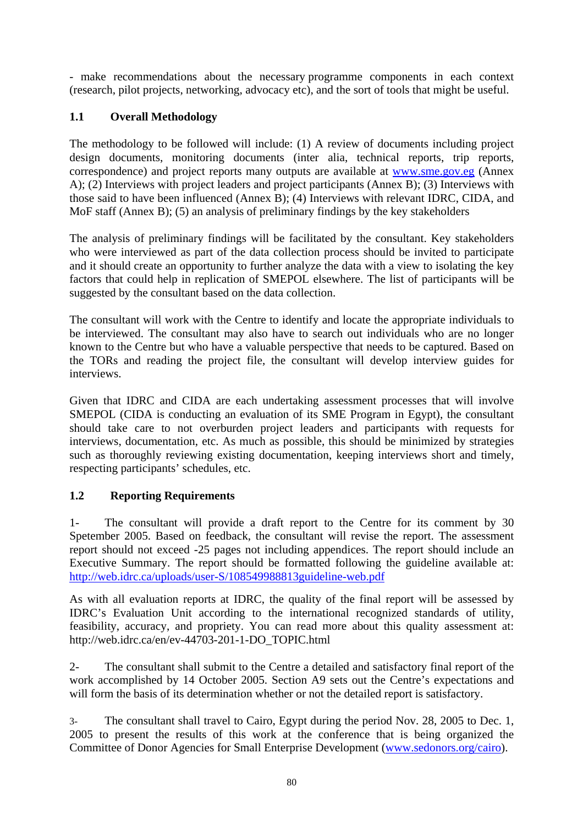- make recommendations about the necessary programme components in each context (research, pilot pro jects, networking, advocacy etc), and the sort of tools that might be useful.

### **1.1 Overall Methodology**

The methodology to be followed will include:  $(1)$  A review of documents including project design documents, monitoring documents (inter alia, technical reports, trip reports, correspondence) and project reports many outputs are available at www.sme.gov.eg (Annex A); (2) Interviews with project leaders and project participants (Annex B); (3) Interviews with those said to have been influenced (Annex B); (4) Interviews with relevant IDRC, CIDA, and Mo F staff (Annex B); (5) an analysis of preliminary findings by the key stakeholders

The analysis of preliminary findings will be facilitated by the consultant. Key stakeholders who were interviewed as part of the data collection process should be invited to participate and it should create an opportunity to further analyze the data with a view to isolating the key factors that could help in replication of SMEPOL elsewhere. The list of participants will be sugges ted by the consultant based on the data collection.

The co nsultant will work with the Centre to identify and locate the appropriate individuals to be interviewed. The consultant may also have to search out individuals who are no longer kno wn to the Centre but who have a valuable perspective that needs to be captured. Based on the TORs and reading the project file, the consultant will develop interview guides for interviews.

Given that IDRC and CIDA are each undertaking assessment processes that will involve should take care to not overburden project leaders and participants with requests for interviews, documentation, etc. As much as possible, this should be minimized by strategies such as thoroughly reviewing existing documentation, keeping interviews short and timely, re specting participants' schedules, etc. SMEPOL (CIDA is conducting an evaluation of its SME Program in Egypt), the consultant

#### **1.2 Reporting Requirements**

1- The consultant will provide a draft report to the Centre for its comment by 30 Spetember 2005. Based on feedback, the consultant will revise the report. The assessment re port should not exceed -25 pages not including appendices. The report should include an Executive Summary. The report should be formatted following the guideline available at: http://web.idrc.ca/uploads/user-S/108549988813guideline-web.pdf

As with all evaluation reports at IDRC, the quality of the final report will be assessed by IDRC's Evaluation Unit according to the international recognized standards of utility, feasibility, accuracy, and propriety. You can read more about this quality assessment at: http://web.idrc.ca/en/ev-44703-201-1-DO\_TOPIC.html

2- The consultant shall submit to the Centre a detailed and satisfactory final report of the work accomplished by 14 October 2005. Section A9 sets out the Centre's expectations and will form the basis of its determination whether or not the detailed report is satisfactory.

3- The consultant shall travel to Cairo, Egypt during the period Nov. 28, 2005 to Dec. 1, 2005 to present the results of this work at the conference that is being organized the Committee of Donor Agencies for Small Enterprise Development (www.sedonors.org/cairo).